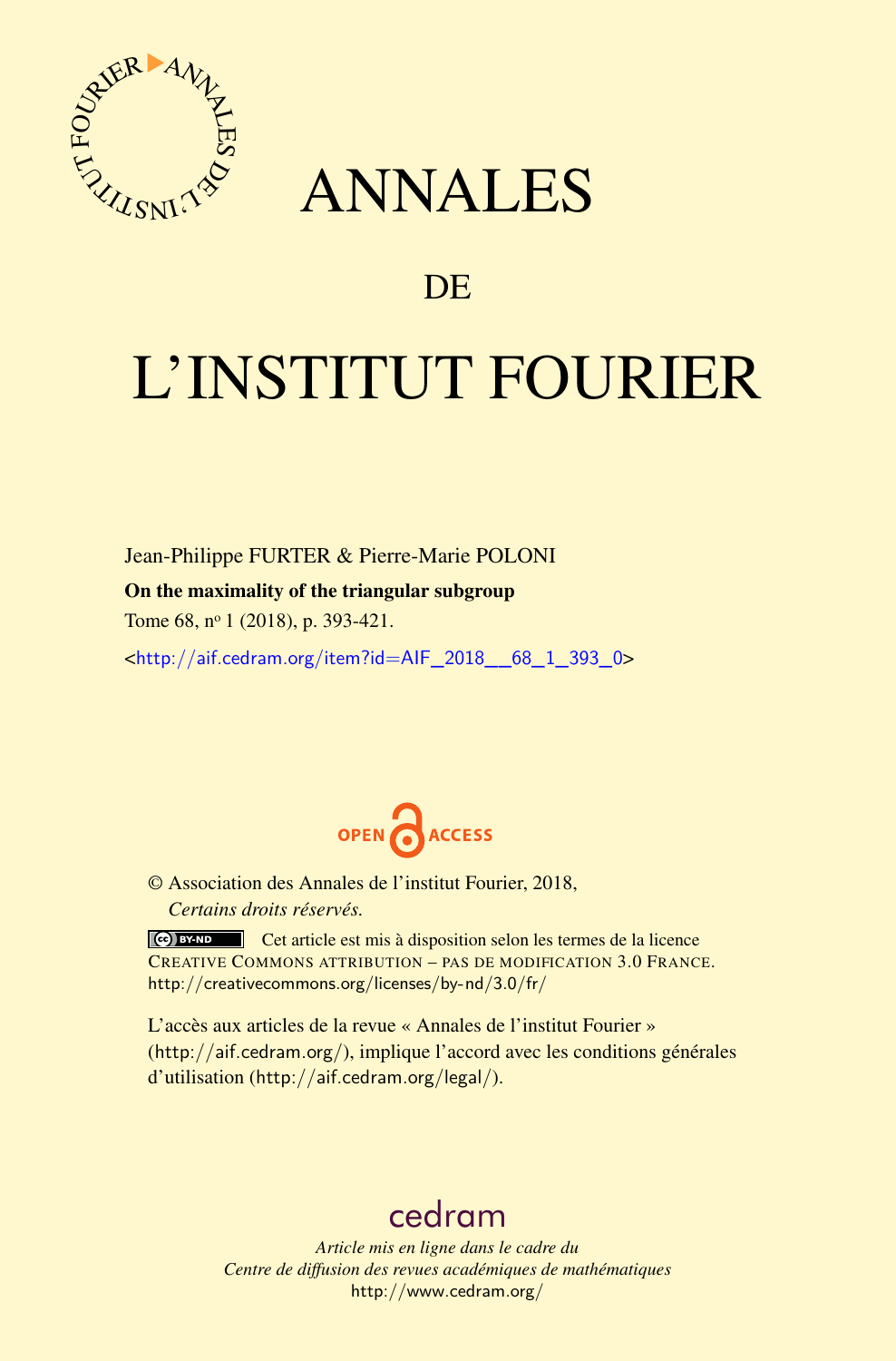

# ANNALES

# **DE**

# L'INSTITUT FOURIER

Jean-Philippe FURTER & Pierre-Marie POLONI

## On the maximality of the triangular subgroup

Tome 68, nº 1 (2018), p. 393-421.

<[http://aif.cedram.org/item?id=AIF\\_2018\\_\\_68\\_1\\_393\\_0](http://aif.cedram.org/item?id=AIF_2018__68_1_393_0)>



© Association des Annales de l'institut Fourier, 2018, *Certains droits réservés.*

Cet article est mis à disposition selon les termes de la licence CREATIVE COMMONS ATTRIBUTION – PAS DE MODIFICATION 3.0 FRANCE. <http://creativecommons.org/licenses/by-nd/3.0/fr/>

L'accès aux articles de la revue « Annales de l'institut Fourier » (<http://aif.cedram.org/>), implique l'accord avec les conditions générales d'utilisation (<http://aif.cedram.org/legal/>).

# [cedram](http://www.cedram.org/)

*Article mis en ligne dans le cadre du Centre de diffusion des revues académiques de mathématiques* <http://www.cedram.org/>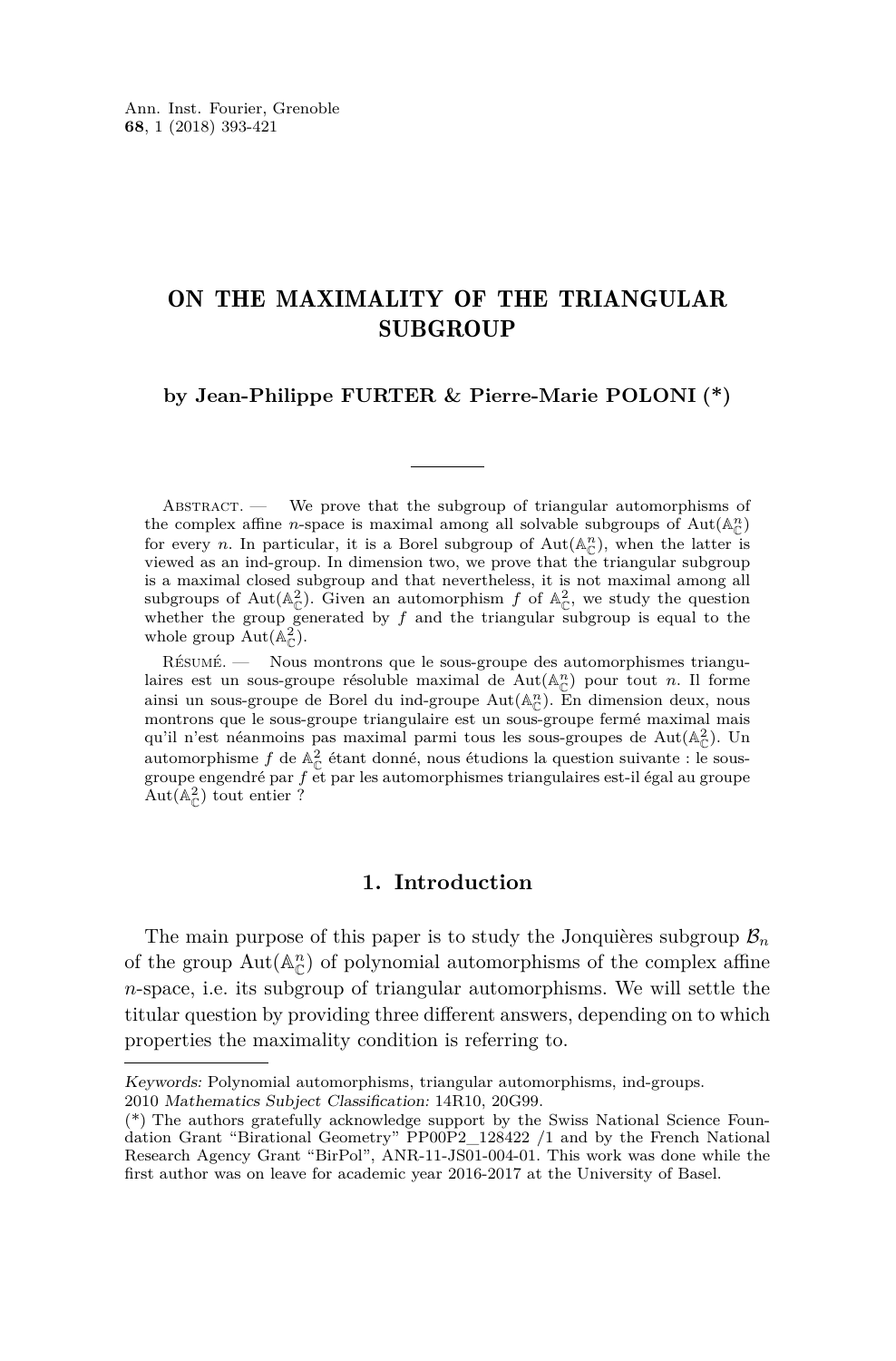# ON THE MAXIMALITY OF THE TRIANGULAR **SUBGROUP**

#### **by Jean-Philippe FURTER & Pierre-Marie POLONI (\*)**

ABSTRACT. — We prove that the subgroup of triangular automorphisms of the complex affine *n*-space is maximal among all solvable subgroups of  $\text{Aut}(\mathbb{A}_{\mathbb{C}}^n)$ for every *n*. In particular, it is a Borel subgroup of  $Aut(A_{\mathbb{C}}^n)$ , when the latter is viewed as an ind-group. In dimension two, we prove that the triangular subgroup is a maximal closed subgroup and that nevertheless, it is not maximal among all subgroups of Aut $(\mathbb{A}_{\mathbb{C}}^2)$ . Given an automorphism f of  $\mathbb{A}_{\mathbb{C}}^2$ , we study the question whether the group generated by  $f$  and the triangular subgroup is equal to the whole group  $Aut(A^2_{\mathbb{C}}).$ 

Résumé. — Nous montrons que le sous-groupe des automorphismes triangulaires est un sous-groupe résoluble maximal de  $\text{Aut}(\mathbb{A}_{\mathbb{C}}^n)$  pour tout *n*. Il forme ainsi un sous-groupe de Borel du ind-groupe  $Aut(A_{\mathbb{C}}^{n})$ . En dimension deux, nous montrons que le sous-groupe triangulaire est un sous-groupe fermé maximal mais qu'il n'est néanmoins pas maximal parmi tous les sous-groupes de Aut $(\mathbb{A}_{\mathbb{C}}^2)$ . Un automorphisme  $f$  de  $\mathbb{A}^2_{\mathbb{C}}$  étant donné, nous étudions la question suivante : le sousgroupe engendré par  $f$  et par les automorphismes triangulaires est-il égal au groupe  $\,$  $Aut(A^2_{\mathbb{C}})$  tout entier ?

### **1. Introduction**

<span id="page-1-0"></span>The main purpose of this paper is to study the Jonquières subgroup  $\mathcal{B}_n$ of the group  $Aut(A^n_{\mathbb{C}})$  of polynomial automorphisms of the complex affine *n*-space, i.e. its subgroup of triangular automorphisms. We will settle the titular question by providing three different answers, depending on to which properties the maximality condition is referring to.

Keywords: Polynomial automorphisms, triangular automorphisms, ind-groups. 2010 Mathematics Subject Classification: 14R10, 20G99.

<sup>(\*)</sup> The authors gratefully acknowledge support by the Swiss National Science Foundation Grant "Birational Geometry" PP00P2\_128422 /1 and by the French National Research Agency Grant "BirPol", ANR-11-JS01-004-01. This work was done while the first author was on leave for academic year 2016-2017 at the University of Basel.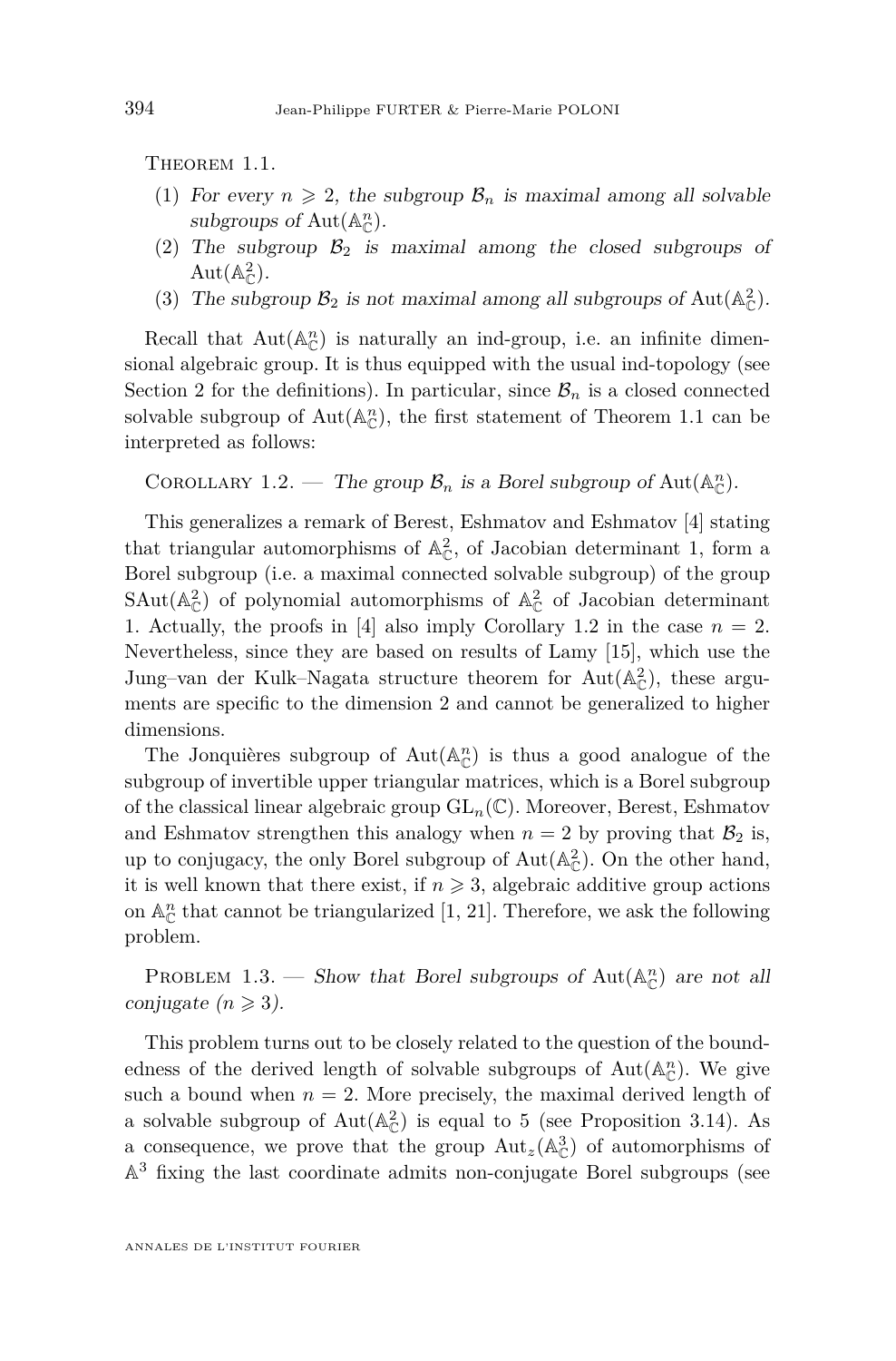<span id="page-2-0"></span>THEOREM 1.1.

- (1) For every  $n \geq 2$ , the subgroup  $\mathcal{B}_n$  is maximal among all solvable subgroups of  $Aut(\mathbb{A}_{\mathbb{C}}^n)$ .
- (2) The subgroup  $\mathcal{B}_2$  is maximal among the closed subgroups of  $Aut(\mathbb{A}_{\mathbb{C}}^2).$
- (3) The subgroup  $\mathcal{B}_2$  is not maximal among all subgroups of Aut $(\mathbb{A}_{\mathbb{C}}^2)$ .

Recall that  $Aut(A_{\mathbb{C}}^n)$  is naturally an ind-group, i.e. an infinite dimensional algebraic group. It is thus equipped with the usual ind-topology (see Section [2](#page-3-0) for the definitions). In particular, since  $\mathcal{B}_n$  is a closed connected solvable subgroup of  $Aut(A_{\mathbb{C}}^n)$ , the first statement of Theorem [1.1](#page-2-0) can be interpreted as follows:

<span id="page-2-1"></span>COROLLARY 1.2. — The group  $\mathcal{B}_n$  is a Borel subgroup of  $\text{Aut}(\mathbb{A}_{\mathbb{C}}^n)$ .

This generalizes a remark of Berest, Eshmatov and Eshmatov [\[4\]](#page-27-0) stating that triangular automorphisms of  $\mathbb{A}_{\mathbb{C}}^2$ , of Jacobian determinant 1, form a Borel subgroup (i.e. a maximal connected solvable subgroup) of the group  $\text{SAut}(\mathbb{A}_{\mathbb{C}}^2)$  of polynomial automorphisms of  $\mathbb{A}_{\mathbb{C}}^2$  of Jacobian determinant 1. Actually, the proofs in [\[4\]](#page-27-0) also imply Corollary [1.2](#page-2-1) in the case  $n = 2$ . Nevertheless, since they are based on results of Lamy [\[15\]](#page-28-0), which use the Jung–van der Kulk–Nagata structure theorem for  $Aut(A_C^2)$ , these arguments are specific to the dimension 2 and cannot be generalized to higher dimensions.

The Jonquières subgroup of  $Aut(A^n_{\mathbb{C}})$  is thus a good analogue of the subgroup of invertible upper triangular matrices, which is a Borel subgroup of the classical linear algebraic group  $GL_n(\mathbb{C})$ . Moreover, Berest, Eshmatov and Eshmatov strengthen this analogy when  $n = 2$  by proving that  $\mathcal{B}_2$  is, up to conjugacy, the only Borel subgroup of  $Aut(A_C^2)$ . On the other hand, it is well known that there exist, if  $n \geqslant 3$ , algebraic additive group actions on  $\mathbb{A}_{\mathbb{C}}^n$  that cannot be triangularized [\[1,](#page-27-1) [21\]](#page-28-1). Therefore, we ask the following problem.

PROBLEM 1.3. — Show that Borel subgroups of Aut $(\mathbb{A}_{\mathbb{C}}^n)$  are not all conjugate  $(n \geq 3)$ .

This problem turns out to be closely related to the question of the boundedness of the derived length of solvable subgroups of  $Aut(A^n_{\mathbb{C}})$ . We give such a bound when  $n = 2$ . More precisely, the maximal derived length of a solvable subgroup of  $Aut(A_C^2)$  is equal to 5 (see Proposition [3.14\)](#page-12-0). As a consequence, we prove that the group  $\text{Aut}_z(\mathbb{A}_{\mathbb{C}}^3)$  of automorphisms of A <sup>3</sup> fixing the last coordinate admits non-conjugate Borel subgroups (see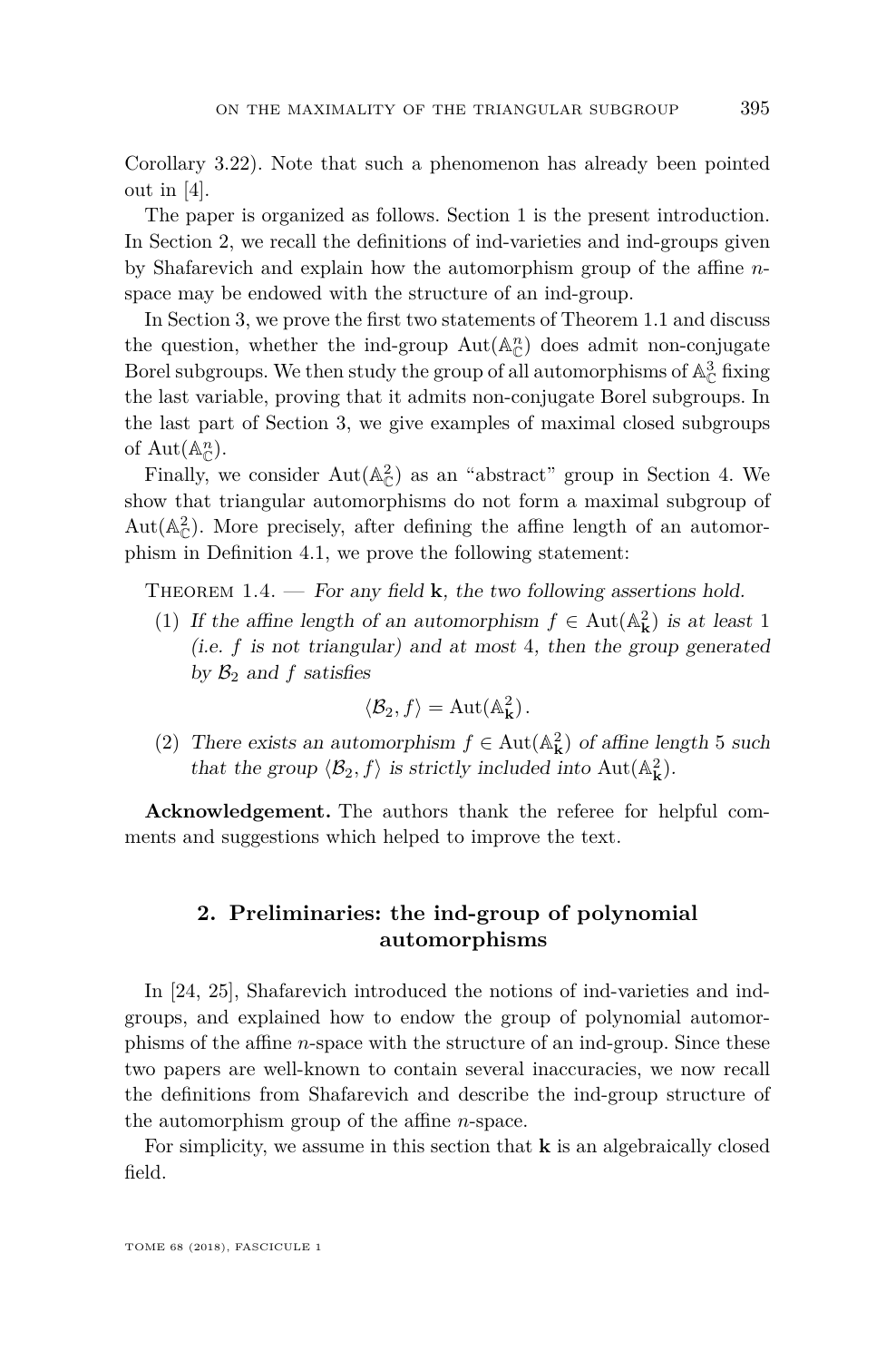Corollary [3.22\)](#page-17-0). Note that such a phenomenon has already been pointed out in [\[4\]](#page-27-0).

The paper is organized as follows. Section [1](#page-1-0) is the present introduction. In Section [2,](#page-3-0) we recall the definitions of ind-varieties and ind-groups given by Shafarevich and explain how the automorphism group of the affine *n*space may be endowed with the structure of an ind-group.

In Section [3,](#page-7-0) we prove the first two statements of Theorem [1.1](#page-2-0) and discuss the question, whether the ind-group  $Aut(A_{\mathbb{C}}^n)$  does admit non-conjugate Borel subgroups. We then study the group of all automorphisms of  $\mathbb{A}^3_\mathbb{C}$  fixing the last variable, proving that it admits non-conjugate Borel subgroups. In the last part of Section [3,](#page-7-0) we give examples of maximal closed subgroups of  $Aut(\mathbb{A}_{\mathbb{C}}^n)$ .

Finally, we consider  $Aut(A_C^2)$  as an "abstract" group in Section [4.](#page-20-0) We show that triangular automorphisms do not form a maximal subgroup of  $Aut(A_{\mathbb{C}}^2)$ . More precisely, after defining the affine length of an automorphism in Definition [4.1,](#page-20-1) we prove the following statement:

THEOREM  $1.4.$  — For any field **k**, the two following assertions hold.

(1) If the affine length of an automorphism  $f \in Aut(\mathbb{A}_{\mathbf{k}}^2)$  is at least 1 (i.e. *f* is not triangular) and at most 4, then the group generated by  $\mathcal{B}_2$  and f satisfies

$$
\langle \mathcal{B}_2, f \rangle = \operatorname{Aut}(\mathbb{A}_{\mathbf{k}}^2).
$$

(2) There exists an automorphism  $f \in Aut(A_{\mathbf{k}}^2)$  of affine length 5 such that the group  $\langle \mathcal{B}_2, f \rangle$  is strictly included into Aut $(\mathbb{A}_{\mathbf{k}}^2)$ .

**Acknowledgement.** The authors thank the referee for helpful comments and suggestions which helped to improve the text.

### <span id="page-3-0"></span>**2. Preliminaries: the ind-group of polynomial automorphisms**

In [\[24,](#page-28-2) [25\]](#page-28-3), Shafarevich introduced the notions of ind-varieties and indgroups, and explained how to endow the group of polynomial automorphisms of the affine *n*-space with the structure of an ind-group. Since these two papers are well-known to contain several inaccuracies, we now recall the definitions from Shafarevich and describe the ind-group structure of the automorphism group of the affine *n*-space.

For simplicity, we assume in this section that **k** is an algebraically closed field.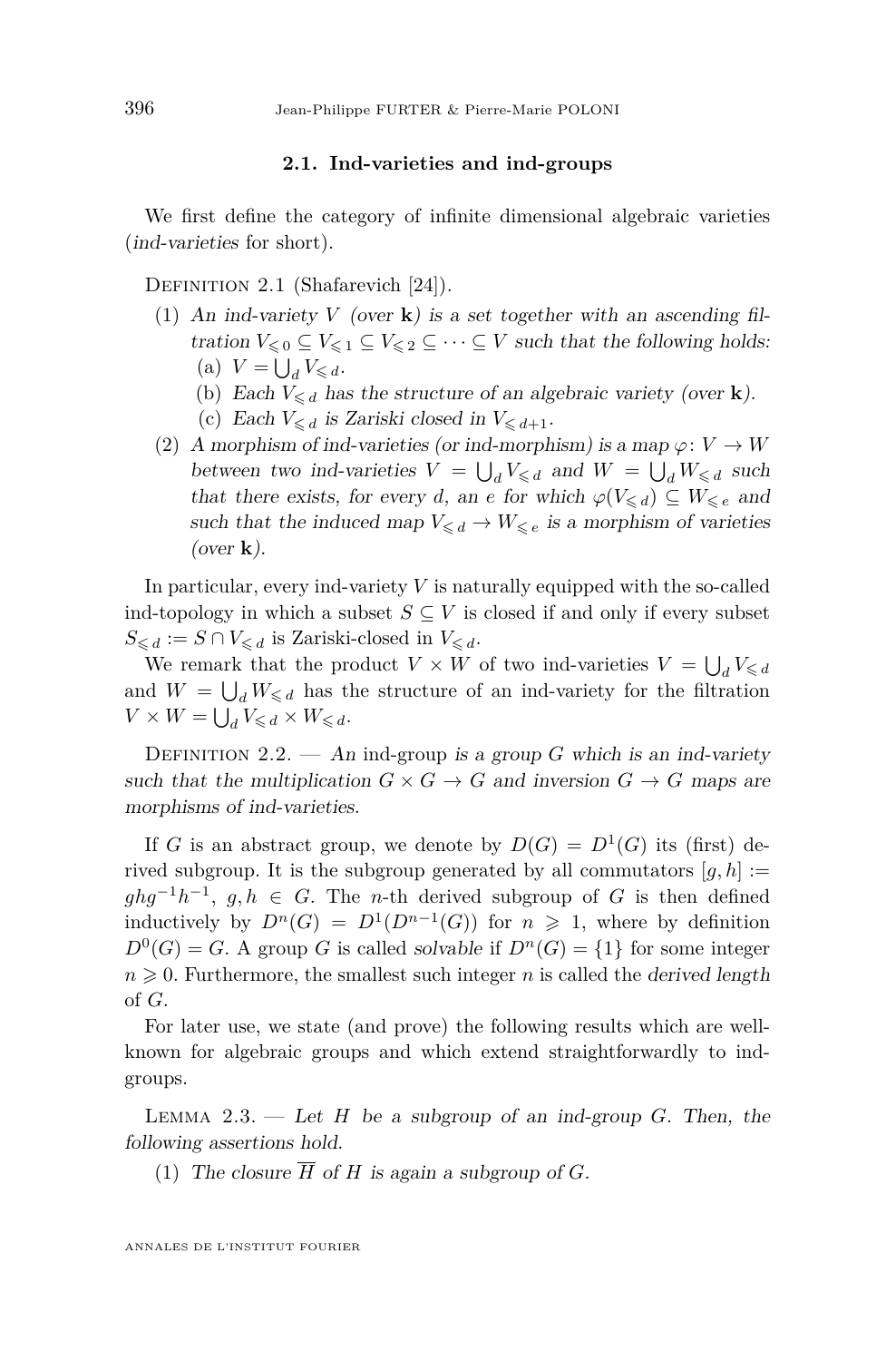#### **2.1. Ind-varieties and ind-groups**

We first define the category of infinite dimensional algebraic varieties (ind-varieties for short).

DEFINITION 2.1 (Shafarevich [\[24\]](#page-28-2)).

- (1) An ind-variety *V* (over **k**) is a set together with an ascending filtration  $V_{\leq 0} \subseteq V_{\leq 1} \subseteq V_{\leq 2} \subseteq \cdots \subseteq V$  such that the following holds: (a)  $V = \bigcup_d V_{\leq d}$ .
	- (b) Each  $V_{\le d}$  has the structure of an algebraic variety (over **k**).
	- (c) Each  $V_{\le d}$  is Zariski closed in  $V_{\le d+1}$ .
- (2) A morphism of ind-varieties (or ind-morphism) is a map  $\varphi: V \to W$ between two ind-varieties  $V = \bigcup_{d} V_{\leq d}$  and  $W = \bigcup_{d} W_{\leq d}$  such that there exists, for every *d*, an *e* for which  $\varphi(V_{\le d}) \subseteq W_{\le e}$  and such that the induced map  $V_{\leq d} \to W_{\leq e}$  is a morphism of varieties (over **k**).

In particular, every ind-variety  $V$  is naturally equipped with the so-called ind-topology in which a subset  $S \subseteq V$  is closed if and only if every subset  $S_{\le d} := S \cap V_{\le d}$  is Zariski-closed in  $V_{\le d}$ .

We remark that the product  $V \times W$  of two ind-varieties  $V = \bigcup_{d} V_{\leq d}$ and  $W = \bigcup_{d} W_{\leq d}$  has the structure of an ind-variety for the filtration  $V \times W = \bigcup_{d} V_{\leq d} \times W_{\leq d}.$ 

DEFINITION 2.2. — An ind-group is a group *G* which is an ind-variety such that the multiplication  $G \times G \to G$  and inversion  $G \to G$  maps are morphisms of ind-varieties.

If *G* is an abstract group, we denote by  $D(G) = D^1(G)$  its (first) derived subgroup. It is the subgroup generated by all commutators  $[g, h] :=$  $ghg^{-1}h^{-1}$ ,  $g, h \in G$ . The *n*-th derived subgroup of *G* is then defined inductively by  $D^n(G) = D^1(D^{n-1}(G))$  for  $n \ge 1$ , where by definition  $D^0(G) = G$ . A group *G* is called solvable if  $D^n(G) = \{1\}$  for some integer  $n \geq 0$ . Furthermore, the smallest such integer *n* is called the derived length of *G*.

For later use, we state (and prove) the following results which are wellknown for algebraic groups and which extend straightforwardly to indgroups.

<span id="page-4-1"></span>Lemma 2.3. — Let *H* be a subgroup of an ind-group *G*. Then, the following assertions hold.

<span id="page-4-0"></span>(1) The closure  $\overline{H}$  of  $H$  is again a subgroup of  $G$ .

ANNALES DE L'INSTITUT FOURIER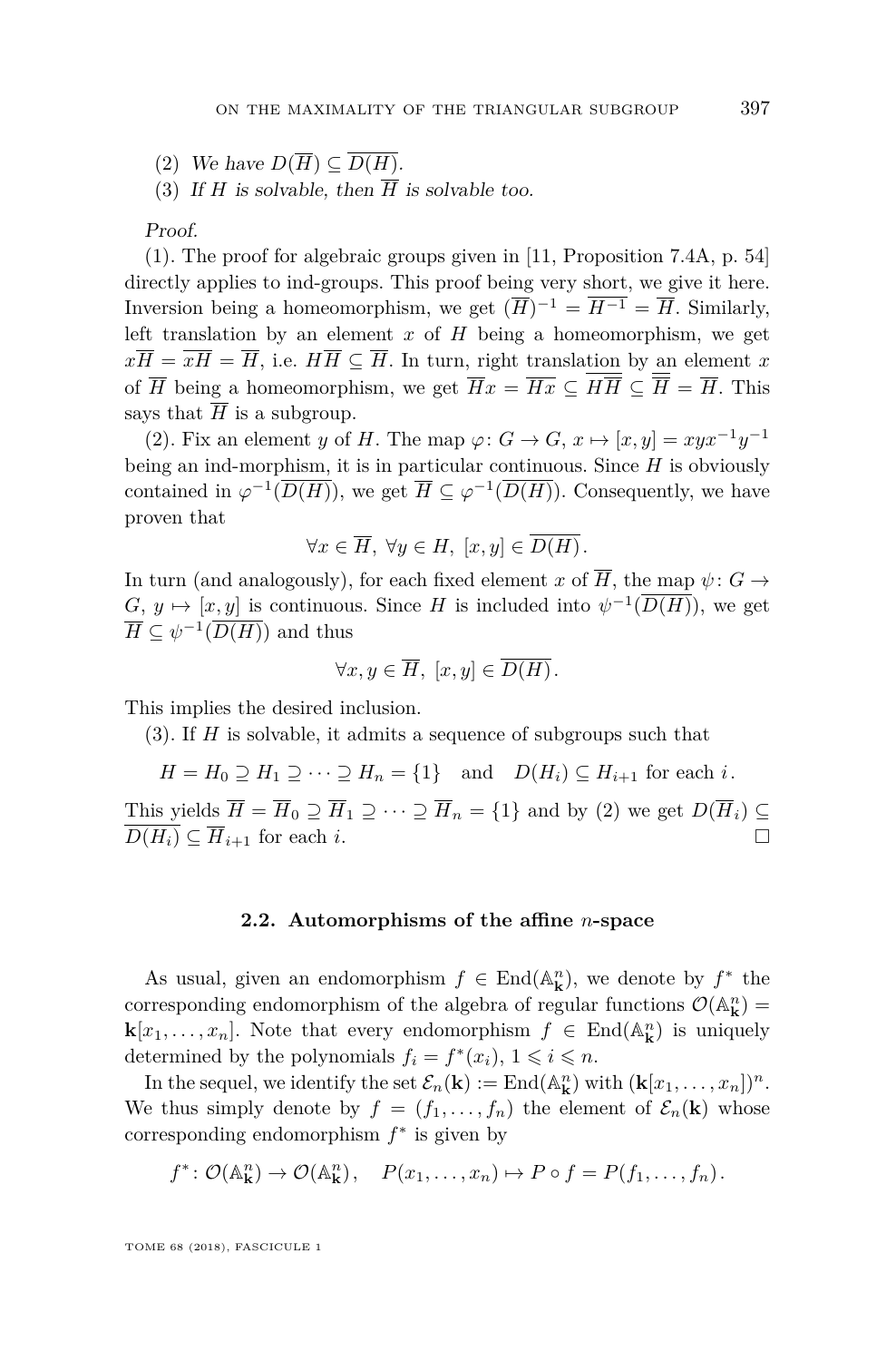- <span id="page-5-0"></span>(2) We have  $D(\overline{H}) \subseteq \overline{D(H)}$ .
- <span id="page-5-1"></span>(3) If *H* is solvable, then  $\overline{H}$  is solvable too.

Proof.

[\(1\)](#page-4-0). The proof for algebraic groups given in [\[11,](#page-28-4) Proposition 7.4A, p. 54] directly applies to ind-groups. This proof being very short, we give it here. Inversion being a homeomorphism, we get  $(\overline{H})^{-1} = \overline{H^{-1}} = \overline{H}$ . Similarly, left translation by an element  $x$  of  $H$  being a homeomorphism, we get  $x\overline{H} = \overline{xH} = \overline{H}$ , i.e.  $H\overline{H} \subseteq \overline{H}$ . In turn, right translation by an element *x* of  $\overline{H}$  being a homeomorphism, we get  $\overline{H}x = \overline{Hx} \subseteq \overline{HH} \subseteq \overline{H} = \overline{H}$ . This says that  $\overline{H}$  is a subgroup.

[\(2\)](#page-5-0). Fix an element *y* of *H*. The map  $\varphi: G \to G$ ,  $x \mapsto [x, y] = xyx^{-1}y^{-1}$ being an ind-morphism, it is in particular continuous. Since *H* is obviously contained in  $\varphi^{-1}(\overline{D(H)})$ , we get  $\overline{H} \subseteq \varphi^{-1}(\overline{D(H)})$ . Consequently, we have proven that

$$
\forall x \in \overline{H}, \ \forall y \in H, \ [x, y] \in D(H).
$$

In turn (and analogously), for each fixed element *x* of  $\overline{H}$ , the map  $\psi: G \to$  $G, y \mapsto [x, y]$  is continuous. Since *H* is included into  $\psi^{-1}(\overline{D(H)})$ , we get  $\overline{H} \subseteq \psi^{-1}(\overline{D(H)})$  and thus

$$
\forall x, y \in \overline{H}, \ [x, y] \in \overline{D(H)}.
$$

This implies the desired inclusion.

[\(3\)](#page-5-1). If *H* is solvable, it admits a sequence of subgroups such that

$$
H = H_0 \supseteq H_1 \supseteq \cdots \supseteq H_n = \{1\} \text{ and } D(H_i) \subseteq H_{i+1} \text{ for each } i.
$$
  
This yields  $\overline{H} = \overline{H}_0 \supseteq \overline{H}_1 \supseteq \cdots \supseteq \overline{H}_n = \{1\}$  and by (2) we get  $D(\overline{H}_i) \subseteq \overline{D(H_i)} \subseteq \overline{H}_{i+1}$  for each  $i$ .

#### **2.2. Automorphisms of the affine** *n***-space**

As usual, given an endomorphism  $f \in \text{End}(\mathbb{A}_{\mathbf{k}}^n)$ , we denote by  $f^*$  the corresponding endomorphism of the algebra of regular functions  $\mathcal{O}(\mathbb{A}^n_{\mathbf{k}})$  = **k**[ $x_1, \ldots, x_n$ ]. Note that every endomorphism  $f \in \text{End}(\mathbb{A}_{\mathbf{k}}^n)$  is uniquely determined by the polynomials  $f_i = f^*(x_i)$ ,  $1 \leq i \leq n$ .

In the sequel, we identify the set  $\mathcal{E}_n(\mathbf{k}) := \text{End}(\mathbb{A}_{\mathbf{k}}^n)$  with  $(\mathbf{k}[x_1,\ldots,x_n])^n$ . We thus simply denote by  $f = (f_1, \ldots, f_n)$  the element of  $\mathcal{E}_n(\mathbf{k})$  whose corresponding endomorphism *f* ∗ is given by

$$
f^* \colon \mathcal{O}(\mathbb{A}_{\mathbf{k}}^n) \to \mathcal{O}(\mathbb{A}_{\mathbf{k}}^n), \quad P(x_1, \ldots, x_n) \mapsto P \circ f = P(f_1, \ldots, f_n).
$$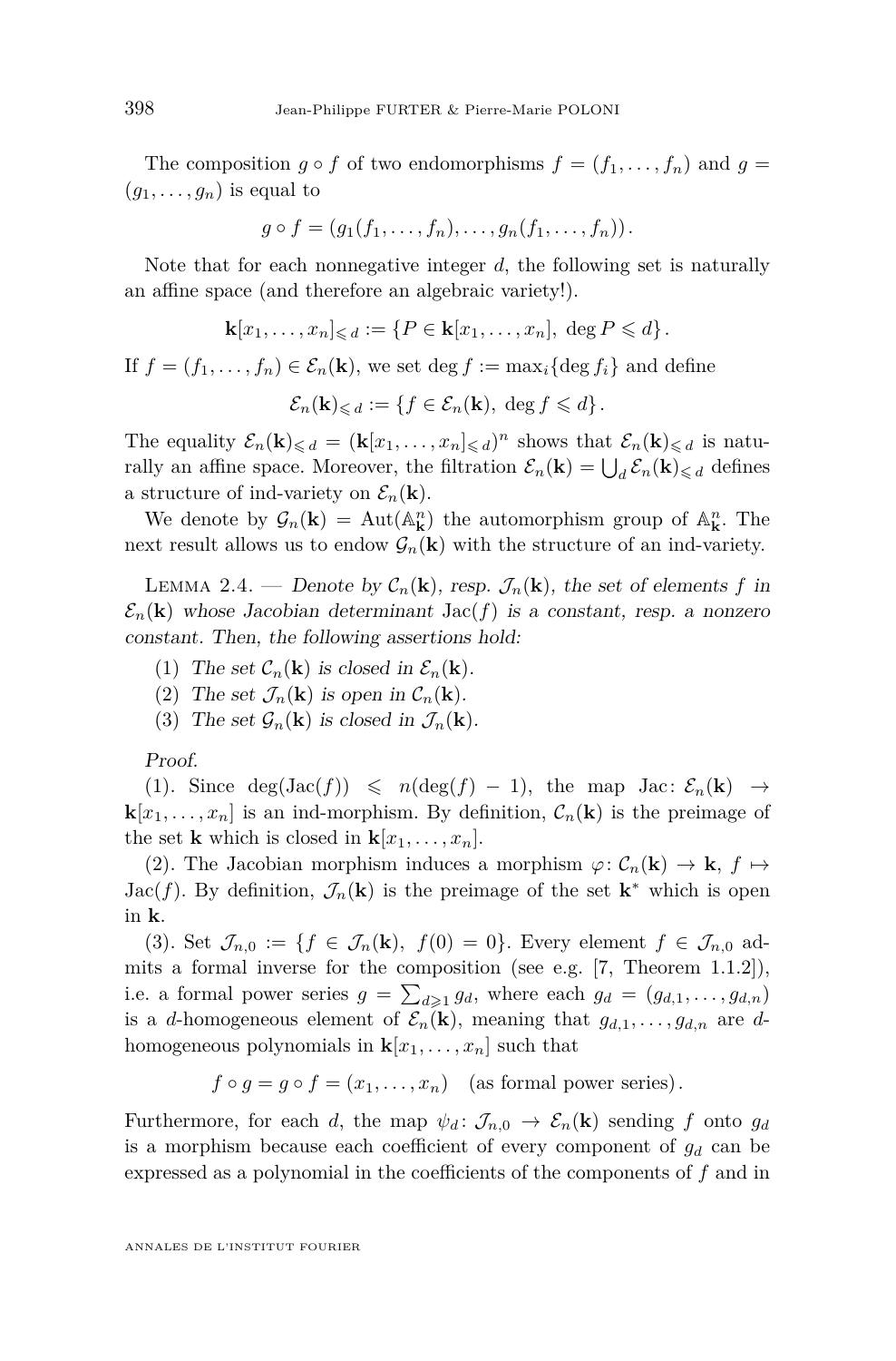The composition  $g \circ f$  of two endomorphisms  $f = (f_1, \ldots, f_n)$  and  $g =$  $(g_1, \ldots, g_n)$  is equal to

$$
g\circ f=(g_1(f_1,\ldots,f_n),\ldots,g_n(f_1,\ldots,f_n)).
$$

Note that for each nonnegative integer *d*, the following set is naturally an affine space (and therefore an algebraic variety!).

$$
\mathbf{k}[x_1,\ldots,x_n]_{\leqslant d}:=\left\{P\in\mathbf{k}[x_1,\ldots,x_n],\ \deg P\leqslant d\right\}.
$$

If  $f = (f_1, \ldots, f_n) \in \mathcal{E}_n(\mathbf{k})$ , we set deg  $f := \max_i {\{\text{deg } f_i\}}$  and define

$$
\mathcal{E}_n(\mathbf{k})_{\leq d} := \{ f \in \mathcal{E}_n(\mathbf{k}), \ \deg f \leq d \}.
$$

The equality  $\mathcal{E}_n(\mathbf{k})_{\leq d} = (\mathbf{k}[x_1,\ldots,x_n]_{\leq d})^n$  shows that  $\mathcal{E}_n(\mathbf{k})_{\leq d}$  is naturally an affine space. Moreover, the filtration  $\mathcal{E}_n(\mathbf{k}) = \bigcup_d \mathcal{E}_n(\mathbf{k}) \le d$  defines a structure of ind-variety on  $\mathcal{E}_n(\mathbf{k})$ .

We denote by  $\mathcal{G}_n(\mathbf{k}) = \text{Aut}(\mathbb{A}_{\mathbf{k}}^n)$  the automorphism group of  $\mathbb{A}_{\mathbf{k}}^n$ . The next result allows us to endow  $\mathcal{G}_n(\mathbf{k})$  with the structure of an ind-variety.

LEMMA 2.4. — Denote by  $C_n(\mathbf{k})$ , resp.  $\mathcal{J}_n(\mathbf{k})$ , the set of elements f in  $\mathcal{E}_n(\mathbf{k})$  whose Jacobian determinant Jac(f) is a constant, resp. a nonzero constant. Then, the following assertions hold:

- <span id="page-6-0"></span>(1) The set  $\mathcal{C}_n(\mathbf{k})$  is closed in  $\mathcal{E}_n(\mathbf{k})$ .
- <span id="page-6-1"></span>(2) The set  $\mathcal{J}_n(\mathbf{k})$  is open in  $\mathcal{C}_n(\mathbf{k})$ .
- <span id="page-6-2"></span>(3) The set  $\mathcal{G}_n(\mathbf{k})$  is closed in  $\mathcal{J}_n(\mathbf{k})$ .

Proof.

[\(1\)](#page-6-0). Since  $\deg(\operatorname{Jac}(f)) \leq n(\deg(f) - 1)$ , the map Jac:  $\mathcal{E}_n(\mathbf{k}) \to$  $\mathbf{k}[x_1,\ldots,x_n]$  is an ind-morphism. By definition,  $\mathcal{C}_n(\mathbf{k})$  is the preimage of the set **k** which is closed in  $\mathbf{k}[x_1,\ldots,x_n]$ .

[\(2\)](#page-6-1). The Jacobian morphism induces a morphism  $\varphi: \mathcal{C}_n(\mathbf{k}) \to \mathbf{k}, f \mapsto$ Jac(*f*). By definition,  $\mathcal{J}_n(\mathbf{k})$  is the preimage of the set  $\mathbf{k}^*$  which is open in **k**.

[\(3\)](#page-6-2). Set  $\mathcal{J}_{n,0} := \{f \in \mathcal{J}_n(\mathbf{k}), f(0) = 0\}$ . Every element  $f \in \mathcal{J}_{n,0}$  admits a formal inverse for the composition (see e.g. [\[7,](#page-27-2) Theorem 1.1.2]), i.e. a formal power series  $g = \sum_{d \geq 1} g_d$ , where each  $g_d = (g_{d,1}, \ldots, g_{d,n})$ is a *d*-homogeneous element of  $\mathcal{E}_n(\mathbf{k})$ , meaning that  $g_{d,1}, \ldots, g_{d,n}$  are *d*homogeneous polynomials in  $\mathbf{k}[x_1,\ldots,x_n]$  such that

 $f \circ q = q \circ f = (x_1, \ldots, x_n)$  (as formal power series).

Furthermore, for each *d*, the map  $\psi_d$ :  $\mathcal{J}_{n,0} \to \mathcal{E}_n(\mathbf{k})$  sending f onto  $g_d$ is a morphism because each coefficient of every component of *g<sup>d</sup>* can be expressed as a polynomial in the coefficients of the components of *f* and in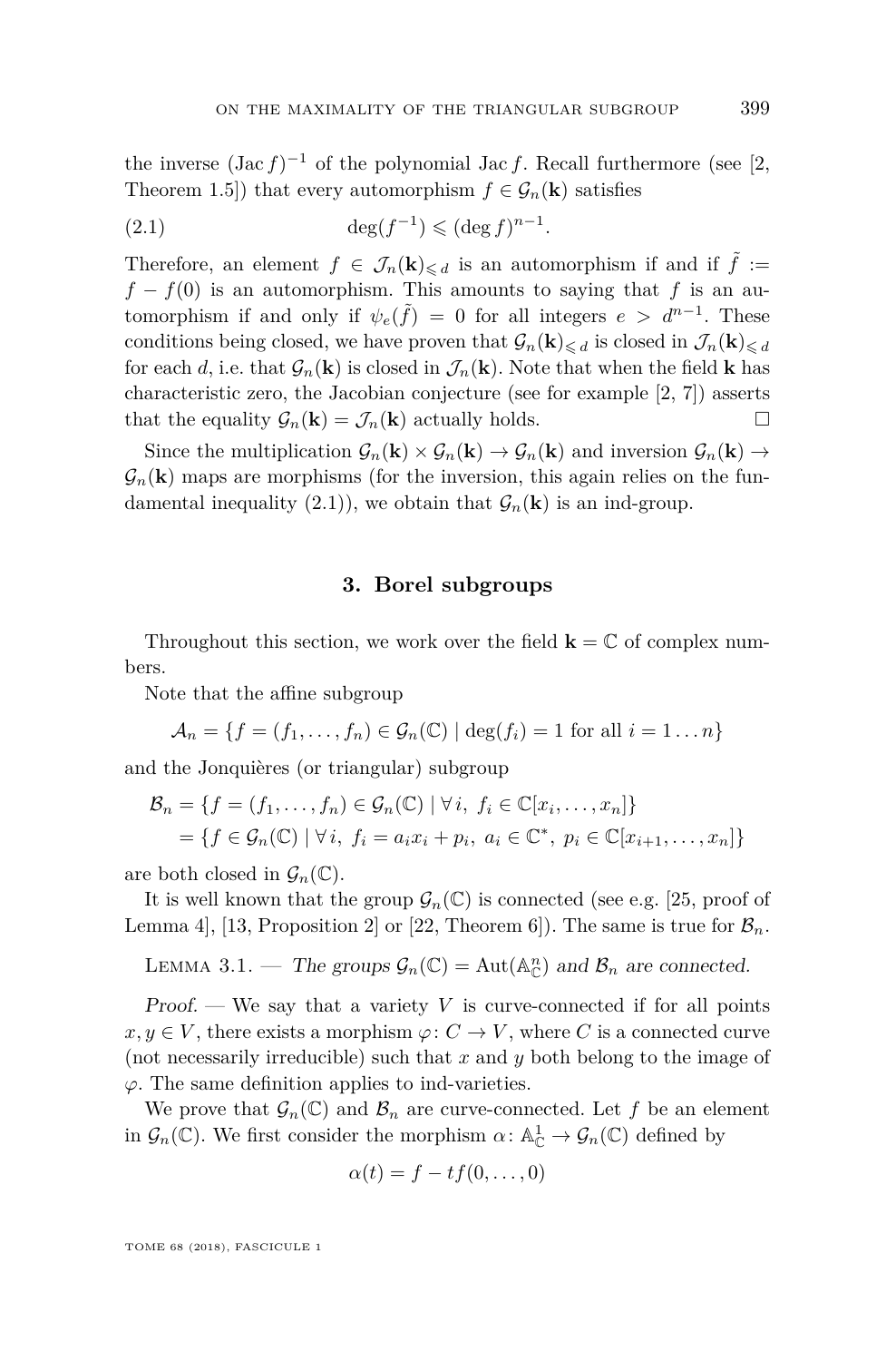the inverse  $(\text{Jac } f)^{-1}$  of the polynomial Jac *f*. Recall furthermore (see [\[2,](#page-27-3) Theorem 1.5]) that every automorphism  $f \in \mathcal{G}_n(\mathbf{k})$  satisfies

<span id="page-7-1"></span>
$$
(2.1) \qquad \deg(f^{-1}) \leqslant (\deg f)^{n-1}.
$$

Therefore, an element  $f \in \mathcal{J}_n(\mathbf{k})_{\le d}$  is an automorphism if and if  $f :=$  $f - f(0)$  is an automorphism. This amounts to saying that f is an automorphism if and only if  $\psi_e(\tilde{f}) = 0$  for all integers  $e > d^{n-1}$ . These conditions being closed, we have proven that  $\mathcal{G}_n(\mathbf{k})_{\le d}$  is closed in  $\mathcal{J}_n(\mathbf{k})_{\le d}$ for each *d*, i.e. that  $\mathcal{G}_n(\mathbf{k})$  is closed in  $\mathcal{J}_n(\mathbf{k})$ . Note that when the field **k** has characteristic zero, the Jacobian conjecture (see for example [\[2,](#page-27-3) [7\]](#page-27-2)) asserts that the equality  $\mathcal{G}_n(\mathbf{k}) = \mathcal{J}_n(\mathbf{k})$  actually holds.

Since the multiplication  $\mathcal{G}_n(\mathbf{k}) \times \mathcal{G}_n(\mathbf{k}) \to \mathcal{G}_n(\mathbf{k})$  and inversion  $\mathcal{G}_n(\mathbf{k}) \to$  $\mathcal{G}_n(\mathbf{k})$  maps are morphisms (for the inversion, this again relies on the fun-damental inequality [\(2.1\)](#page-7-1)), we obtain that  $\mathcal{G}_n(\mathbf{k})$  is an ind-group.

#### **3. Borel subgroups**

<span id="page-7-0"></span>Throughout this section, we work over the field  $\mathbf{k} = \mathbb{C}$  of complex numbers.

Note that the affine subgroup

 $\mathcal{A}_n = \{f = (f_1, \ldots, f_n) \in \mathcal{G}_n(\mathbb{C}) \mid \deg(f_i) = 1 \text{ for all } i = 1 \ldots n\}$ 

and the Jonquières (or triangular) subgroup

$$
\mathcal{B}_n = \{ f = (f_1, \dots, f_n) \in \mathcal{G}_n(\mathbb{C}) \mid \forall i, f_i \in \mathbb{C}[x_i, \dots, x_n] \}
$$
  
= 
$$
\{ f \in \mathcal{G}_n(\mathbb{C}) \mid \forall i, f_i = a_i x_i + p_i, a_i \in \mathbb{C}^*, p_i \in \mathbb{C}[x_{i+1}, \dots, x_n] \}
$$

are both closed in  $\mathcal{G}_n(\mathbb{C})$ .

It is well known that the group  $\mathcal{G}_n(\mathbb{C})$  is connected (see e.g. [\[25,](#page-28-3) proof of Lemma 4], [\[13,](#page-28-5) Proposition 2] or [\[22,](#page-28-6) Theorem 6]). The same is true for  $\mathcal{B}_n$ .

<span id="page-7-2"></span>LEMMA 3.1. — The groups  $\mathcal{G}_n(\mathbb{C}) = \text{Aut}(\mathbb{A}_{\mathbb{C}}^n)$  and  $\mathcal{B}_n$  are connected.

Proof. — We say that a variety  $V$  is curve-connected if for all points  $x, y \in V$ , there exists a morphism  $\varphi: C \to V$ , where *C* is a connected curve (not necessarily irreducible) such that *x* and *y* both belong to the image of *ϕ*. The same definition applies to ind-varieties.

We prove that  $\mathcal{G}_n(\mathbb{C})$  and  $\mathcal{B}_n$  are curve-connected. Let f be an element in  $\mathcal{G}_n(\mathbb{C})$ . We first consider the morphism  $\alpha \colon \mathbb{A}_{\mathbb{C}}^1 \to \mathcal{G}_n(\mathbb{C})$  defined by

$$
\alpha(t) = f - tf(0, \dots, 0)
$$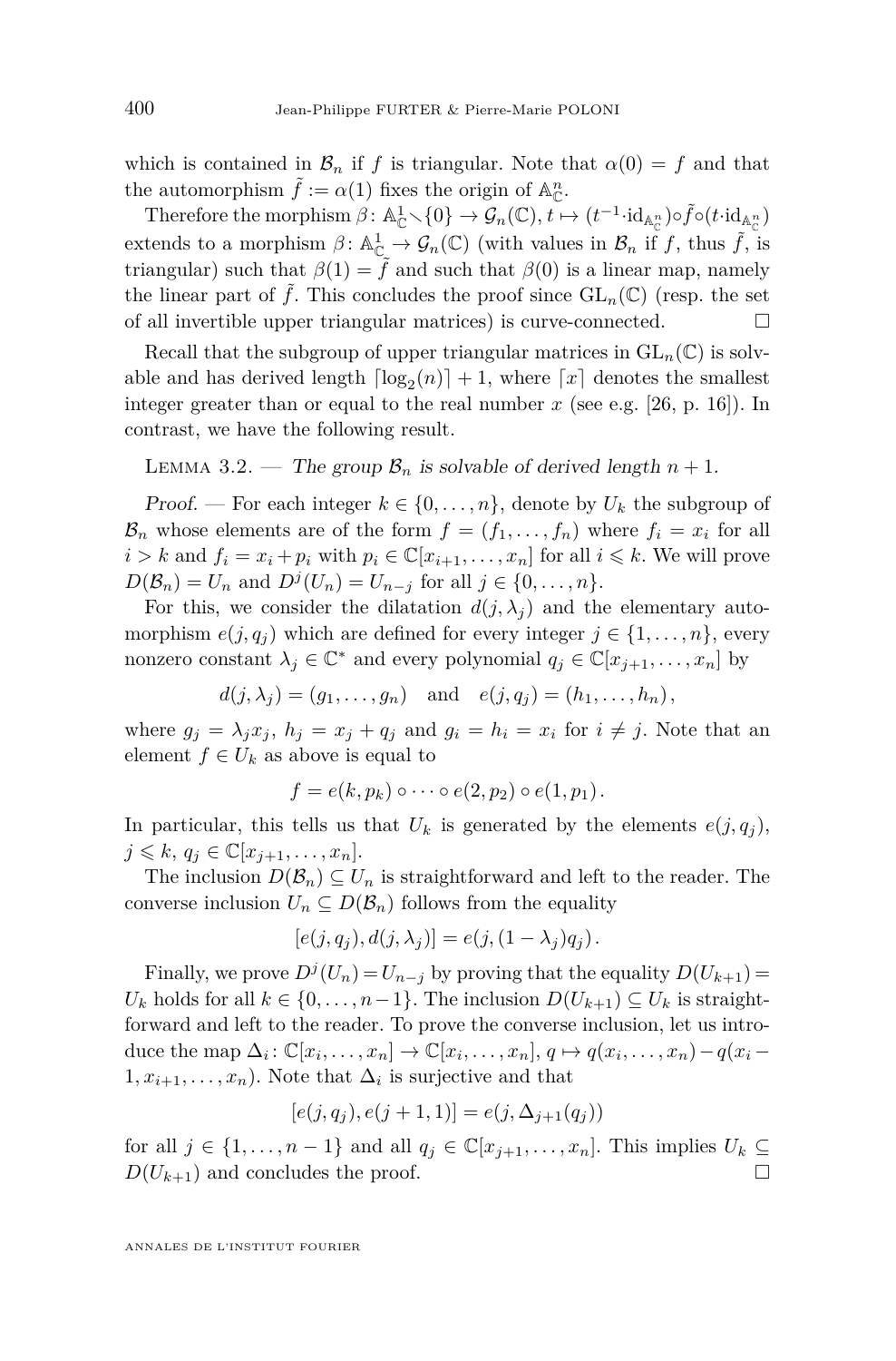which is contained in  $\mathcal{B}_n$  if *f* is triangular. Note that  $\alpha(0) = f$  and that the automorphism  $\tilde{f} := \alpha(1)$  fixes the origin of  $\mathbb{A}_{\mathbb{C}}^n$ .

Therefore the morphism  $\beta \colon \mathbb{A}^1_{\mathbb{C}} \setminus \{0\} \to \mathcal{G}_n(\mathbb{C}), t \mapsto (t^{-1} \cdot \mathrm{id}_{\mathbb{A}^n_{\mathbb{C}}}) \circ \tilde{f} \circ (t \cdot \mathrm{id}_{\mathbb{A}^n_{\mathbb{C}}})$ extends to a morphism  $\beta \colon \mathbb{A}^1_{\mathbb{C}} \to \mathcal{G}_n(\mathbb{C})$  (with values in  $\mathcal{B}_n$  if  $f$ , thus  $\tilde{f}$ , is triangular) such that  $\beta(1) = \tilde{f}$  and such that  $\beta(0)$  is a linear map, namely the linear part of  $\tilde{f}$ . This concludes the proof since  $GL_n(\mathbb{C})$  (resp. the set of all invertible upper triangular matrices) is curve-connected.  $\Box$ 

Recall that the subgroup of upper triangular matrices in  $GL_n(\mathbb{C})$  is solvable and has derived length  $\lceil \log_2(n) \rceil + 1$ , where  $\lceil x \rceil$  denotes the smallest integer greater than or equal to the real number  $x$  (see e.g. [\[26,](#page-28-7) p. 16]). In contrast, we have the following result.

LEMMA 3.2. — The group  $\mathcal{B}_n$  is solvable of derived length  $n+1$ .

Proof. — For each integer  $k \in \{0, \ldots, n\}$ , denote by  $U_k$  the subgroup of  $\mathcal{B}_n$  whose elements are of the form  $f = (f_1, \ldots, f_n)$  where  $f_i = x_i$  for all  $i > k$  and  $f_i = x_i + p_i$  with  $p_i \in \mathbb{C}[x_{i+1}, \ldots, x_n]$  for all  $i \leq k$ . We will prove  $D(\mathcal{B}_n) = U_n$  and  $D^j(U_n) = U_{n-j}$  for all  $j \in \{0, ..., n\}.$ 

For this, we consider the dilatation  $d(j, \lambda_j)$  and the elementary automorphism  $e(j, q_i)$  which are defined for every integer  $j \in \{1, \ldots, n\}$ , every nonzero constant  $\lambda_j \in \mathbb{C}^*$  and every polynomial  $q_j \in \mathbb{C}[x_{j+1}, \ldots, x_n]$  by

 $d(j, \lambda_i) = (g_1, \ldots, g_n)$  and  $e(j, q_j) = (h_1, \ldots, h_n)$ ,

where  $g_j = \lambda_j x_j$ ,  $h_j = x_j + q_j$  and  $g_i = h_i = x_i$  for  $i \neq j$ . Note that an element  $f \in U_k$  as above is equal to

$$
f = e(k, p_k) \circ \cdots \circ e(2, p_2) \circ e(1, p_1).
$$

In particular, this tells us that  $U_k$  is generated by the elements  $e(j, q_j)$ ,  $j \leq k, q_j \in \mathbb{C}[x_{j+1}, \ldots, x_n].$ 

The inclusion  $D(\mathcal{B}_n) \subseteq U_n$  is straightforward and left to the reader. The converse inclusion  $U_n \subseteq D(\mathcal{B}_n)$  follows from the equality

$$
[e(j, q_j), d(j, \lambda_j)] = e(j, (1 - \lambda_j)q_j).
$$

Finally, we prove  $D^j(U_n) = U_{n-j}$  by proving that the equality  $D(U_{k+1}) =$  $U_k$  holds for all  $k \in \{0, \ldots, n-1\}$ . The inclusion  $D(U_{k+1}) \subseteq U_k$  is straightforward and left to the reader. To prove the converse inclusion, let us introduce the map  $\Delta_i$ :  $\mathbb{C}[x_i,\ldots,x_n] \to \mathbb{C}[x_i,\ldots,x_n]$ ,  $q \mapsto q(x_i,\ldots,x_n) - q(x_i 1, x_{i+1}, \ldots, x_n$ ). Note that  $\Delta_i$  is surjective and that

$$
[e(j, q_j), e(j + 1, 1)] = e(j, \Delta_{j+1}(q_j))
$$

for all  $j \in \{1, \ldots, n-1\}$  and all  $q_j \in \mathbb{C}[x_{j+1}, \ldots, x_n]$ . This implies  $U_k \subseteq$  $D(U_{k+1})$  and concludes the proof.

ANNALES DE L'INSTITUT FOURIER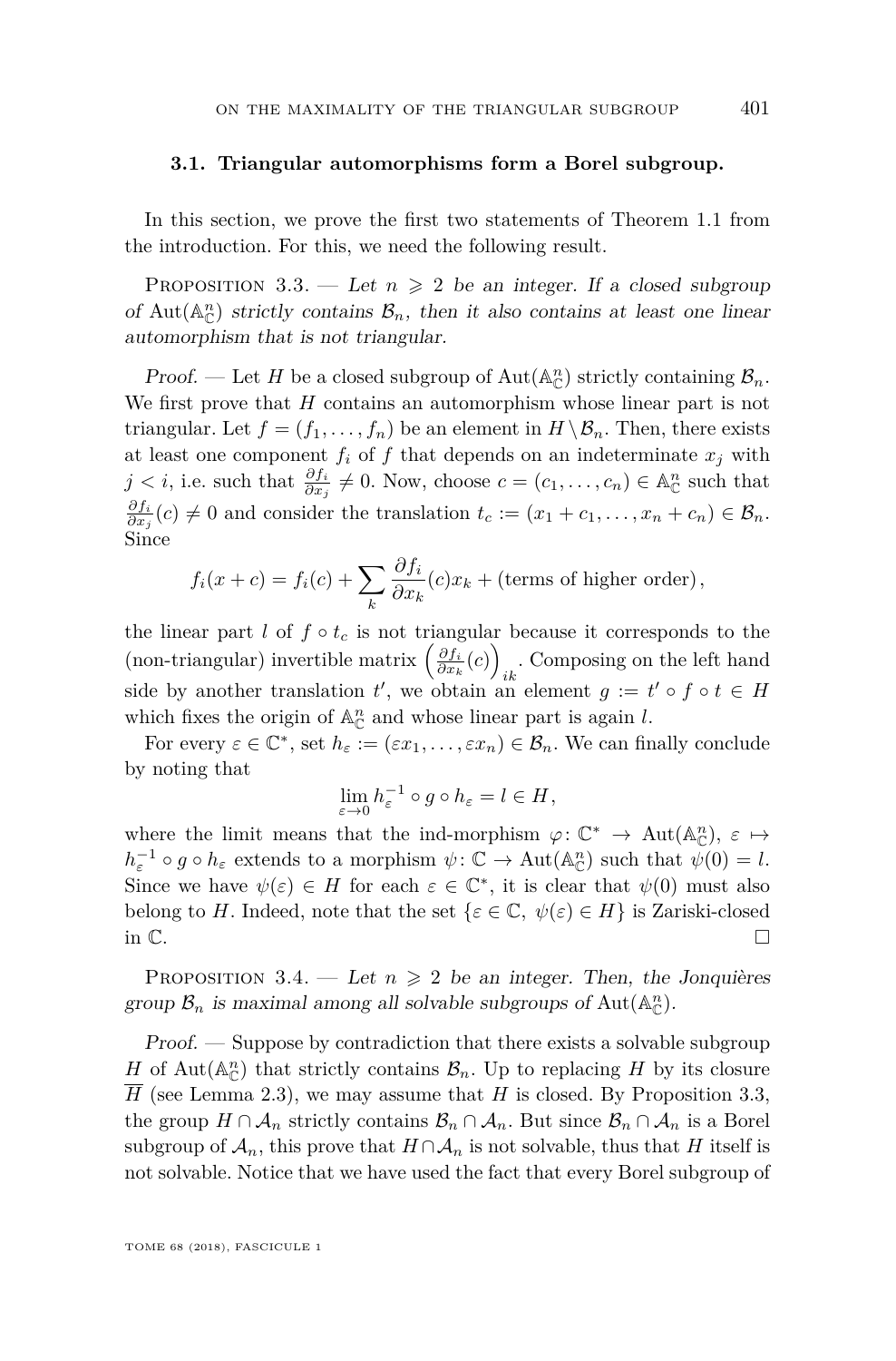#### **3.1. Triangular automorphisms form a Borel subgroup.**

In this section, we prove the first two statements of Theorem [1.1](#page-2-0) from the introduction. For this, we need the following result.

<span id="page-9-0"></span>PROPOSITION 3.3. — Let  $n \geq 2$  be an integer. If a closed subgroup of Aut $(\mathbb{A}_{\mathbb{C}}^n)$  strictly contains  $\mathcal{B}_n$ , then it also contains at least one linear automorphism that is not triangular.

Proof. — Let *H* be a closed subgroup of  $Aut(A_{\mathbb{C}}^n)$  strictly containing  $\mathcal{B}_n$ . We first prove that *H* contains an automorphism whose linear part is not triangular. Let  $f = (f_1, \ldots, f_n)$  be an element in  $H \setminus \mathcal{B}_n$ . Then, there exists at least one component  $f_i$  of  $f$  that depends on an indeterminate  $x_j$  with *j* < *i*, i.e. such that  $\frac{\partial f_i}{\partial x_j}$  ≠ 0. Now, choose  $c = (c_1, \ldots, c_n) \in \mathbb{A}_{\mathbb{C}}^n$  such that  $\frac{\partial f_i}{\partial x_j}(c) \neq 0$  and consider the translation  $t_c := (x_1 + c_1, \ldots, x_n + c_n) \in \mathcal{B}_n$ . Since

$$
f_i(x + c) = f_i(c) + \sum_k \frac{\partial f_i}{\partial x_k}(c) x_k + \text{(terms of higher order)},
$$

the linear part  $l$  of  $f \circ t_c$  is not triangular because it corresponds to the (non-triangular) invertible matrix  $\left(\frac{\partial f_i}{\partial x_k}(c)\right)$ *ik* . Composing on the left hand side by another translation  $t'$ , we obtain an element  $g := t' \circ f \circ t \in H$ which fixes the origin of  $\mathbb{A}_{\mathbb{C}}^n$  and whose linear part is again *l*.

For every  $\varepsilon \in \mathbb{C}^*$ , set  $h_{\varepsilon} := (\varepsilon x_1, \dots, \varepsilon x_n) \in \mathcal{B}_n$ . We can finally conclude by noting that

$$
\lim_{\varepsilon \to 0} h_{\varepsilon}^{-1} \circ g \circ h_{\varepsilon} = l \in H,
$$

where the limit means that the ind-morphism  $\varphi: \mathbb{C}^* \to \text{Aut}(\mathbb{A}_{\mathbb{C}}^n)$ ,  $\varepsilon \mapsto$  $h_{\varepsilon}^{-1} \circ g \circ h_{\varepsilon}$  extends to a morphism  $\psi: \mathbb{C} \to \text{Aut}(\mathbb{A}_{\mathbb{C}}^n)$  such that  $\psi(0) = l$ . Since we have  $\psi(\varepsilon) \in H$  for each  $\varepsilon \in \mathbb{C}^*$ , it is clear that  $\psi(0)$  must also belong to *H*. Indeed, note that the set  $\{\varepsilon \in \mathbb{C}, \psi(\varepsilon) \in H\}$  is Zariski-closed in  $\mathbb{C}$ .

<span id="page-9-1"></span>PROPOSITION 3.4. — Let  $n \geq 2$  be an integer. Then, the Jonquières group  $\mathcal{B}_n$  is maximal among all solvable subgroups of  $\text{Aut}(\mathbb{A}_{\mathbb{C}}^n)$ .

Proof. — Suppose by contradiction that there exists a solvable subgroup *H* of Aut $(\mathbb{A}_{\mathbb{C}}^n)$  that strictly contains  $\mathcal{B}_n$ . Up to replacing *H* by its closure  $\overline{H}$  (see Lemma [2.3\)](#page-4-1), we may assume that  $H$  is closed. By Proposition [3.3,](#page-9-0) the group  $H \cap A_n$  strictly contains  $B_n \cap A_n$ . But since  $B_n \cap A_n$  is a Borel subgroup of  $\mathcal{A}_n$ , this prove that  $H \cap \mathcal{A}_n$  is not solvable, thus that *H* itself is not solvable. Notice that we have used the fact that every Borel subgroup of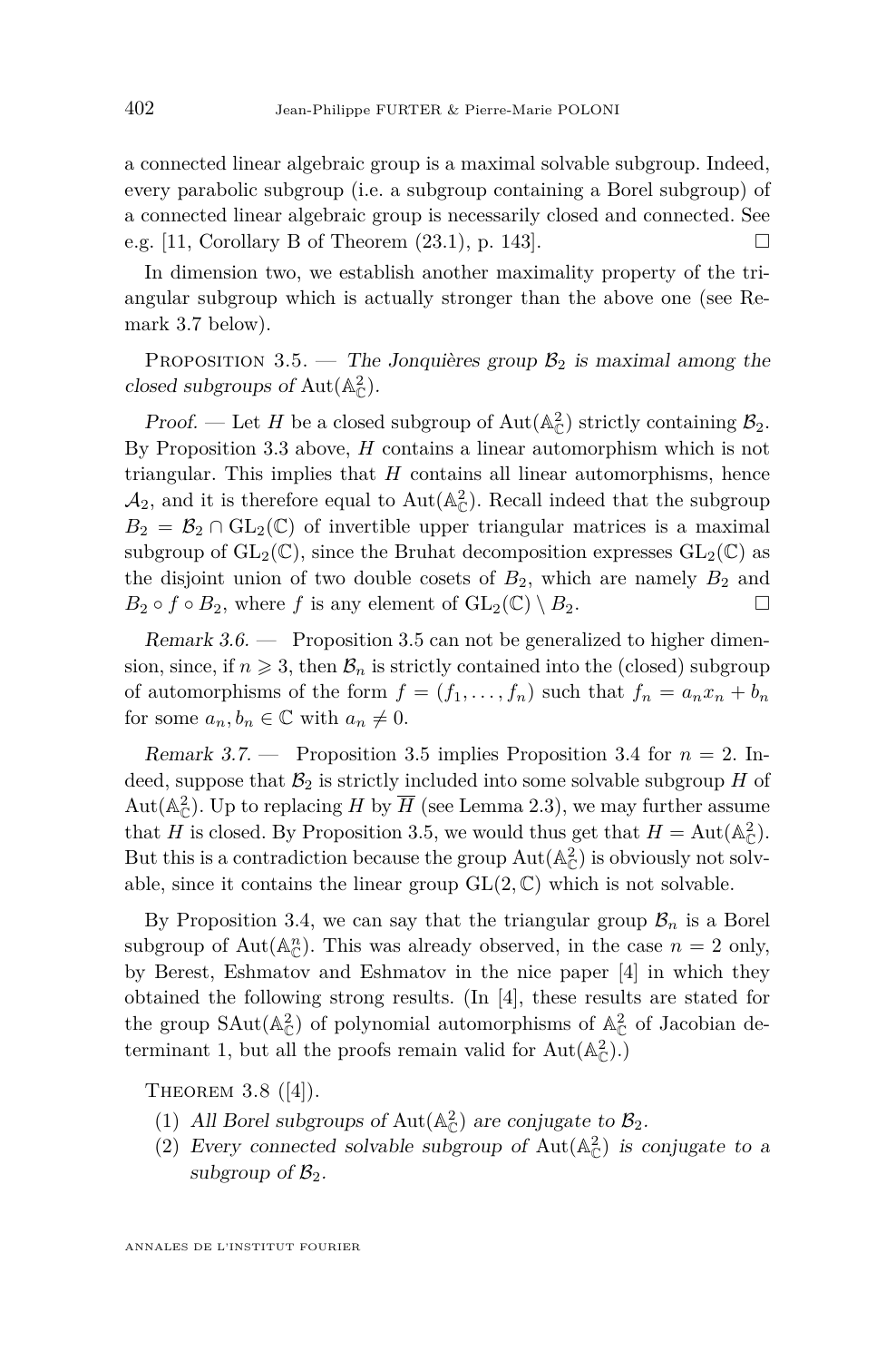a connected linear algebraic group is a maximal solvable subgroup. Indeed, every parabolic subgroup (i.e. a subgroup containing a Borel subgroup) of a connected linear algebraic group is necessarily closed and connected. See e.g. [\[11,](#page-28-4) Corollary B of Theorem  $(23.1)$ , p. 143].

In dimension two, we establish another maximality property of the triangular subgroup which is actually stronger than the above one (see Remark [3.7](#page-10-0) below).

<span id="page-10-1"></span>PROPOSITION 3.5. — The Jonquières group  $\mathcal{B}_2$  is maximal among the closed subgroups of  $Aut(\mathbb{A}_{\mathbb{C}}^2)$ .

Proof. — Let *H* be a closed subgroup of  $Aut(A<sup>2</sup><sub>C</sub>)$  strictly containing  $B<sub>2</sub>$ . By Proposition [3.3](#page-9-0) above, *H* contains a linear automorphism which is not triangular. This implies that *H* contains all linear automorphisms, hence  $\mathcal{A}_2$ , and it is therefore equal to  $\text{Aut}(\mathbb{A}_{\mathbb{C}}^2)$ . Recall indeed that the subgroup  $B_2 = \mathcal{B}_2 \cap GL_2(\mathbb{C})$  of invertible upper triangular matrices is a maximal subgroup of  $GL_2(\mathbb{C})$ , since the Bruhat decomposition expresses  $GL_2(\mathbb{C})$  as the disjoint union of two double cosets of  $B_2$ , which are namely  $B_2$  and  $B_2 \circ f \circ B_2$ , where f is any element of  $GL_2(\mathbb{C}) \setminus B_2$ .

Remark 3.6. — Proposition [3.5](#page-10-1) can not be generalized to higher dimension, since, if  $n \geq 3$ , then  $\mathcal{B}_n$  is strictly contained into the (closed) subgroup of automorphisms of the form  $f = (f_1, \ldots, f_n)$  such that  $f_n = a_n x_n + b_n$ for some  $a_n, b_n \in \mathbb{C}$  with  $a_n \neq 0$ .

<span id="page-10-0"></span>Remark  $3.7.$  Proposition [3.5](#page-10-1) implies Proposition [3.4](#page-9-1) for  $n = 2$ . Indeed, suppose that  $\mathcal{B}_2$  is strictly included into some solvable subgroup *H* of  $\text{Aut}(\mathbb{A}_{\mathbb{C}}^2)$ . Up to replacing *H* by  $\overline{H}$  (see Lemma [2.3\)](#page-4-1), we may further assume that *H* is closed. By Proposition [3.5,](#page-10-1) we would thus get that  $H = \text{Aut}(\mathbb{A}_{\mathbb{C}}^2)$ . But this is a contradiction because the group  $\text{Aut}(\mathbb{A}_{\mathbb{C}}^2)$  is obviously not solvable, since it contains the linear group  $GL(2,\mathbb{C})$  which is not solvable.

By Proposition [3.4,](#page-9-1) we can say that the triangular group  $\mathcal{B}_n$  is a Borel subgroup of Aut $(\mathbb{A}_{\mathbb{C}}^n)$ . This was already observed, in the case  $n = 2$  only, by Berest, Eshmatov and Eshmatov in the nice paper [\[4\]](#page-27-0) in which they obtained the following strong results. (In [\[4\]](#page-27-0), these results are stated for the group  $\text{SAut}(\mathbb{A}_{\mathbb{C}}^2)$  of polynomial automorphisms of  $\mathbb{A}_{\mathbb{C}}^2$  of Jacobian determinant 1, but all the proofs remain valid for  $Aut(A_C^2)$ .

<span id="page-10-2"></span>THEOREM  $3.8$  ([\[4\]](#page-27-0)).

- (1) All Borel subgroups of Aut $(\mathbb{A}_{\mathbb{C}}^2)$  are conjugate to  $\mathcal{B}_2$ .
- (2) Every connected solvable subgroup of Aut $(\mathbb{A}_{\mathbb{C}}^2)$  is conjugate to a subgroup of  $\mathcal{B}_2$ .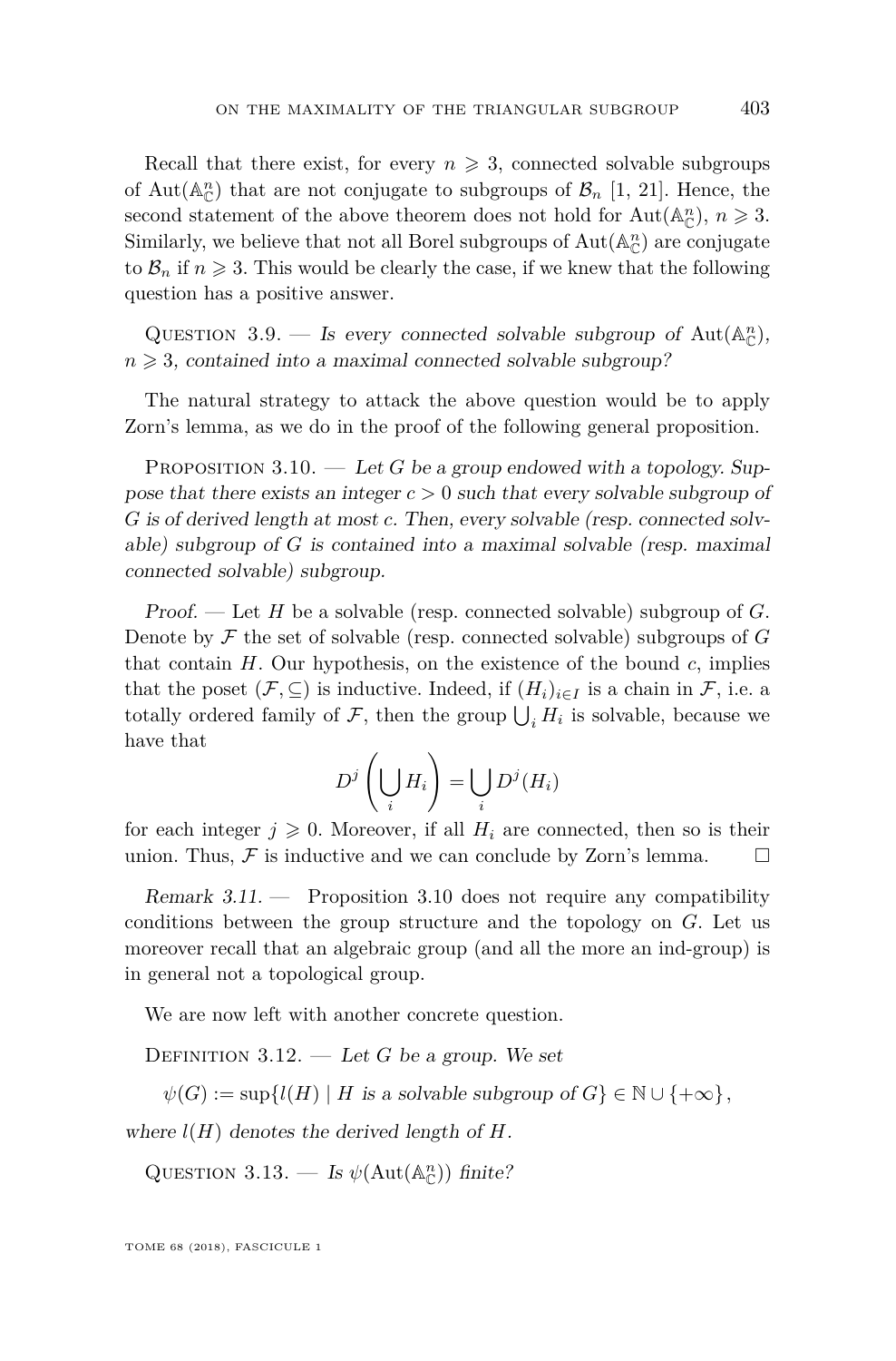Recall that there exist, for every  $n \geq 3$ , connected solvable subgroups of Aut $(\mathbb{A}_{\mathbb{C}}^n)$  that are not conjugate to subgroups of  $\mathcal{B}_n$  [\[1,](#page-27-1) [21\]](#page-28-1). Hence, the second statement of the above theorem does not hold for  $Aut(A_{\mathbb{C}}^n)$ ,  $n \geq 3$ . Similarly, we believe that not all Borel subgroups of  $\text{Aut}(\mathbb{A}_{\mathbb{C}}^n)$  are conjugate to  $\mathcal{B}_n$  if  $n \geq 3$ . This would be clearly the case, if we knew that the following question has a positive answer.

QUESTION 3.9. — Is every connected solvable subgroup of  $Aut(A^n_{\mathbb{C}})$ ,  $n \geqslant 3$ , contained into a maximal connected solvable subgroup?

The natural strategy to attack the above question would be to apply Zorn's lemma, as we do in the proof of the following general proposition.

<span id="page-11-0"></span>PROPOSITION 3.10. — Let G be a group endowed with a topology. Suppose that there exists an integer  $c > 0$  such that every solvable subgroup of *G* is of derived length at most *c*. Then, every solvable (resp. connected solvable) subgroup of *G* is contained into a maximal solvable (resp. maximal connected solvable) subgroup.

Proof. — Let *H* be a solvable (resp. connected solvable) subgroup of *G*. Denote by F the set of solvable (resp. connected solvable) subgroups of *G* that contain  $H$ . Our hypothesis, on the existence of the bound  $c$ , implies that the poset  $(\mathcal{F}, \subseteq)$  is inductive. Indeed, if  $(H_i)_{i \in I}$  is a chain in  $\mathcal{F}$ , i.e. a totally ordered family of  $\mathcal{F}$ , then the group  $\bigcup_i H_i$  is solvable, because we have that

$$
D^j\left(\bigcup_i H_i\right) = \bigcup_i D^j(H_i)
$$

for each integer  $j \geqslant 0$ . Moreover, if all  $H_i$  are connected, then so is their union. Thus,  $\mathcal F$  is inductive and we can conclude by Zorn's lemma.  $\Box$ 

Remark 3.11. — Proposition [3.10](#page-11-0) does not require any compatibility conditions between the group structure and the topology on *G*. Let us moreover recall that an algebraic group (and all the more an ind-group) is in general not a topological group.

We are now left with another concrete question.

DEFINITION  $3.12.$  — Let G be a group. We set

 $\psi(G) := \sup \{ l(H) \mid H \text{ is a solvable subgroup of } G \} \in \mathbb{N} \cup \{ +\infty \},$ 

where  $l(H)$  denotes the derived length of  $H$ .

<span id="page-11-1"></span>QUESTION 3.13. — Is  $\psi(\text{Aut}(\mathbb{A}_{\mathbb{C}}^n))$  finite?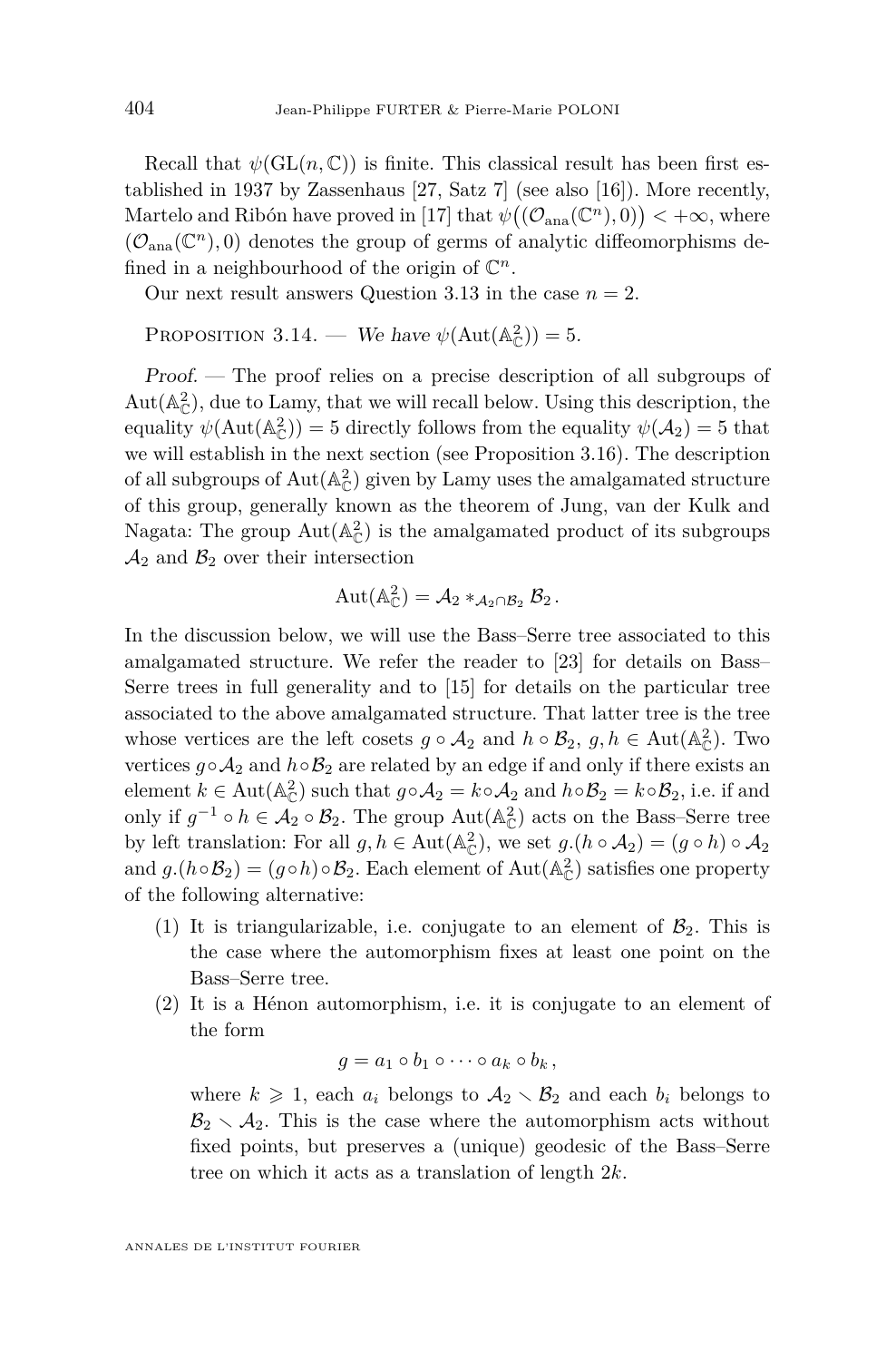Recall that  $\psi(\text{GL}(n,\mathbb{C}))$  is finite. This classical result has been first established in 1937 by Zassenhaus [\[27,](#page-28-8) Satz 7] (see also [\[16\]](#page-28-9)). More recently, Martelo and Ribón have proved in [\[17\]](#page-28-10) that  $\psi((\mathcal{O}_{ana}(\mathbb{C}^n),0)) < +\infty$ , where  $(\mathcal{O}_{\text{ana}}(\mathbb{C}^n), 0)$  denotes the group of germs of analytic diffeomorphisms defined in a neighbourhood of the origin of  $\mathbb{C}^n$ .

Our next result answers Question [3.13](#page-11-1) in the case  $n = 2$ .

<span id="page-12-0"></span>PROPOSITION 3.14. — We have  $\psi(\text{Aut}(\mathbb{A}_{\mathbb{C}}^2)) = 5$ .

Proof. — The proof relies on a precise description of all subgroups of  $Aut(A_{\mathbb{C}}^2)$ , due to Lamy, that we will recall below. Using this description, the equality  $\psi(\text{Aut}(\mathbb{A}_{\mathbb{C}}^2)) = 5$  directly follows from the equality  $\psi(\mathcal{A}_2) = 5$  that we will establish in the next section (see Proposition [3.16\)](#page-14-0). The description of all subgroups of  $\text{Aut}(\mathbb{A}_{\mathbb{C}}^2)$  given by Lamy uses the amalgamated structure of this group, generally known as the theorem of Jung, van der Kulk and Nagata: The group  $Aut(A^2_{\mathbb{C}})$  is the amalgamated product of its subgroups  $\mathcal{A}_2$  and  $\mathcal{B}_2$  over their intersection

$$
Aut(\mathbb{A}_{\mathbb{C}}^2)=\mathcal{A}_2*_{\mathcal{A}_2\cap\mathcal{B}_2}\mathcal{B}_2.
$$

In the discussion below, we will use the Bass–Serre tree associated to this amalgamated structure. We refer the reader to [\[23\]](#page-28-11) for details on Bass– Serre trees in full generality and to [\[15\]](#page-28-0) for details on the particular tree associated to the above amalgamated structure. That latter tree is the tree whose vertices are the left cosets  $g \circ A_2$  and  $h \circ B_2$ ,  $g, h \in \text{Aut}(\mathbb{A}_{\mathbb{C}}^2)$ . Two vertices  $g \circ A_2$  and  $h \circ B_2$  are related by an edge if and only if there exists an element  $k \in \text{Aut}(\mathbb{A}_{\mathbb{C}}^2)$  such that  $g \circ A_2 = k \circ A_2$  and  $h \circ B_2 = k \circ B_2$ , i.e. if and only if  $g^{-1} \circ h \in \mathcal{A}_2 \circ \mathcal{B}_2$ . The group  $\text{Aut}(\mathbb{A}_{\mathbb{C}}^2)$  acts on the Bass–Serre tree by left translation: For all  $g, h \in \text{Aut}(\mathbb{A}_{\mathbb{C}}^2)$ , we set  $g.(h \circ \mathcal{A}_2) = (g \circ h) \circ \mathcal{A}_2$ and  $g.(h \circ \mathcal{B}_2) = (g \circ h) \circ \mathcal{B}_2$ . Each element of  $\text{Aut}(\mathbb{A}_{\mathbb{C}}^2)$  satisfies one property of the following alternative:

- (1) It is triangularizable, i.e. conjugate to an element of  $\mathcal{B}_2$ . This is the case where the automorphism fixes at least one point on the Bass–Serre tree.
- (2) It is a Hénon automorphism, i.e. it is conjugate to an element of the form

$$
g = a_1 \circ b_1 \circ \cdots \circ a_k \circ b_k,
$$

where  $k \geq 1$ , each  $a_i$  belongs to  $A_2 \setminus B_2$  and each  $b_i$  belongs to  $\mathcal{B}_2 \setminus \mathcal{A}_2$ . This is the case where the automorphism acts without fixed points, but preserves a (unique) geodesic of the Bass–Serre tree on which it acts as a translation of length 2*k*.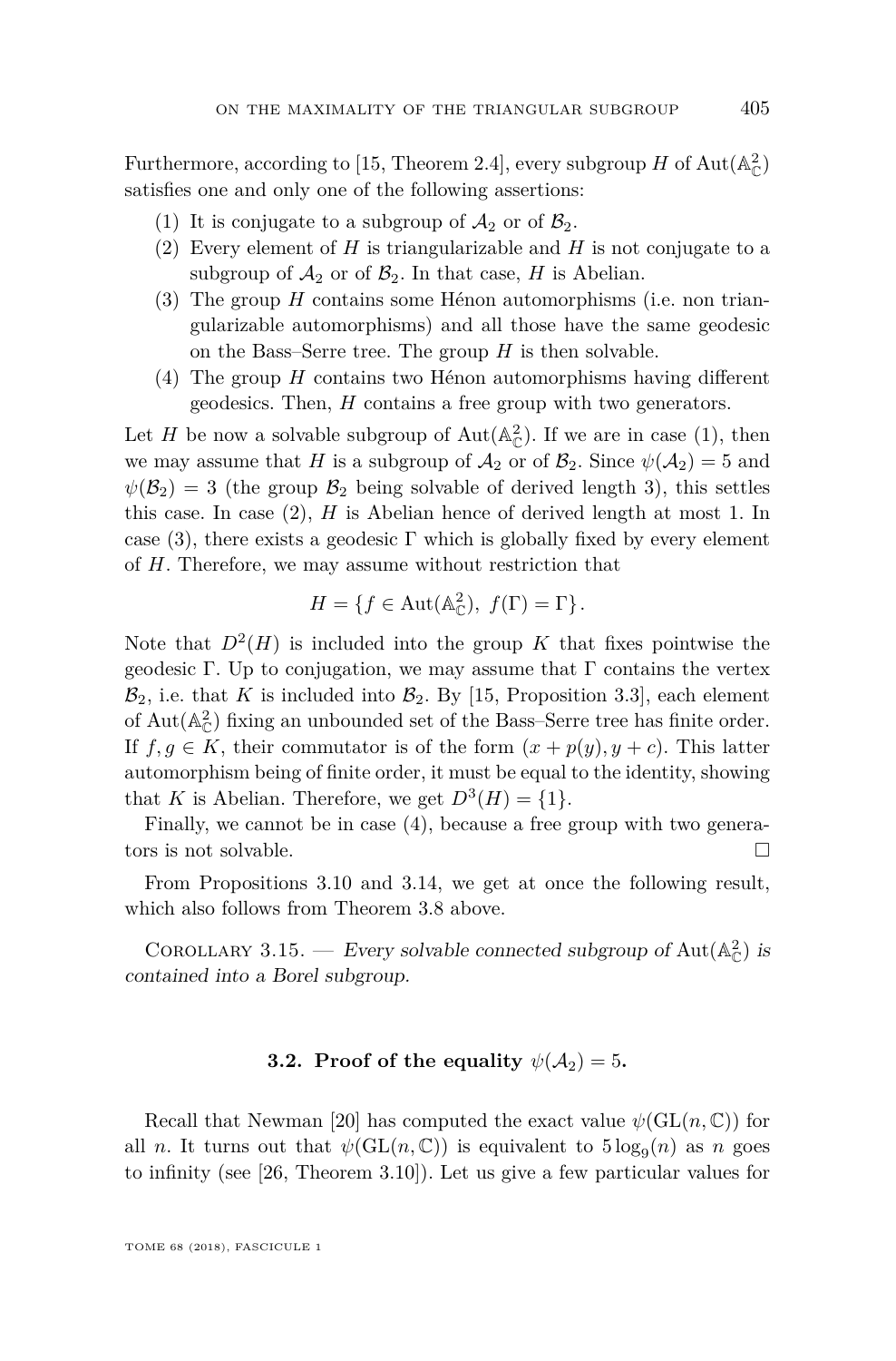Furthermore, according to [\[15,](#page-28-0) Theorem 2.4], every subgroup  $H$  of  $\text{Aut}(\mathbb{A}_{\mathbb{C}}^2)$ satisfies one and only one of the following assertions:

- <span id="page-13-0"></span>(1) It is conjugate to a subgroup of  $A_2$  or of  $B_2$ .
- <span id="page-13-1"></span>(2) Every element of *H* is triangularizable and *H* is not conjugate to a subgroup of  $A_2$  or of  $B_2$ . In that case, *H* is Abelian.
- <span id="page-13-2"></span>(3) The group *H* contains some Hénon automorphisms (i.e. non triangularizable automorphisms) and all those have the same geodesic on the Bass–Serre tree. The group *H* is then solvable.
- <span id="page-13-3"></span>(4) The group *H* contains two Hénon automorphisms having different geodesics. Then, *H* contains a free group with two generators.

Let *H* be now a solvable subgroup of  $Aut(A_C^2)$ . If we are in case [\(1\)](#page-13-0), then we may assume that *H* is a subgroup of  $\mathcal{A}_2$  or of  $\mathcal{B}_2$ . Since  $\psi(\mathcal{A}_2) = 5$  and  $\psi(\mathcal{B}_2) = 3$  (the group  $\mathcal{B}_2$  being solvable of derived length 3), this settles this case. In case [\(2\)](#page-13-1), *H* is Abelian hence of derived length at most 1. In case [\(3\)](#page-13-2), there exists a geodesic  $\Gamma$  which is globally fixed by every element of *H*. Therefore, we may assume without restriction that

$$
H = \{ f \in \text{Aut}(\mathbb{A}_{\mathbb{C}}^2), f(\Gamma) = \Gamma \}.
$$

Note that  $D^2(H)$  is included into the group K that fixes pointwise the geodesic Γ. Up to conjugation, we may assume that Γ contains the vertex  $\mathcal{B}_2$ , i.e. that *K* is included into  $\mathcal{B}_2$ . By [\[15,](#page-28-0) Proposition 3.3], each element of  $Aut(A_{\mathbb{C}}^2)$  fixing an unbounded set of the Bass–Serre tree has finite order. If  $f, g \in K$ , their commutator is of the form  $(x + p(y), y + c)$ . This latter automorphism being of finite order, it must be equal to the identity, showing that *K* is Abelian. Therefore, we get  $D^3(H) = \{1\}.$ 

Finally, we cannot be in case [\(4\)](#page-13-3), because a free group with two generators is not solvable.

From Propositions [3.10](#page-11-0) and [3.14,](#page-12-0) we get at once the following result, which also follows from Theorem [3.8](#page-10-2) above.

COROLLARY 3.15. — Every solvable connected subgroup of Aut $(\mathbb{A}_{\mathbb{C}}^2)$  is contained into a Borel subgroup.

#### **3.2.** Proof of the equality  $\psi(A_2) = 5$ .

Recall that Newman [\[20\]](#page-28-12) has computed the exact value  $\psi(\mathrm{GL}(n,\mathbb{C}))$  for all *n*. It turns out that  $\psi(\text{GL}(n,\mathbb{C}))$  is equivalent to  $5\log_9(n)$  as *n* goes to infinity (see [\[26,](#page-28-7) Theorem 3.10]). Let us give a few particular values for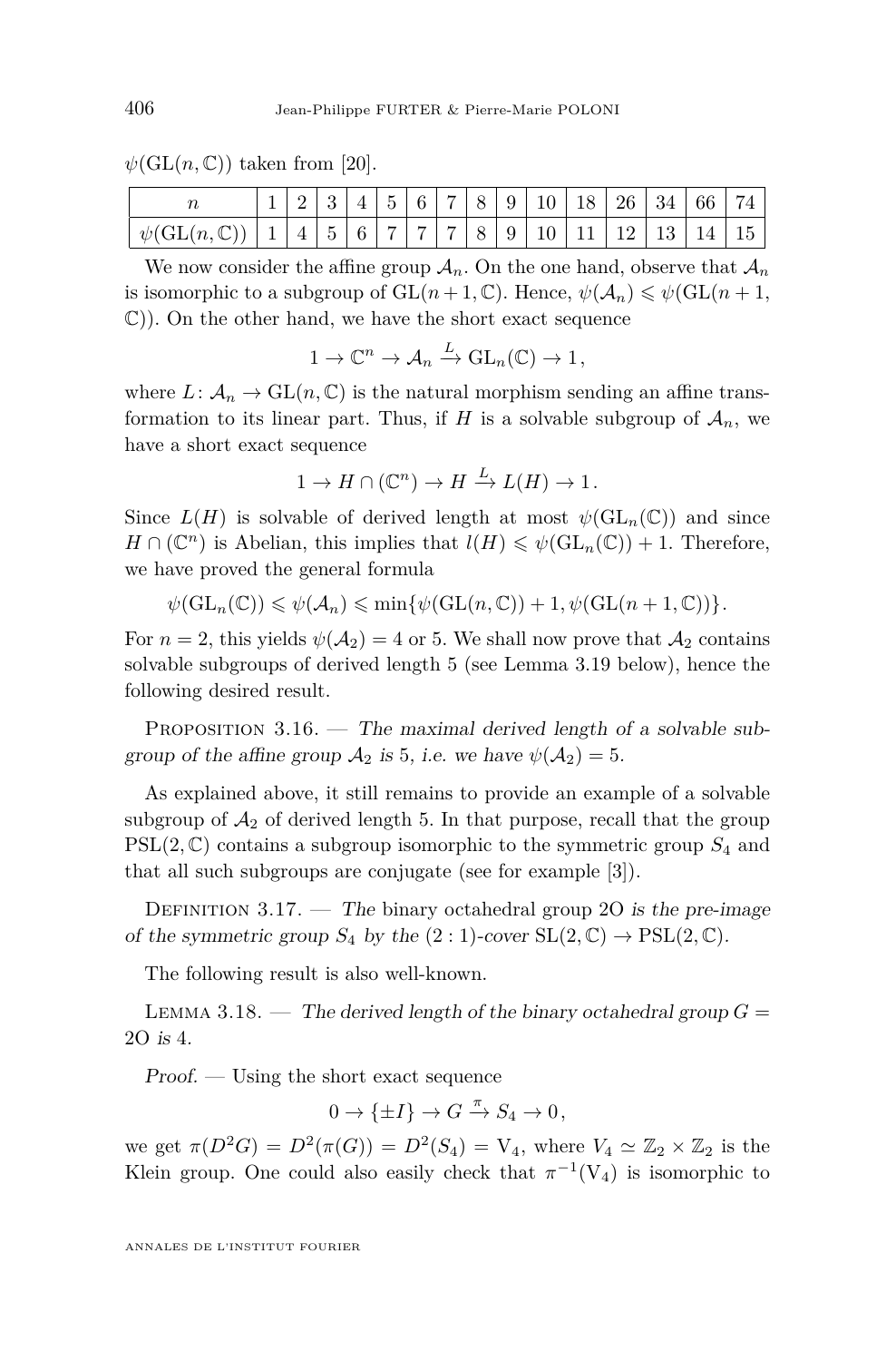|  |  |  | $\psi(\operatorname{GL}(n,\mathbb{C}))$ taken from [20]. |  |  |  |
|--|--|--|----------------------------------------------------------|--|--|--|
|--|--|--|----------------------------------------------------------|--|--|--|

|                                                                        |  |  |  |  |  |  | $1 \mid 2 \mid 3 \mid 4 \mid 5 \mid 6 \mid 7 \mid 8 \mid 9 \mid 10 \mid 18 \mid 26 \mid 34 \mid 66 \mid 74$ |  |
|------------------------------------------------------------------------|--|--|--|--|--|--|-------------------------------------------------------------------------------------------------------------|--|
| $ \psi(\mathrm{GL}(n,\mathbb{C})) 1 4 5 6 7 7 7 8 9 10 11 12 13 14 15$ |  |  |  |  |  |  |                                                                                                             |  |

We now consider the affine group  $A_n$ . On the one hand, observe that  $A_n$ is isomorphic to a subgroup of  $GL(n+1,\mathbb{C})$ . Hence,  $\psi(\mathcal{A}_n) \leq \psi(\mathrm{GL}(n+1,\mathbb{C}))$ C)). On the other hand, we have the short exact sequence

$$
1 \to \mathbb{C}^n \to \mathcal{A}_n \xrightarrow{L} \mathrm{GL}_n(\mathbb{C}) \to 1,
$$

where  $L: \mathcal{A}_n \to GL(n, \mathbb{C})$  is the natural morphism sending an affine transformation to its linear part. Thus, if *H* is a solvable subgroup of  $A_n$ , we have a short exact sequence

$$
1 \to H \cap (\mathbb{C}^n) \to H \xrightarrow{L} L(H) \to 1.
$$

Since  $L(H)$  is solvable of derived length at most  $\psi(\mathrm{GL}_n(\mathbb{C}))$  and since  $H \cap (\mathbb{C}^n)$  is Abelian, this implies that  $l(H) \leq \psi(\mathrm{GL}_n(\mathbb{C})) + 1$ . Therefore, we have proved the general formula

$$
\psi(\mathrm{GL}_n(\mathbb{C})) \leq \psi(\mathcal{A}_n) \leq \min \{ \psi(\mathrm{GL}(n,\mathbb{C})) + 1, \psi(\mathrm{GL}(n+1,\mathbb{C})) \}.
$$

For  $n = 2$ , this yields  $\psi(\mathcal{A}_2) = 4$  or 5. We shall now prove that  $\mathcal{A}_2$  contains solvable subgroups of derived length 5 (see Lemma [3.19](#page-15-0) below), hence the following desired result.

<span id="page-14-0"></span>PROPOSITION  $3.16.$  — The maximal derived length of a solvable subgroup of the affine group  $\mathcal{A}_2$  is 5, i.e. we have  $\psi(\mathcal{A}_2) = 5$ .

As explained above, it still remains to provide an example of a solvable subgroup of  $A_2$  of derived length 5. In that purpose, recall that the group  $PSL(2,\mathbb{C})$  contains a subgroup isomorphic to the symmetric group  $S_4$  and that all such subgroups are conjugate (see for example [\[3\]](#page-27-4)).

DEFINITION 3.17. — The binary octahedral group 20 is the pre-image of the symmetric group  $S_4$  by the  $(2:1)$ -cover  $SL(2,\mathbb{C}) \to PSL(2,\mathbb{C})$ .

The following result is also well-known.

<span id="page-14-1"></span>LEMMA 3.18.  $\blacksquare$  The derived length of the binary octahedral group  $G =$ 2O is 4.

Proof. — Using the short exact sequence

$$
0 \to \{\pm I\} \to G \xrightarrow{\pi} S_4 \to 0,
$$

we get  $\pi(D^2G) = D^2(\pi(G)) = D^2(S_4) = V_4$ , where  $V_4 \simeq \mathbb{Z}_2 \times \mathbb{Z}_2$  is the Klein group. One could also easily check that  $\pi^{-1}(V_4)$  is isomorphic to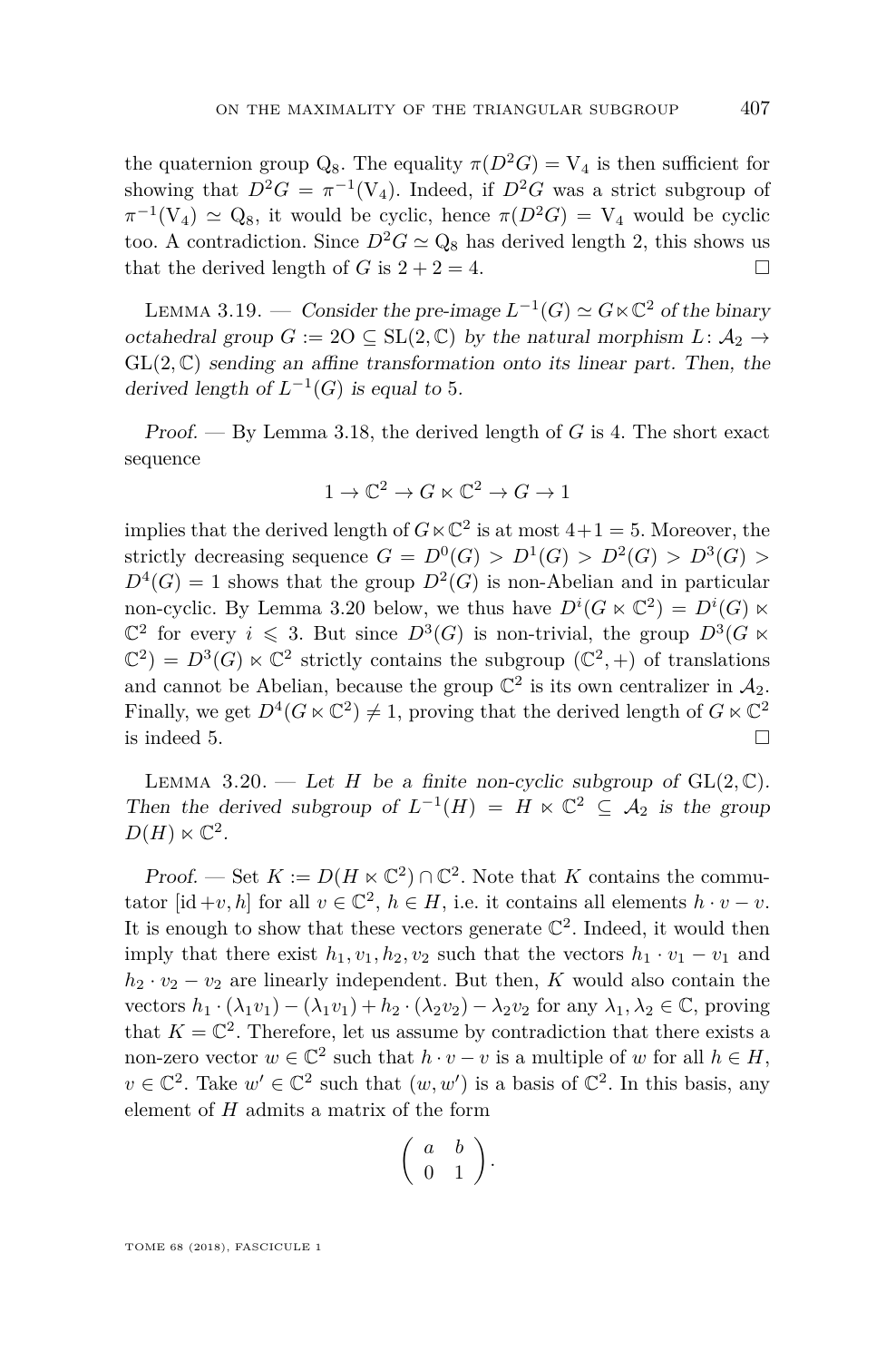the quaternion group  $Q_8$ . The equality  $\pi(D^2G) = V_4$  is then sufficient for showing that  $D^2G = \pi^{-1}(V_4)$ . Indeed, if  $D^2G$  was a strict subgroup of  $\pi^{-1}(V_4) \simeq Q_8$ , it would be cyclic, hence  $\pi(D^2G) = V_4$  would be cyclic too. A contradiction. Since  $D^2G \simeq Q_8$  has derived length 2, this shows us that the derived length of *G* is  $2 + 2 = 4$ .

<span id="page-15-0"></span>LEMMA 3.19. — Consider the pre-image  $L^{-1}(G) \simeq G \ltimes \mathbb{C}^2$  of the binary octahedral group  $G := 20 \subseteq SL(2, \mathbb{C})$  by the natural morphism  $L: \mathcal{A}_2 \to$  $GL(2,\mathbb{C})$  sending an affine transformation onto its linear part. Then, the derived length of  $L^{-1}(G)$  is equal to 5.

Proof. — By Lemma [3.18,](#page-14-1) the derived length of *G* is 4. The short exact sequence

$$
1 \to \mathbb{C}^2 \to G \ltimes \mathbb{C}^2 \to G \to 1
$$

implies that the derived length of  $G \ltimes \mathbb{C}^2$  is at most  $4+1=5$ . Moreover, the strictly decreasing sequence  $G = D^{0}(G) > D^{1}(G) > D^{2}(G) > D^{3}(G) >$  $D^4(G) = 1$  shows that the group  $D^2(G)$  is non-Abelian and in particular non-cyclic. By Lemma [3.20](#page-15-1) below, we thus have  $D^i(G \ltimes \mathbb{C}^2) = D^i(G) \ltimes$  $\mathbb{C}^2$  for every  $i \leq 3$ . But since  $D^3(G)$  is non-trivial, the group  $D^3(G \ltimes$  $\mathbb{C}^2$  =  $D^3(G) \ltimes \mathbb{C}^2$  strictly contains the subgroup  $(\mathbb{C}^2, +)$  of translations and cannot be Abelian, because the group  $\mathbb{C}^2$  is its own centralizer in  $\mathcal{A}_2$ . Finally, we get  $D^4(G \ltimes \mathbb{C}^2) \neq 1$ , proving that the derived length of  $G \ltimes \mathbb{C}^2$ is indeed 5.  $\Box$ 

<span id="page-15-1"></span>LEMMA 3.20. — Let *H* be a finite non-cyclic subgroup of  $GL(2, \mathbb{C})$ . Then the derived subgroup of  $L^{-1}(H) = H \ltimes \mathbb{C}^2 \subseteq A_2$  is the group  $D(H) \ltimes \mathbb{C}^2$ .

Proof. — Set  $K := D(H \ltimes \mathbb{C}^2) \cap \mathbb{C}^2$ . Note that *K* contains the commutator [id +*v*, *h*] for all  $v \in \mathbb{C}^2$ ,  $h \in H$ , i.e. it contains all elements  $h \cdot v - v$ . It is enough to show that these vectors generate  $\mathbb{C}^2$ . Indeed, it would then imply that there exist  $h_1, v_1, h_2, v_2$  such that the vectors  $h_1 \cdot v_1 - v_1$  and  $h_2 \cdot v_2 - v_2$  are linearly independent. But then, *K* would also contain the vectors  $h_1 \cdot (\lambda_1 v_1) - (\lambda_1 v_1) + h_2 \cdot (\lambda_2 v_2) - \lambda_2 v_2$  for any  $\lambda_1, \lambda_2 \in \mathbb{C}$ , proving that  $K = \mathbb{C}^2$ . Therefore, let us assume by contradiction that there exists a non-zero vector  $w \in \mathbb{C}^2$  such that  $h \cdot v - v$  is a multiple of *w* for all  $h \in H$ ,  $v \in \mathbb{C}^2$ . Take  $w' \in \mathbb{C}^2$  such that  $(w, w')$  is a basis of  $\mathbb{C}^2$ . In this basis, any element of *H* admits a matrix of the form

$$
\left(\begin{array}{cc}a&b\\0&1\end{array}\right).
$$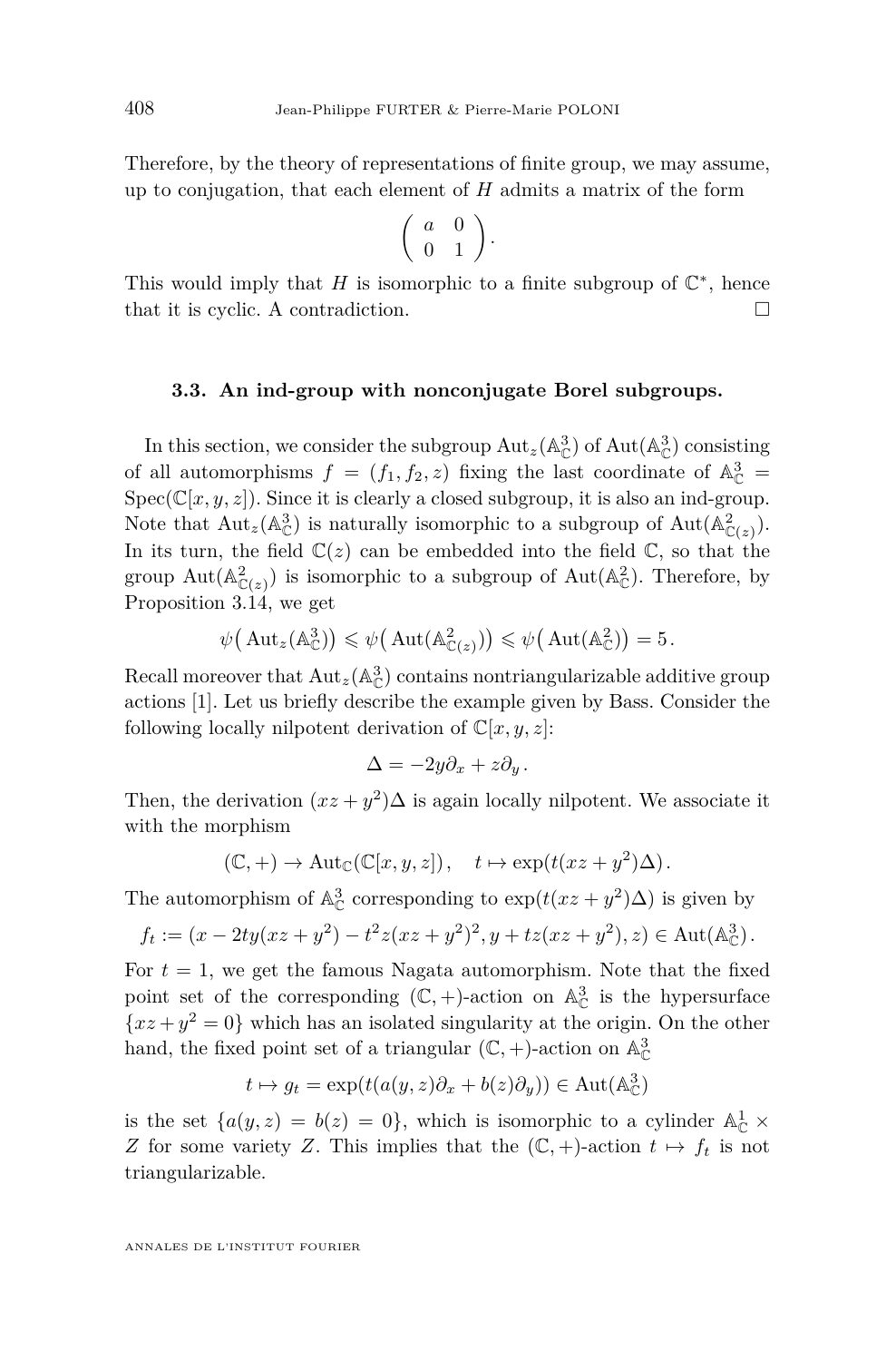Therefore, by the theory of representations of finite group, we may assume, up to conjugation, that each element of *H* admits a matrix of the form

$$
\left(\begin{array}{cc}a&0\\0&1\end{array}\right).
$$

This would imply that  $H$  is isomorphic to a finite subgroup of  $\mathbb{C}^*$ , hence that it is cyclic. A contradiction.

#### **3.3. An ind-group with nonconjugate Borel subgroups.**

In this section, we consider the subgroup  $\text{Aut}_z(\mathbb{A}_{\mathbb{C}}^3)$  of  $\text{Aut}(\mathbb{A}_{\mathbb{C}}^3)$  consisting of all automorphisms  $f = (f_1, f_2, z)$  fixing the last coordinate of  $\mathbb{A}_{\mathbb{C}}^3$  $Spec(\mathbb{C}[x, y, z])$ . Since it is clearly a closed subgroup, it is also an ind-group. Note that  $Aut_z(\mathbb{A}_{\mathbb{C}}^3)$  is naturally isomorphic to a subgroup of  $Aut(\mathbb{A}_{\mathbb{C}(z)}^2)$ . In its turn, the field  $\mathbb{C}(z)$  can be embedded into the field  $\mathbb{C}$ , so that the group  $Aut(A^2_{\mathbb{C}(z)})$  is isomorphic to a subgroup of  $Aut(A^2_{\mathbb{C}})$ . Therefore, by Proposition [3.14,](#page-12-0) we get

$$
\psi\big(\operatorname{Aut}_z(\mathbb{A}_{\mathbb{C}}^3)\big)\leqslant\psi\big(\operatorname{Aut}(\mathbb{A}_{\mathbb{C}(z)}^2)\big)\leqslant\psi\big(\operatorname{Aut}(\mathbb{A}_{\mathbb{C}}^2)\big)=5\,.
$$

Recall moreover that  $\text{Aut}_z(\mathbb{A}^3_\mathbb{C})$  contains nontriangularizable additive group actions [\[1\]](#page-27-1). Let us briefly describe the example given by Bass. Consider the following locally nilpotent derivation of  $\mathbb{C}[x, y, z]$ :

$$
\Delta = -2y\partial_x + z\partial_y.
$$

Then, the derivation  $(xz + y^2)$  $\Delta$  is again locally nilpotent. We associate it with the morphism

$$
(\mathbb{C},+) \to \mathrm{Aut}_{\mathbb{C}}(\mathbb{C}[x,y,z]), \quad t \mapsto \exp(t(xz+y^2)\Delta).
$$

The automorphism of  $\mathbb{A}_{\mathbb{C}}^3$  corresponding to  $\exp(t(xz+y^2)\Delta)$  is given by

$$
f_t:=(x-2ty(xz+y^2)-t^2z(xz+y^2)^2,y+tz(xz+y^2),z)\in \operatorname{Aut}(\mathbb{A}^3_{\mathbb{C}}).
$$

For  $t = 1$ , we get the famous Nagata automorphism. Note that the fixed point set of the corresponding  $(\mathbb{C}, +)$ -action on  $\mathbb{A}_{\mathbb{C}}^3$  is the hypersurface  ${xz + y^2 = 0}$  which has an isolated singularity at the origin. On the other hand, the fixed point set of a triangular  $(\mathbb{C}, +)$ -action on  $\mathbb{A}_{\mathbb{C}}^3$ 

$$
t \mapsto g_t = \exp(t(a(y, z)\partial_x + b(z)\partial_y)) \in \text{Aut}(\mathbb{A}_{\mathbb{C}}^3)
$$

is the set  $\{a(y, z) = b(z) = 0\}$ , which is isomorphic to a cylinder  $\mathbb{A}^1_{\mathbb{C}} \times$ *Z* for some variety *Z*. This implies that the  $(\mathbb{C},+)$ -action  $t \mapsto f_t$  is not triangularizable.

ANNALES DE L'INSTITUT FOURIER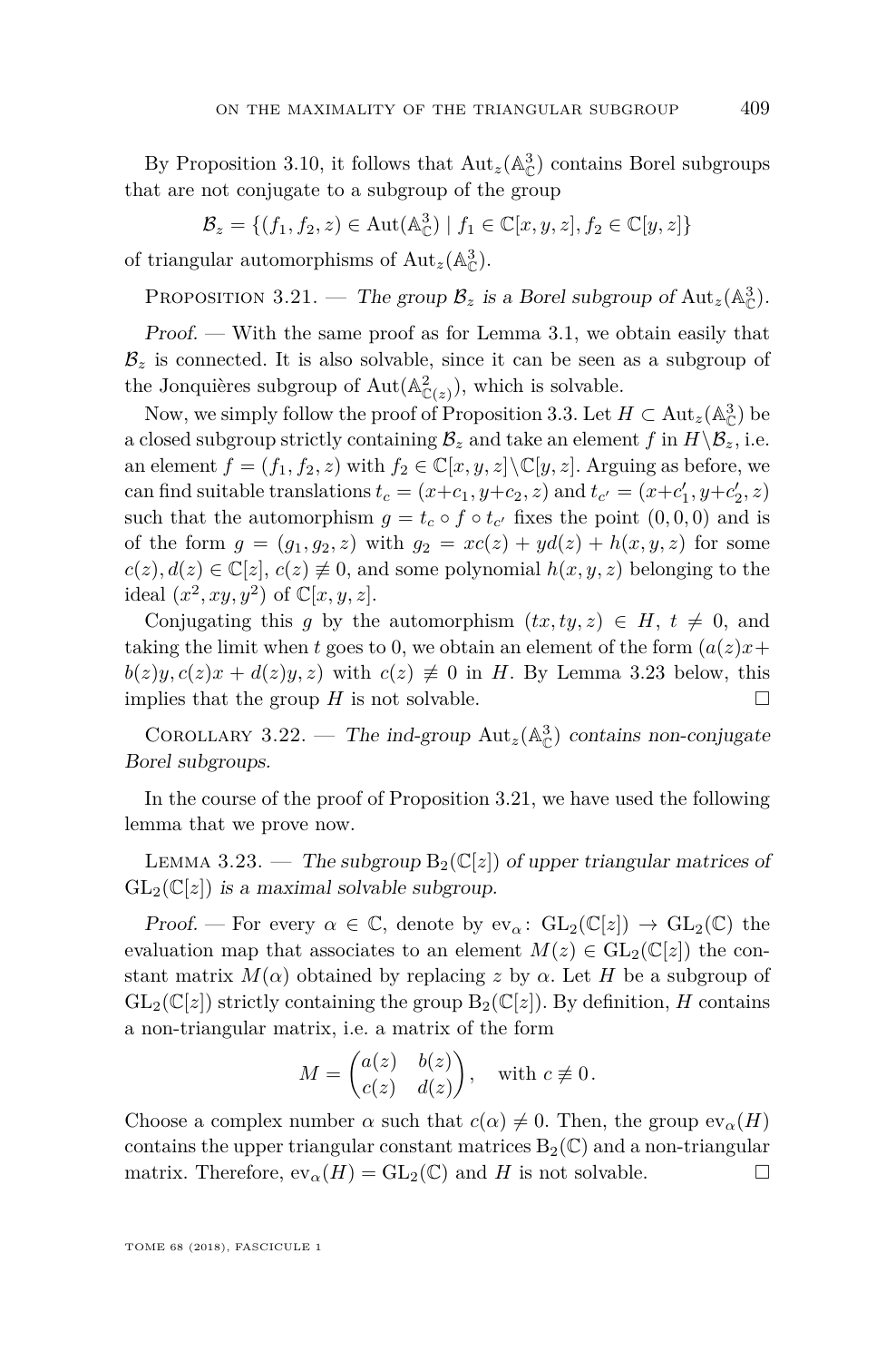By Proposition [3.10,](#page-11-0) it follows that  $\text{Aut}_z(\mathbb{A}^3_\mathbb{C})$  contains Borel subgroups that are not conjugate to a subgroup of the group

$$
\mathcal{B}_z = \{ (f_1, f_2, z) \in \text{Aut}(\mathbb{A}_{\mathbb{C}}^3) \mid f_1 \in \mathbb{C}[x, y, z], f_2 \in \mathbb{C}[y, z] \}
$$

of triangular automorphisms of  $\text{Aut}_z(\mathbb{A}^3_{\mathbb{C}})$ .

<span id="page-17-2"></span>PROPOSITION 3.21. — The group  $\mathcal{B}_z$  is a Borel subgroup of  $\text{Aut}_z(\mathbb{A}_{\mathbb{C}}^3)$ .

Proof. — With the same proof as for Lemma [3.1,](#page-7-2) we obtain easily that  $\mathcal{B}_z$  is connected. It is also solvable, since it can be seen as a subgroup of the Jonquières subgroup of  $\text{Aut}(\mathbb{A}^2_{\mathbb{C}(z)})$ , which is solvable.

Now, we simply follow the proof of Proposition [3.3.](#page-9-0) Let  $H \subset \text{Aut}_z(\mathbb{A}_{\mathbb{C}}^3)$  be a closed subgroup strictly containing  $\mathcal{B}_z$  and take an element  $f$  in  $H\backslash \mathcal{B}_z$ , i.e. an element  $f = (f_1, f_2, z)$  with  $f_2 \in \mathbb{C}[x, y, z] \setminus \mathbb{C}[y, z]$ . Arguing as before, we can find suitable translations  $t_c = (x+c_1, y+c_2, z)$  and  $t_{c'} = (x+c'_1, y+c'_2, z)$ such that the automorphism  $g = t_c \circ f \circ t_{c'}$  fixes the point  $(0,0,0)$  and is of the form  $g = (g_1, g_2, z)$  with  $g_2 = xc(z) + yd(z) + h(x, y, z)$  for some  $c(z)$ ,  $d(z) \in \mathbb{C}[z]$ ,  $c(z) \neq 0$ , and some polynomial  $h(x, y, z)$  belonging to the ideal  $(x^2, xy, y^2)$  of  $\mathbb{C}[x, y, z]$ .

Conjugating this *q* by the automorphism  $(tx, ty, z) \in H$ ,  $t \neq 0$ , and taking the limit when *t* goes to 0, we obtain an element of the form  $(a(z)x+)$  $b(z)y, c(z)x + d(z)y, z)$  with  $c(z) \neq 0$  in *H*. By Lemma [3.23](#page-17-1) below, this implies that the group  $H$  is not solvable.  $\Box$ 

<span id="page-17-0"></span>COROLLARY 3.22. — The ind-group  $Aut_z(\mathbb{A}_{\mathbb{C}}^3)$  contains non-conjugate Borel subgroups.

In the course of the proof of Proposition [3.21,](#page-17-2) we have used the following lemma that we prove now.

<span id="page-17-1"></span>LEMMA 3.23. — The subgroup  $B_2(\mathbb{C}[z])$  of upper triangular matrices of  $GL_2(\mathbb{C}[z])$  is a maximal solvable subgroup.

Proof. — For every  $\alpha \in \mathbb{C}$ , denote by  $ev_{\alpha}$ :  $GL_2(\mathbb{C}[z]) \to GL_2(\mathbb{C})$  the evaluation map that associates to an element  $M(z) \in GL_2(\mathbb{C}[z])$  the constant matrix  $M(\alpha)$  obtained by replacing z by  $\alpha$ . Let H be a subgroup of  $GL_2(\mathbb{C}[z])$  strictly containing the group  $B_2(\mathbb{C}[z])$ . By definition, *H* contains a non-triangular matrix, i.e. a matrix of the form

$$
M = \begin{pmatrix} a(z) & b(z) \\ c(z) & d(z) \end{pmatrix}, \text{ with } c \neq 0.
$$

Choose a complex number  $\alpha$  such that  $c(\alpha) \neq 0$ . Then, the group  $ev_{\alpha}(H)$ contains the upper triangular constant matrices  $B_2(\mathbb{C})$  and a non-triangular matrix. Therefore,  $ev_{\alpha}(H) = GL_2(\mathbb{C})$  and *H* is not solvable.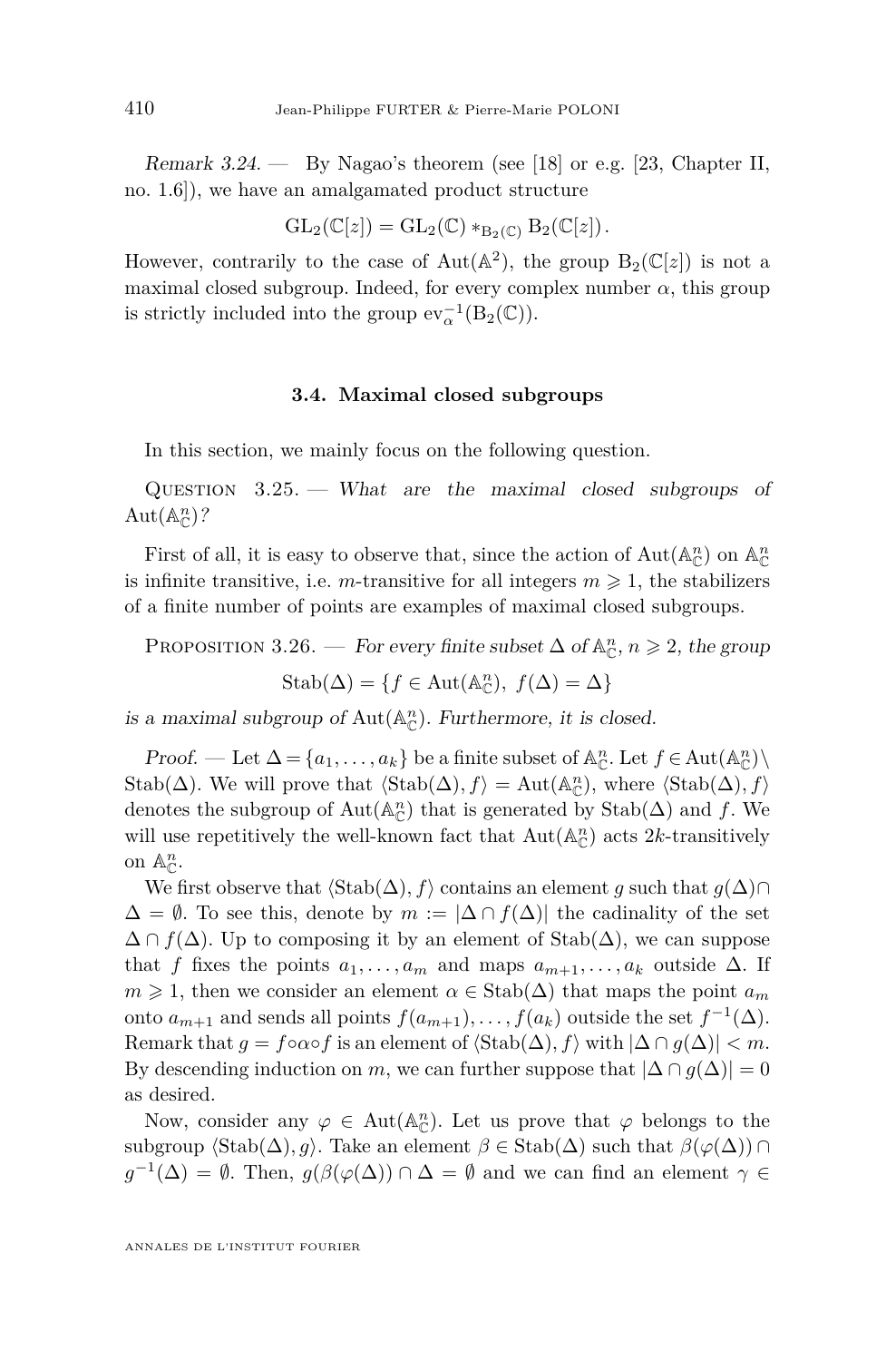Remark 3.24. — By Nagao's theorem (see [\[18\]](#page-28-13) or e.g. [\[23,](#page-28-11) Chapter II, no. 1.6]), we have an amalgamated product structure

$$
\mathrm{GL}_2(\mathbb{C}[z])=\mathrm{GL}_2(\mathbb{C})\ast_{\mathrm{B}_2(\mathbb{C})}\mathrm{B}_2(\mathbb{C}[z]).
$$

However, contrarily to the case of  $Aut(A^2)$ , the group  $B_2(\mathbb{C}[z])$  is not a maximal closed subgroup. Indeed, for every complex number  $\alpha$ , this group is strictly included into the group  $ev_\alpha^{-1}(B_2(\mathbb{C}))$ .

#### **3.4. Maximal closed subgroups**

In this section, we mainly focus on the following question.

QUESTION  $3.25.$  What are the maximal closed subgroups of  $Aut(\mathbb{A}_{\mathbb{C}}^n)$ ?

First of all, it is easy to observe that, since the action of  $Aut(A_{\mathbb{C}}^n)$  on  $A_{\mathbb{C}}^n$ is infinite transitive, i.e. *m*-transitive for all integers  $m \geq 1$ , the stabilizers of a finite number of points are examples of maximal closed subgroups.

PROPOSITION 3.26. — For every finite subset  $\Delta$  of  $\mathbb{A}_{\mathbb{C}}^n$ ,  $n \geq 2$ , the group

$$
Stab(\Delta) = \{ f \in Aut(\mathbb{A}_{\mathbb{C}}^n), f(\Delta) = \Delta \}
$$

is a maximal subgroup of  $\text{Aut}(\mathbb{A}_{\mathbb{C}}^n)$ . Furthermore, it is closed.

Proof. — Let  $\Delta = \{a_1, \ldots, a_k\}$  be a finite subset of  $\mathbb{A}_{\mathbb{C}}^n$ . Let  $f \in \text{Aut}(\mathbb{A}_{\mathbb{C}}^n) \setminus$ Stab( $\Delta$ ). We will prove that  $\langle \text{Stab}(\Delta), f \rangle = \text{Aut}(\mathbb{A}_{\mathbb{C}}^n)$ , where  $\langle \text{Stab}(\Delta), f \rangle$ denotes the subgroup of  $\text{Aut}(\mathbb{A}_{\mathbb{C}}^n)$  that is generated by  $\text{Stab}(\Delta)$  and f. We will use repetitively the well-known fact that  $\text{Aut}(\mathbb{A}_{\mathbb{C}}^n)$  acts 2k-transitively on  $\mathbb{A}^n_{\mathbb{C}}$ .

We first observe that  $\langle \text{Stab}(\Delta), f \rangle$  contains an element *g* such that  $g(\Delta) \cap$  $\Delta = \emptyset$ . To see this, denote by  $m := |\Delta \cap f(\Delta)|$  the cadinality of the set  $\Delta \cap f(\Delta)$ . Up to composing it by an element of Stab( $\Delta$ ), we can suppose that *f* fixes the points  $a_1, \ldots, a_m$  and maps  $a_{m+1}, \ldots, a_k$  outside  $\Delta$ . If  $m \geq 1$ , then we consider an element  $\alpha \in \text{Stab}(\Delta)$  that maps the point  $a_m$ onto  $a_{m+1}$  and sends all points  $f(a_{m+1}), \ldots, f(a_k)$  outside the set  $f^{-1}(\Delta)$ . Remark that  $g = f \circ \alpha \circ f$  is an element of  $\langle \text{Stab}(\Delta), f \rangle$  with  $|\Delta \cap g(\Delta)| < m$ . By descending induction on *m*, we can further suppose that  $|\Delta \cap g(\Delta)| = 0$ as desired.

Now, consider any  $\varphi \in \text{Aut}(\mathbb{A}_{\mathbb{C}}^n)$ . Let us prove that  $\varphi$  belongs to the subgroup  $\langle \text{Stab}(\Delta), g \rangle$ . Take an element  $\beta \in \text{Stab}(\Delta)$  such that  $\beta(\varphi(\Delta)) \cap$  $g^{-1}(\Delta) = \emptyset$ . Then,  $g(\beta(\varphi(\Delta)) \cap \Delta = \emptyset$  and we can find an element  $\gamma \in$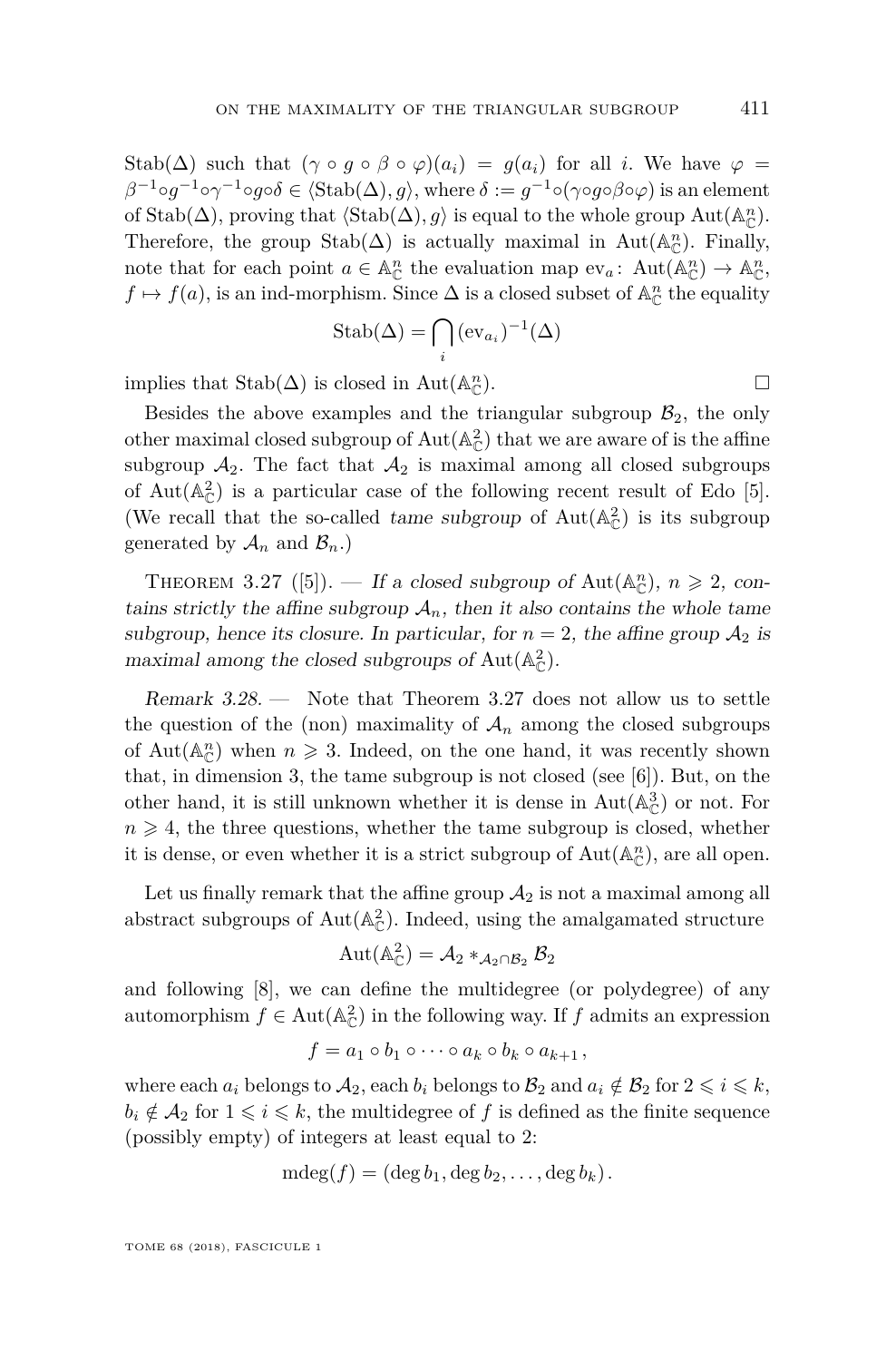Stab( $\Delta$ ) such that  $(\gamma \circ g \circ \beta \circ \varphi)(a_i) = g(a_i)$  for all *i*. We have  $\varphi =$ *β*<sup>-1</sup>◦*g*<sup>-1</sup>◦γ<sup>-1</sup>◦*g*◦δ ∈  $\langle \mathrm{Stab}(\Delta), g \rangle$ , where  $\delta := g^{-1} ∘(\gamma ∘ g ∘ \beta ∘ \varphi)$  is an element of Stab( $\Delta$ ), proving that  $\langle \text{Stab}(\Delta), g \rangle$  is equal to the whole group  $\text{Aut}(\mathbb{A}_{\mathbb{C}}^n)$ . Therefore, the group  $\text{Stab}(\Delta)$  is actually maximal in  $\text{Aut}(\mathbb{A}_{\mathbb{C}}^n)$ . Finally, note that for each point  $a \in \mathbb{A}_{\mathbb{C}}^n$  the evaluation map  $ev_a$ :  $Aut(\mathbb{A}_{\mathbb{C}}^n) \to \mathbb{A}_{\mathbb{C}}^n$ ,  $f \mapsto f(a)$ , is an ind-morphism. Since  $\Delta$  is a closed subset of  $\mathbb{A}_{\mathbb{C}}^n$  the equality

$$
Stab(\Delta) = \bigcap_i (\mathrm{ev}_{a_i})^{-1}(\Delta)
$$

implies that  $\text{Stab}(\Delta)$  is closed in  $\text{Aut}(\mathbb{A}_{\mathbb{C}}^n)$ ).  $\qquad \qquad \Box$ 

Besides the above examples and the triangular subgroup  $\mathcal{B}_2$ , the only other maximal closed subgroup of  $\text{Aut}(\mathbb{A}_{\mathbb{C}}^2)$  that we are aware of is the affine subgroup  $A_2$ . The fact that  $A_2$  is maximal among all closed subgroups of Aut $(\mathbb{A}_{\mathbb{C}}^2)$  is a particular case of the following recent result of Edo [\[5\]](#page-27-5). (We recall that the so-called tame subgroup of  $Aut(A_C^2)$  is its subgroup generated by  $A_n$  and  $B_n$ .)

<span id="page-19-0"></span>THEOREM 3.27 ([\[5\]](#page-27-5)). — If a closed subgroup of Aut $(\mathbb{A}_{\mathbb{C}}^n)$ ,  $n \geq 2$ , contains strictly the affine subgroup  $A_n$ , then it also contains the whole tame subgroup, hence its closure. In particular, for  $n = 2$ , the affine group  $\mathcal{A}_2$  is maximal among the closed subgroups of  $Aut(A_C^2)$ .

Remark 3.28. — Note that Theorem [3.27](#page-19-0) does not allow us to settle the question of the (non) maximality of  $A_n$  among the closed subgroups of  $\text{Aut}(\mathbb{A}_{\mathbb{C}}^n)$  when  $n \geq 3$ . Indeed, on the one hand, it was recently shown that, in dimension 3, the tame subgroup is not closed (see [\[6\]](#page-27-6)). But, on the other hand, it is still unknown whether it is dense in  $Aut(A^3_{\mathbb{C}})$  or not. For  $n \geq 4$ , the three questions, whether the tame subgroup is closed, whether it is dense, or even whether it is a strict subgroup of  $Aut(A_{\mathbb{C}}^{n})$ , are all open.

Let us finally remark that the affine group  $A_2$  is not a maximal among all abstract subgroups of  $\text{Aut}(\mathbb{A}_{\mathbb{C}}^2)$ . Indeed, using the amalgamated structure

$$
\operatorname{Aut}(\mathbb{A}_{\mathbb{C}}^2)=\mathcal{A}_2\ast_{\mathcal{A}_2\cap\mathcal{B}_2}\mathcal{B}_2
$$

and following [\[8\]](#page-27-7), we can define the multidegree (or polydegree) of any automorphism  $f \in Aut(A_{\mathbb{C}}^2)$  in the following way. If  $f$  admits an expression

$$
f = a_1 \circ b_1 \circ \cdots \circ a_k \circ b_k \circ a_{k+1},
$$

where each  $a_i$  belongs to  $A_2$ , each  $b_i$  belongs to  $B_2$  and  $a_i \notin B_2$  for  $2 \leq i \leq k$ ,  $b_i \notin A_2$  for  $1 \leq i \leq k$ , the multidegree of *f* is defined as the finite sequence (possibly empty) of integers at least equal to 2:

$$
\mathrm{mdeg}(f)=(\deg b_1,\deg b_2,\ldots,\deg b_k).
$$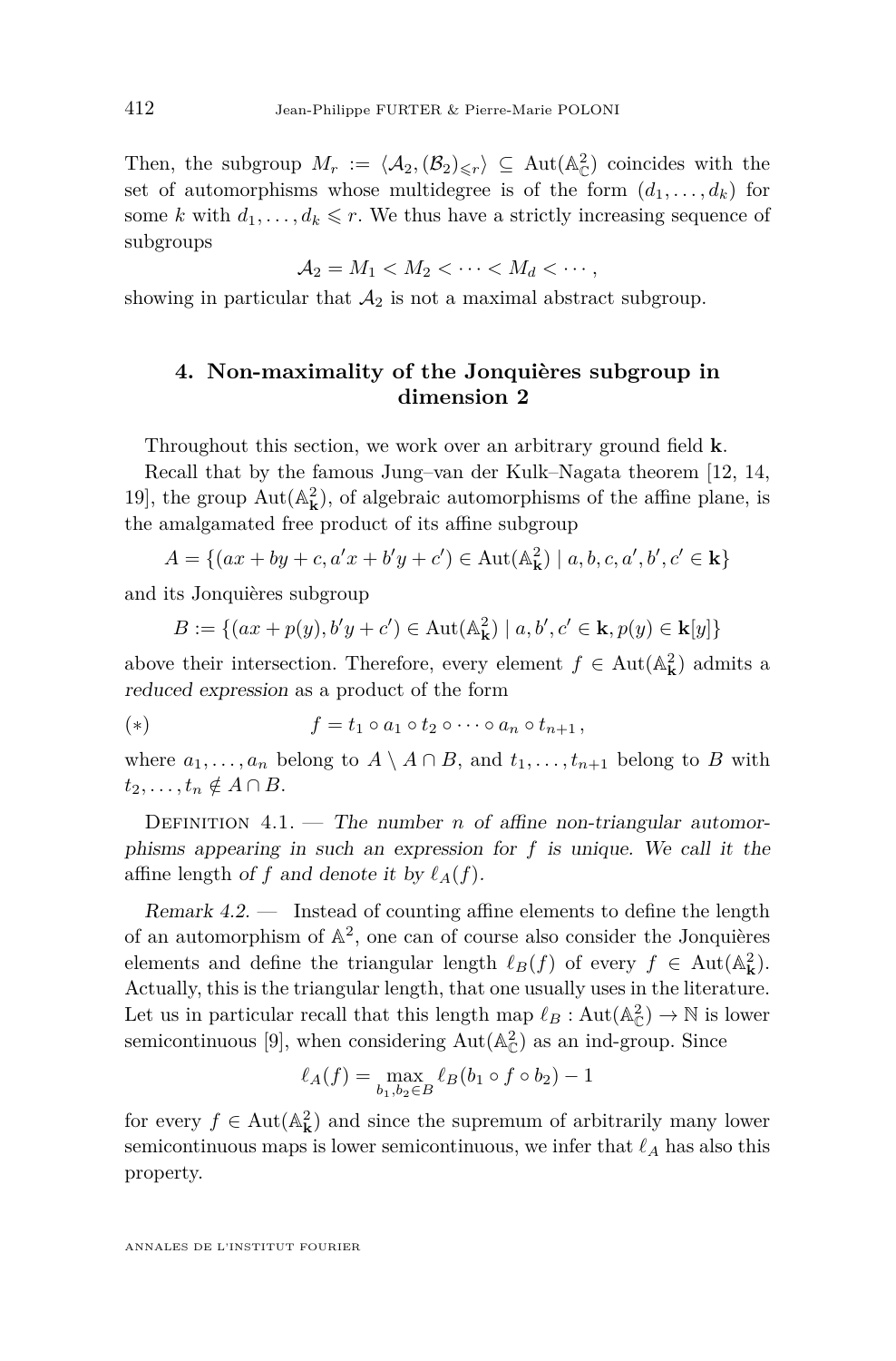Then, the subgroup  $M_r := \langle A_2, (B_2)_{\leq r} \rangle \subseteq \text{Aut}(\mathbb{A}_{\mathbb{C}}^2)$  coincides with the set of automorphisms whose multidegree is of the form  $(d_1, \ldots, d_k)$  for some *k* with  $d_1, \ldots, d_k \leq r$ . We thus have a strictly increasing sequence of subgroups

$$
\mathcal{A}_2 = M_1 < M_2 < \cdots < M_d < \cdots,
$$

showing in particular that  $A_2$  is not a maximal abstract subgroup.

## <span id="page-20-0"></span>**4. Non-maximality of the Jonquières subgroup in dimension 2**

Throughout this section, we work over an arbitrary ground field **k**.

Recall that by the famous Jung–van der Kulk–Nagata theorem [\[12,](#page-28-14) [14,](#page-28-15) [19\]](#page-28-16), the group  $Aut(A^2_k)$ , of algebraic automorphisms of the affine plane, is the amalgamated free product of its affine subgroup

$$
A = \{(ax + by + c, a'x + b'y + c') \in \text{Aut}(\mathbb{A}_{\mathbf{k}}^2) \mid a, b, c, a', b', c' \in \mathbf{k}\}\
$$

and its Jonquières subgroup

$$
B := \{ (ax + p(y), b'y + c') \in \text{Aut}(\mathbb{A}_{\mathbf{k}}^2) \mid a, b', c' \in \mathbf{k}, p(y) \in \mathbf{k}[y] \}
$$

above their intersection. Therefore, every element  $f \in Aut(A_{\mathbf{k}}^2)$  admits a reduced expression as a product of the form

<span id="page-20-2"></span>(\*) 
$$
f = t_1 \circ a_1 \circ t_2 \circ \cdots \circ a_n \circ t_{n+1},
$$

where  $a_1, \ldots, a_n$  belong to  $A \setminus A \cap B$ , and  $t_1, \ldots, t_{n+1}$  belong to *B* with  $t_2, \ldots, t_n \notin A \cap B$ .

<span id="page-20-1"></span>DEFINITION  $4.1$ . — The number *n* of affine non-triangular automorphisms appearing in such an expression for *f* is unique. We call it the affine length of *f* and denote it by  $\ell_A(f)$ .

Remark  $4.2$  — Instead of counting affine elements to define the length of an automorphism of  $\mathbb{A}^2$ , one can of course also consider the Jonquières elements and define the triangular length  $\ell_B(f)$  of every  $f \in Aut(A_{\mathbf{k}}^2)$ . Actually, this is the triangular length, that one usually uses in the literature. Let us in particular recall that this length map  $\ell_B : \text{Aut}(\mathbb{A}_{\mathbb{C}}^2) \to \mathbb{N}$  is lower semicontinuous [\[9\]](#page-27-8), when considering  $Aut(A<sup>2</sup><sub>C</sub>)$  as an ind-group. Since

$$
\ell_A(f) = \max_{b_1, b_2 \in B} \ell_B(b_1 \circ f \circ b_2) - 1
$$

for every  $f \in \text{Aut}(\mathbb{A}_{\mathbf{k}}^2)$  and since the supremum of arbitrarily many lower semicontinuous maps is lower semicontinuous, we infer that  $\ell_A$  has also this property.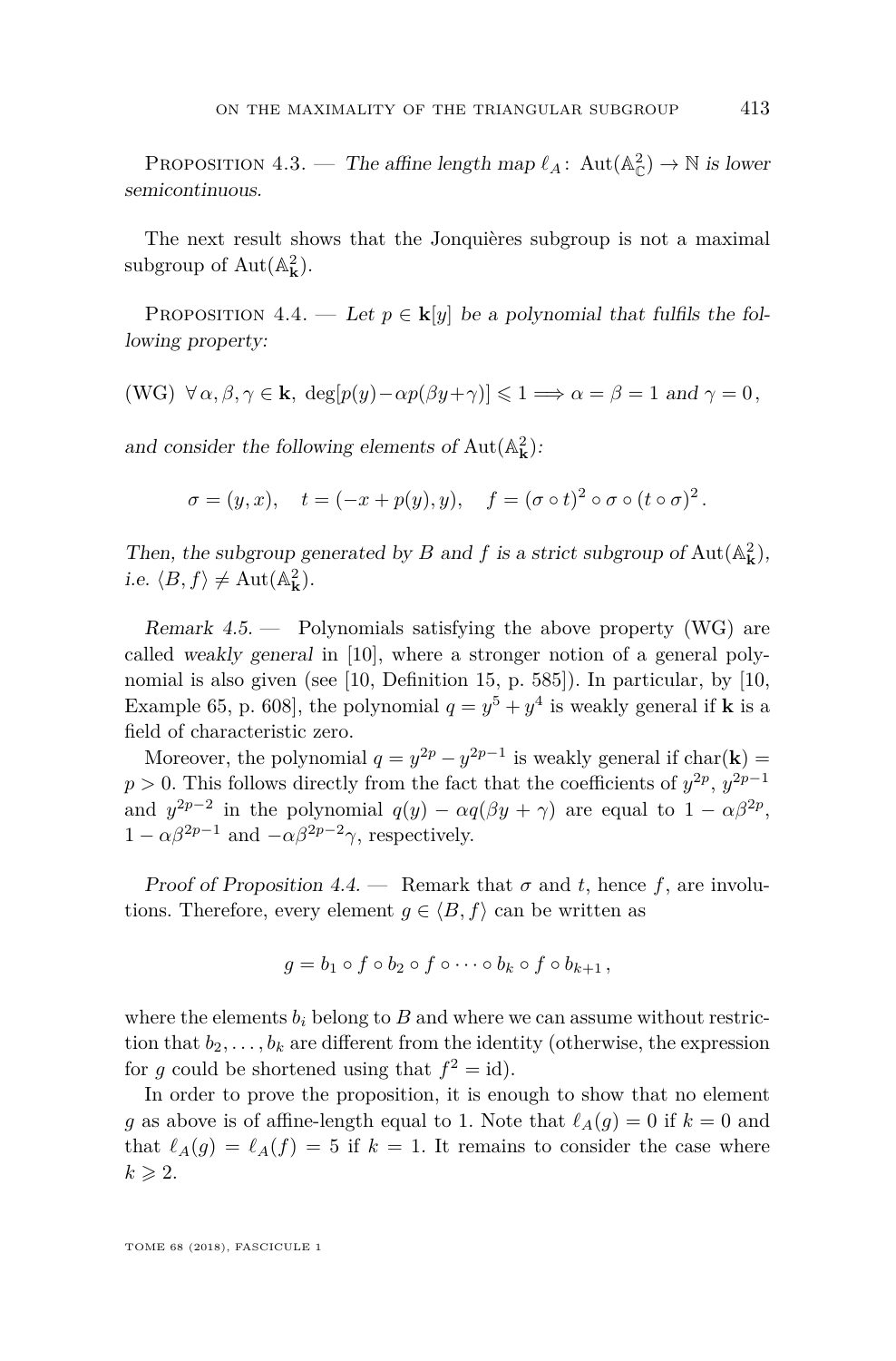PROPOSITION 4.3. — The affine length map  $\ell_A$ : Aut $(\mathbb{A}_{\mathbb{C}}^2) \to \mathbb{N}$  is lower semicontinuous.

The next result shows that the Jonquières subgroup is not a maximal subgroup of  $Aut(A^2_{\mathbf{k}})$ .

<span id="page-21-1"></span>PROPOSITION 4.4. — Let  $p \in \mathbf{k}[y]$  be a polynomial that fulfils the following property:

<span id="page-21-0"></span>(WG) 
$$
\forall \alpha, \beta, \gamma \in \mathbf{k}
$$
,  $\deg[p(y) - \alpha p(\beta y + \gamma)] \leq 1 \Longrightarrow \alpha = \beta = 1$  and  $\gamma = 0$ ,

and consider the following elements of  $Aut(A_{\mathbf{k}}^2)$ :

$$
\sigma = (y, x), \quad t = (-x + p(y), y), \quad f = (\sigma \circ t)^2 \circ \sigma \circ (t \circ \sigma)^2.
$$

Then, the subgroup generated by *B* and *f* is a strict subgroup of  $Aut(A_k^2)$ , i.e.  $\langle B, f \rangle \neq \text{Aut}(\mathbb{A}_{\mathbf{k}}^2)$ .

Remark 4.5. — Polynomials satisfying the above property [\(WG\)](#page-21-0) are called weakly general in [\[10\]](#page-28-17), where a stronger notion of a general polynomial is also given (see [\[10,](#page-28-17) Definition 15, p. 585]). In particular, by [\[10,](#page-28-17) Example 65, p. 608], the polynomial  $q = y^5 + y^4$  is weakly general if **k** is a field of characteristic zero.

Moreover, the polynomial  $q = y^{2p} - y^{2p-1}$  is weakly general if char(**k**) =  $p > 0$ . This follows directly from the fact that the coefficients of  $y^{2p}$ ,  $y^{2p-1}$ and  $y^{2p-2}$  in the polynomial  $q(y) - \alpha q(\beta y + \gamma)$  are equal to  $1 - \alpha \beta^{2p}$ ,  $1 - \alpha \beta^{2p-1}$  and  $-\alpha \beta^{2p-2} \gamma$ , respectively.

Proof of Proposition [4.4.](#page-21-1) — Remark that  $\sigma$  and  $t$ , hence  $f$ , are involutions. Therefore, every element  $g \in \langle B, f \rangle$  can be written as

$$
g = b_1 \circ f \circ b_2 \circ f \circ \cdots \circ b_k \circ f \circ b_{k+1},
$$

where the elements  $b_i$  belong to  $B$  and where we can assume without restriction that  $b_2, \ldots, b_k$  are different from the identity (otherwise, the expression for *g* could be shortened using that  $f^2 = id$ .

In order to prove the proposition, it is enough to show that no element *g* as above is of affine-length equal to 1. Note that  $\ell_A(g) = 0$  if  $k = 0$  and that  $\ell_A(g) = \ell_A(f) = 5$  if  $k = 1$ . It remains to consider the case where  $k \geqslant 2$ .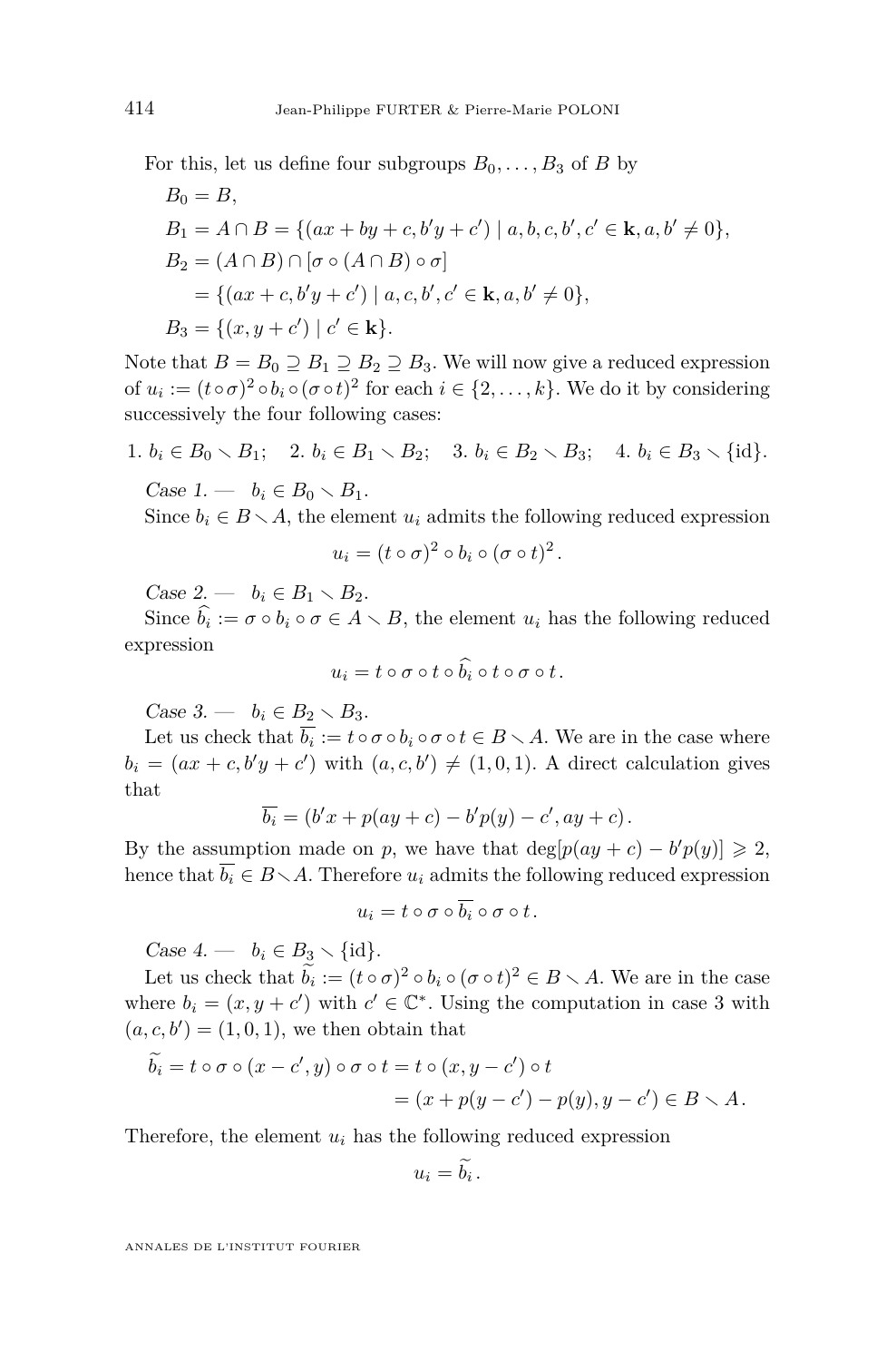For this, let us define four subgroups  $B_0, \ldots, B_3$  of *B* by

$$
B_0 = B,
$$
  
\n
$$
B_1 = A \cap B = \{(ax + by + c, b'y + c') \mid a, b, c, b', c' \in \mathbf{k}, a, b' \neq 0\},
$$
  
\n
$$
B_2 = (A \cap B) \cap [\sigma \circ (A \cap B) \circ \sigma]
$$
  
\n
$$
= \{(ax + c, b'y + c') \mid a, c, b', c' \in \mathbf{k}, a, b' \neq 0\},
$$
  
\n
$$
B_3 = \{(x, y + c') \mid c' \in \mathbf{k}\}.
$$

Note that  $B = B_0 \supseteq B_1 \supseteq B_2 \supseteq B_3$ . We will now give a reduced expression of  $u_i := (t \circ \sigma)^2 \circ b_i \circ (\sigma \circ t)^2$  for each  $i \in \{2, \ldots, k\}$ . We do it by considering successively the four following cases:

1. 
$$
b_i \in B_0 \setminus B_1
$$
; 2.  $b_i \in B_1 \setminus B_2$ ; 3.  $b_i \in B_2 \setminus B_3$ ; 4.  $b_i \in B_3 \setminus \{id\}$ .

Case 1. —  $b_i \in B_0 \setminus B_1$ .

Since  $b_i \in B \setminus A$ , the element  $u_i$  admits the following reduced expression

$$
u_i = (t \circ \sigma)^2 \circ b_i \circ (\sigma \circ t)^2.
$$

Case 2. —  $b_i \in B_1 \setminus B_2$ .

Since  $\hat{b}_i := \sigma \circ b_i \circ \sigma \in A \setminus B$ , the element  $u_i$  has the following reduced expression

$$
u_i = t \circ \sigma \circ t \circ \widehat{b_i} \circ t \circ \sigma \circ t.
$$

Case 3. —  $b_i \in B_2 \setminus B_3$ .

Let us check that  $\overline{b_i} := t \circ \sigma \circ b_i \circ \sigma \circ t \in B \setminus A$ . We are in the case where  $b_i = (ax + c, b'y + c')$  with  $(a, c, b') \neq (1, 0, 1)$ . A direct calculation gives that

$$
\overline{b_i} = (b'x + p(ay + c) - b'p(y) - c', ay + c).
$$

By the assumption made on *p*, we have that  $\deg[p(ay + c) - b'p(y)] \geq 2$ , hence that  $\overline{b_i} \in B \setminus A$ . Therefore  $u_i$  admits the following reduced expression

$$
u_i = t \circ \sigma \circ \overline{b_i} \circ \sigma \circ t.
$$

Case  $4. - b_i \in B_3 \setminus \{\text{id}\}.$ 

Let us check that  $\widetilde{b}_i := (t \circ \sigma)^2 \circ b_i \circ (\sigma \circ t)^2 \in B \setminus A$ . We are in the case where  $b_i = (x, y + c')$  with  $c' \in \mathbb{C}^*$ . Using the computation in case 3 with  $(a, c, b') = (1, 0, 1)$ , we then obtain that

$$
\widetilde{b_i} = t \circ \sigma \circ (x - c', y) \circ \sigma \circ t = t \circ (x, y - c') \circ t
$$
  
=  $(x + p(y - c') - p(y), y - c') \in B \setminus A$ .

Therefore, the element  $u_i$  has the following reduced expression

$$
u_i=b_i.
$$

ANNALES DE L'INSTITUT FOURIER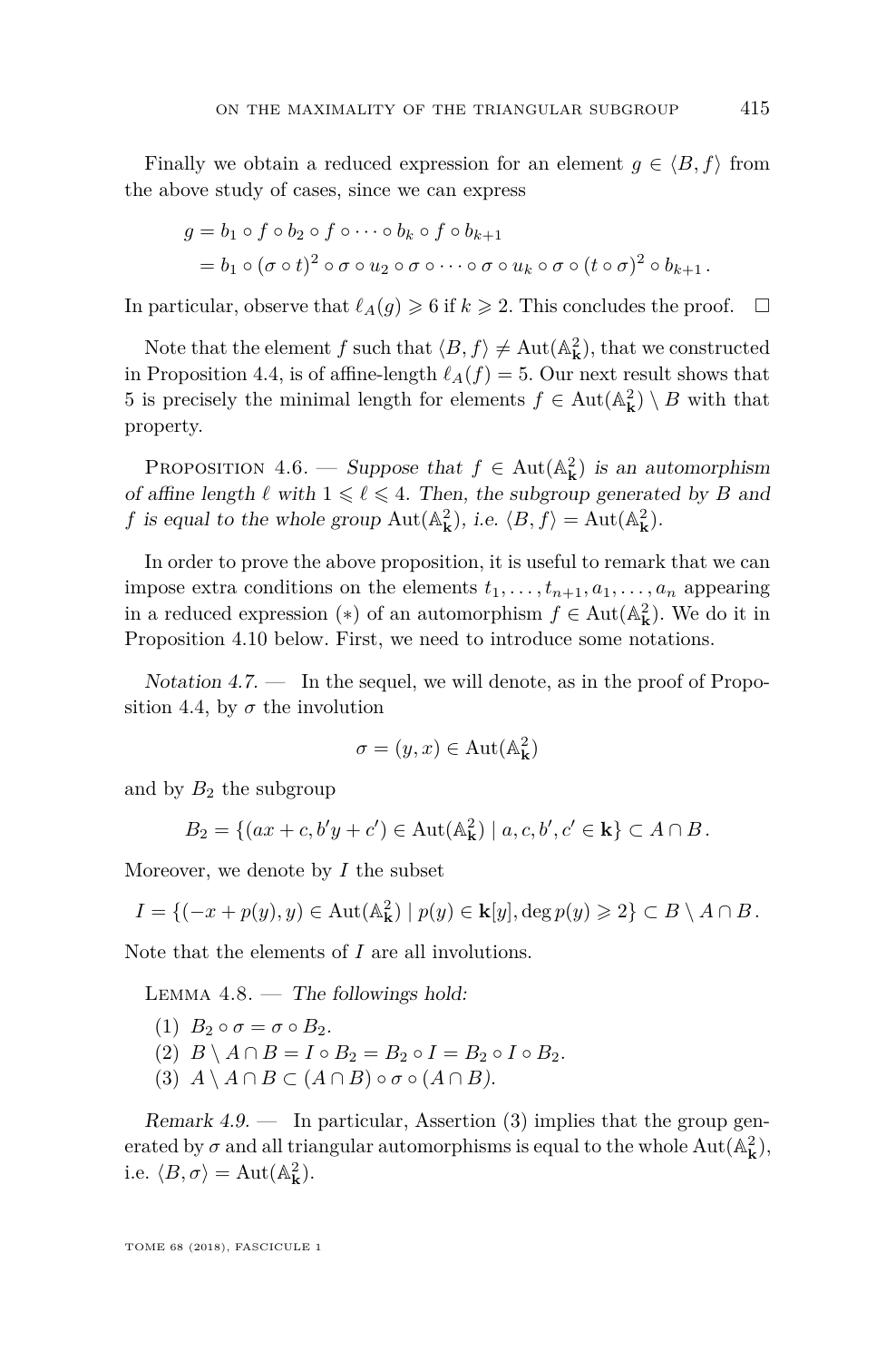Finally we obtain a reduced expression for an element  $g \in \langle B, f \rangle$  from the above study of cases, since we can express

$$
g = b_1 \circ f \circ b_2 \circ f \circ \cdots \circ b_k \circ f \circ b_{k+1}
$$
  
=  $b_1 \circ (\sigma \circ t)^2 \circ \sigma \circ u_2 \circ \sigma \circ \cdots \circ \sigma \circ u_k \circ \sigma \circ (t \circ \sigma)^2 \circ b_{k+1}.$ 

In particular, observe that  $\ell_A(g) \geq 6$  if  $k \geq 2$ . This concludes the proof.  $\Box$ 

Note that the element  $f$  such that  $\langle B, f \rangle \neq \text{Aut}(\mathbb{A}_{\mathbf{k}}^2)$ , that we constructed in Proposition [4.4,](#page-21-1) is of affine-length  $\ell_A(f) = 5$ . Our next result shows that 5 is precisely the minimal length for elements  $f \in Aut(A_{\mathbf{k}}^2) \setminus B$  with that property.

<span id="page-23-4"></span>PROPOSITION 4.6. — Suppose that  $f \in Aut(A_{\mathbf{k}}^2)$  is an automorphism of affine length  $\ell$  with  $1 \leq \ell \leq 4$ . Then, the subgroup generated by *B* and *f* is equal to the whole group  $\text{Aut}(\mathbb{A}_{\mathbf{k}}^2)$ , i.e.  $\langle B, f \rangle = \text{Aut}(\mathbb{A}_{\mathbf{k}}^2)$ .

In order to prove the above proposition, it is useful to remark that we can impose extra conditions on the elements  $t_1, \ldots, t_{n+1}, a_1, \ldots, a_n$  appearing in a reduced expression  $(*)$  of an automorphism  $f \in Aut(A_{\mathbf{k}}^2)$ . We do it in Proposition [4.10](#page-24-0) below. First, we need to introduce some notations.

Notation 4.7.  $\frac{1}{10}$  In the sequel, we will denote, as in the proof of Propo-sition [4.4,](#page-21-1) by  $\sigma$  the involution

$$
\sigma=(y,x)\in \operatorname{Aut}(\mathbb{A}^2_{\mathbf{k}})
$$

and by  $B_2$  the subgroup

$$
B_2 = \{ (ax + c, b'y + c') \in \text{Aut}(\mathbb{A}_{\mathbf{k}}^2) \mid a, c, b', c' \in \mathbf{k} \} \subset A \cap B.
$$

Moreover, we denote by *I* the subset

$$
I = \{ (-x + p(y), y) \in \text{Aut}(\mathbb{A}_{\mathbf{k}}^2) \mid p(y) \in \mathbf{k}[y], \deg p(y) \geq 2 \} \subset B \setminus A \cap B.
$$

Note that the elements of *I* are all involutions.

<span id="page-23-1"></span>LEMMA  $4.8.$  — The followings hold:

- <span id="page-23-2"></span>(1)  $B_2 \circ \sigma = \sigma \circ B_2$ .
- <span id="page-23-3"></span>(2)  $B \setminus A \cap B = I \circ B_2 = B_2 \circ I = B_2 \circ I \circ B_2.$
- <span id="page-23-0"></span>(3)  $A \setminus A \cap B \subset (A \cap B) \circ \sigma \circ (A \cap B)$ .

<span id="page-23-5"></span>Remark  $4.9.$  — In particular, Assertion [\(3\)](#page-23-0) implies that the group generated by  $\sigma$  and all triangular automorphisms is equal to the whole  $Aut(A_{\mathbf{k}}^2)$ , i.e.  $\langle B, \sigma \rangle = \text{Aut}(\mathbb{A}^2_{\mathbf{k}}).$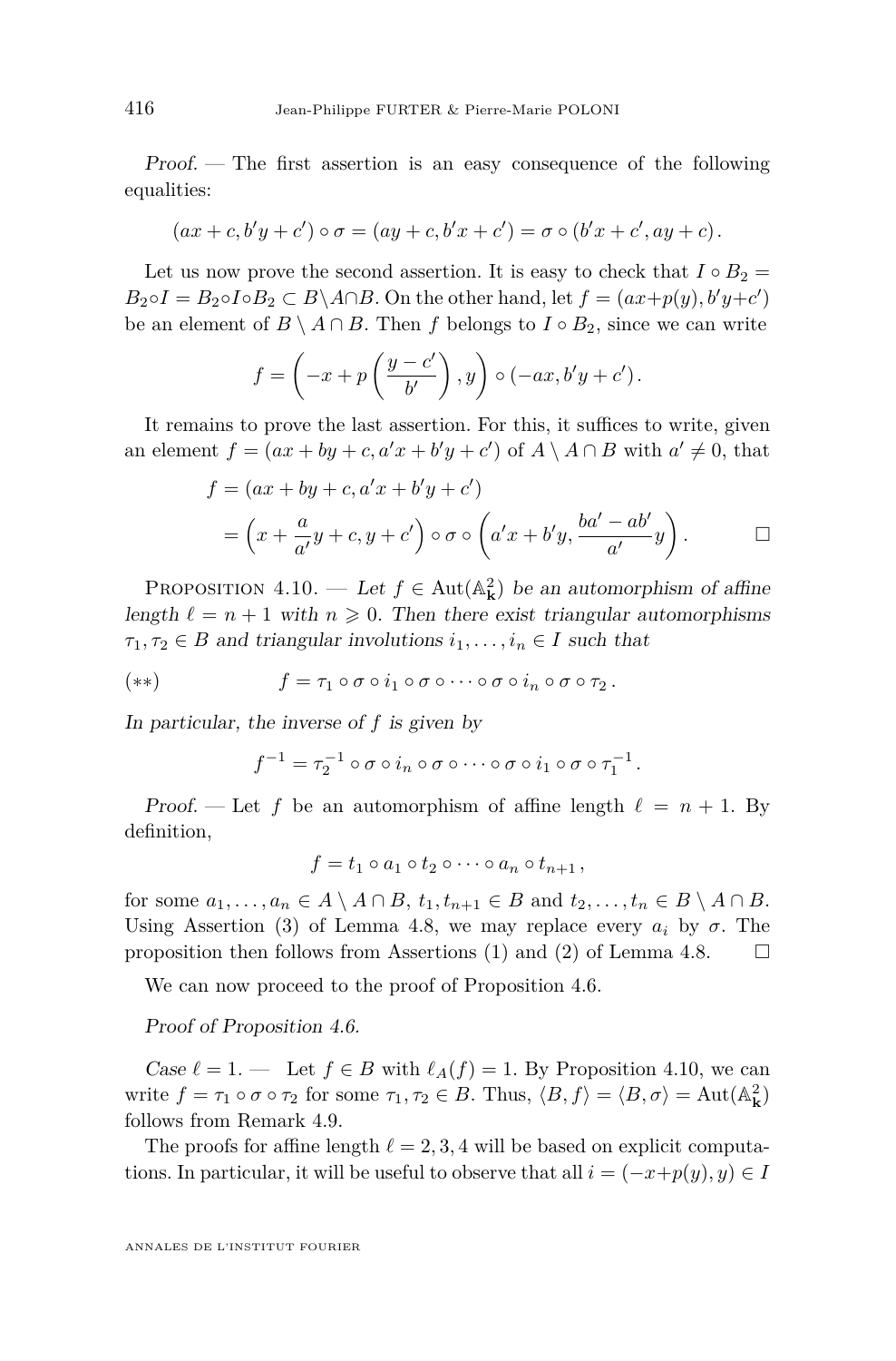Proof. — The first assertion is an easy consequence of the following equalities:

$$
(ax+c, b'y+c') \circ \sigma = (ay+c, b'x+c') = \sigma \circ (b'x+c', ay+c).
$$

Let us now prove the second assertion. It is easy to check that  $I \circ B_2 =$  $B_2 \circ I = B_2 \circ I \circ B_2 \subset B \setminus A \cap B$ . On the other hand, let  $f = (ax + p(y), b'y + c')$ be an element of  $B \setminus A \cap B$ . Then *f* belongs to  $I \circ B_2$ , since we can write

$$
f = \left(-x + p\left(\frac{y - c'}{b'}\right), y\right) \circ \left(-ax, b'y + c'\right).
$$

It remains to prove the last assertion. For this, it suffices to write, given an element  $f = (ax + by + c, a'x + b'y + c')$  of  $A \setminus A \cap B$  with  $a' \neq 0$ , that

$$
f = (ax + by + c, a'x + b'y + c')
$$
  
=  $\left(x + \frac{a}{a'}y + c, y + c'\right) \circ \sigma \circ \left(a'x + b'y, \frac{ba' - ab'}{a'}y\right).$ 

<span id="page-24-0"></span>PROPOSITION  $4.10.$  — Let  $f \in Aut(A_{\mathbf{k}}^2)$  be an automorphism of affine length  $\ell = n + 1$  with  $n \geq 0$ . Then there exist triangular automorphisms  $\tau_1, \tau_2 \in B$  and triangular involutions  $i_1, \ldots, i_n \in I$  such that

$$
(**) \t f = \tau_1 \circ \sigma \circ i_1 \circ \sigma \circ \cdots \circ \sigma \circ i_n \circ \sigma \circ \tau_2.
$$

In particular, the inverse of *f* is given by

$$
f^{-1} = \tau_2^{-1} \circ \sigma \circ i_n \circ \sigma \circ \cdots \circ \sigma \circ i_1 \circ \sigma \circ \tau_1^{-1}.
$$

Proof. — Let f be an automorphism of affine length  $\ell = n + 1$ . By definition,

$$
f = t_1 \circ a_1 \circ t_2 \circ \cdots \circ a_n \circ t_{n+1},
$$

for some  $a_1, \ldots, a_n \in A \setminus A \cap B$ ,  $t_1, t_{n+1} \in B$  and  $t_2, \ldots, t_n \in B \setminus A \cap B$ . Using Assertion [\(3\)](#page-23-0) of Lemma [4.8,](#page-23-1) we may replace every  $a_i$  by  $\sigma$ . The proposition then follows from Assertions [\(1\)](#page-23-2) and [\(2\)](#page-23-3) of Lemma [4.8.](#page-23-1)  $\Box$ 

We can now proceed to the proof of Proposition [4.6.](#page-23-4)

Proof of Proposition [4.6.](#page-23-4)

*Case*  $\ell = 1$ . — Let  $f \in B$  with  $\ell_A(f) = 1$ . By Proposition [4.10,](#page-24-0) we can write  $f = \tau_1 \circ \sigma \circ \tau_2$  for some  $\tau_1, \tau_2 \in B$ . Thus,  $\langle B, f \rangle = \langle B, \sigma \rangle = \text{Aut}(\mathbb{A}^2_{\mathbf{k}})$ follows from Remark [4.9.](#page-23-5)

The proofs for affine length  $\ell = 2, 3, 4$  will be based on explicit computations. In particular, it will be useful to observe that all  $i = (-x+p(y), y) \in I$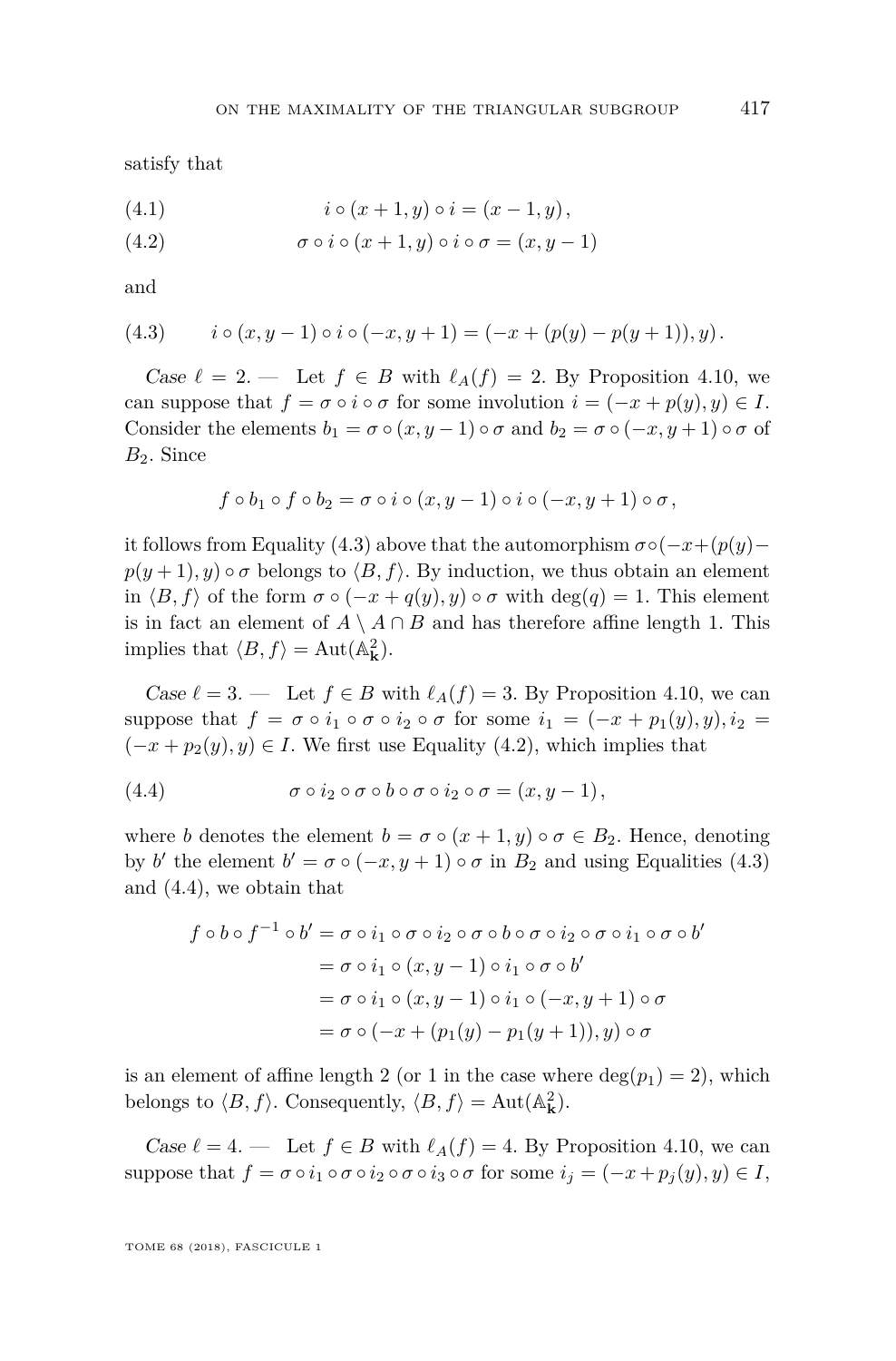satisfy that

<span id="page-25-1"></span>(4.1) 
$$
i \circ (x+1, y) \circ i = (x-1, y),
$$

(4.2) 
$$
\sigma \circ i \circ (x+1,y) \circ i \circ \sigma = (x,y-1)
$$

and

<span id="page-25-0"></span>(4.3) 
$$
i \circ (x, y - 1) \circ i \circ (-x, y + 1) = (-x + (p(y) - p(y + 1)), y).
$$

*Case*  $\ell = 2$ . — Let  $f \in B$  with  $\ell_A(f) = 2$ . By Proposition [4.10,](#page-24-0) we can suppose that  $f = \sigma \circ i \circ \sigma$  for some involution  $i = (-x + p(y), y) \in I$ . Consider the elements  $b_1 = \sigma \circ (x, y - 1) \circ \sigma$  and  $b_2 = \sigma \circ (-x, y + 1) \circ \sigma$  of *B*2. Since

$$
f\circ b_1\circ f\circ b_2=\sigma\circ i\circ (x,y-1)\circ i\circ (-x,y+1)\circ \sigma\,,
$$

it follows from Equality [\(4.3\)](#page-25-0) above that the automorphism  $\sigma \circ (-x + (p(y)$  $p(y+1), y \in \sigma$  belongs to  $\langle B, f \rangle$ . By induction, we thus obtain an element in  $\langle B, f \rangle$  of the form  $\sigma \circ (-x + q(y), y) \circ \sigma$  with deg(*q*) = 1. This element is in fact an element of  $A \setminus A \cap B$  and has therefore affine length 1. This implies that  $\langle B, f \rangle = \text{Aut}(\mathbb{A}_{\mathbf{k}}^2)$ .

Case  $\ell = 3$ . — Let  $f \in B$  with  $\ell_A(f) = 3$ . By Proposition [4.10,](#page-24-0) we can suppose that  $f = \sigma \circ i_1 \circ \sigma \circ i_2 \circ \sigma$  for some  $i_1 = (-x + p_1(y), y), i_2 =$  $(-x + p_2(y), y) \in I$ . We first use Equality [\(4.2\)](#page-25-1), which implies that

<span id="page-25-2"></span>(4.4) 
$$
\sigma \circ i_2 \circ \sigma \circ b \circ \sigma \circ i_2 \circ \sigma = (x, y - 1),
$$

where *b* denotes the element  $b = \sigma \circ (x + 1, y) \circ \sigma \in B_2$ . Hence, denoting by *b*' the element  $b' = \sigma \circ (-x, y + 1) \circ \sigma$  in  $B_2$  and using Equalities [\(4.3\)](#page-25-0) and [\(4.4\)](#page-25-2), we obtain that

$$
f \circ b \circ f^{-1} \circ b' = \sigma \circ i_1 \circ \sigma \circ i_2 \circ \sigma \circ b \circ \sigma \circ i_2 \circ \sigma \circ i_1 \circ \sigma \circ b'
$$
  
=  $\sigma \circ i_1 \circ (x, y - 1) \circ i_1 \circ \sigma \circ b'$   
=  $\sigma \circ i_1 \circ (x, y - 1) \circ i_1 \circ (-x, y + 1) \circ \sigma$   
=  $\sigma \circ (-x + (p_1(y) - p_1(y + 1)), y) \circ \sigma$ 

is an element of affine length 2 (or 1 in the case where  $deg(p_1) = 2$ ), which belongs to  $\langle B, f \rangle$ . Consequently,  $\langle B, f \rangle = \text{Aut}(\mathbb{A}^2_{\mathbf{k}})$ .

*Case*  $\ell = 4$ . — Let  $f \in B$  with  $\ell_A(f) = 4$ . By Proposition [4.10,](#page-24-0) we can suppose that  $f = \sigma \circ i_1 \circ \sigma \circ i_2 \circ \sigma \circ i_3 \circ \sigma$  for some  $i_j = (-x + p_j(y), y) \in I$ ,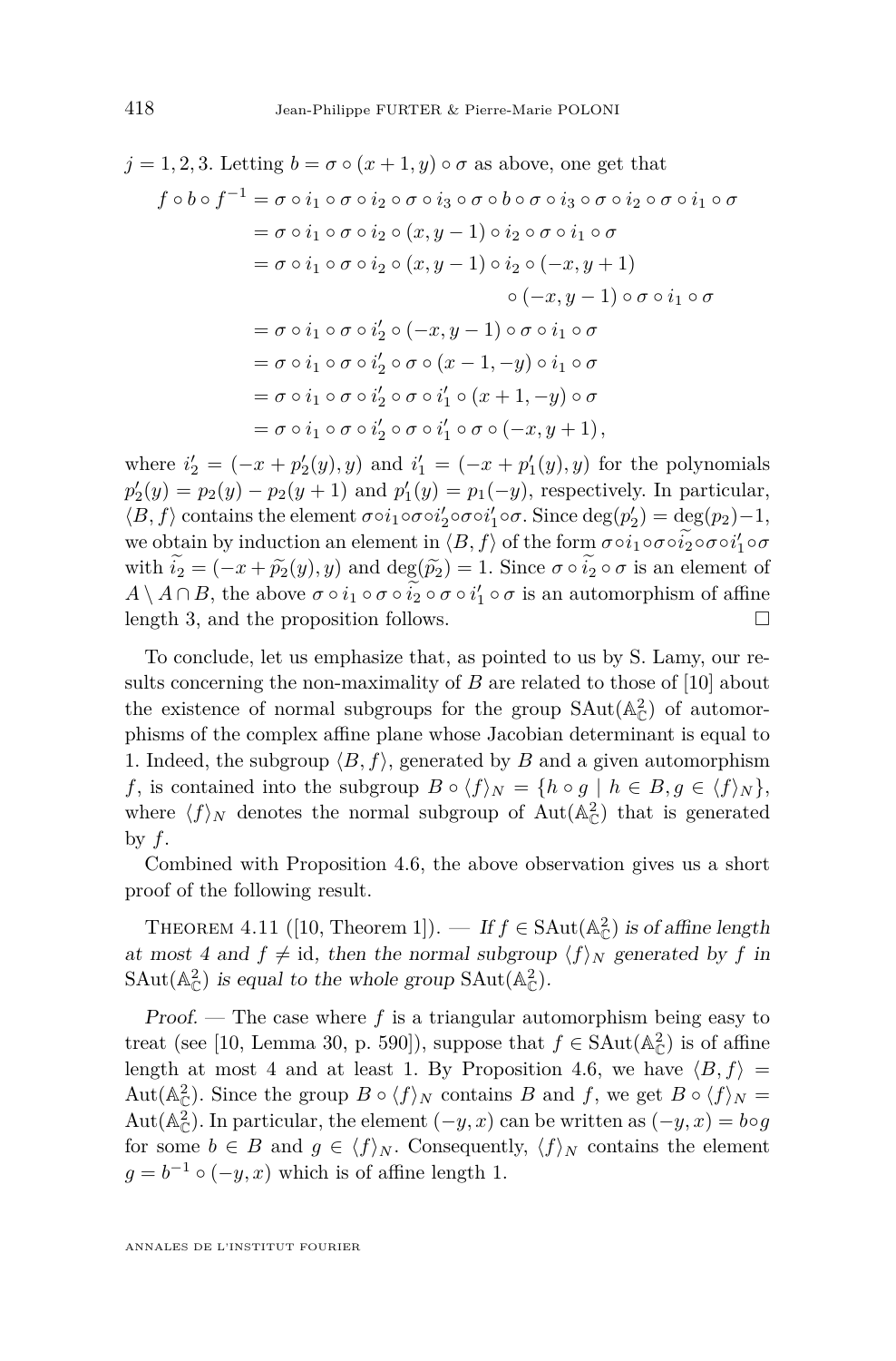$$
j = 1, 2, 3.
$$
 Letting  $b = \sigma \circ (x + 1, y) \circ \sigma$  as above, one get that  
\n
$$
f \circ b \circ f^{-1} = \sigma \circ i_1 \circ \sigma \circ i_2 \circ \sigma \circ i_3 \circ \sigma \circ b \circ \sigma \circ i_3 \circ \sigma \circ i_2 \circ \sigma \circ i_1 \circ \sigma
$$
\n
$$
= \sigma \circ i_1 \circ \sigma \circ i_2 \circ (x, y - 1) \circ i_2 \circ \sigma \circ i_1 \circ \sigma
$$
\n
$$
= \sigma \circ i_1 \circ \sigma \circ i_2 \circ (x, y - 1) \circ i_2 \circ (-x, y + 1)
$$
\n
$$
\circ (-x, y - 1) \circ \sigma \circ i_1 \circ \sigma
$$
\n
$$
= \sigma \circ i_1 \circ \sigma \circ i_2' \circ (-x, y - 1) \circ \sigma \circ i_1 \circ \sigma
$$
\n
$$
= \sigma \circ i_1 \circ \sigma \circ i_2' \circ \sigma \circ (x - 1, -y) \circ i_1 \circ \sigma
$$
\n
$$
= \sigma \circ i_1 \circ \sigma \circ i_2' \circ \sigma \circ i_1' \circ (x + 1, -y) \circ \sigma
$$
\n
$$
= \sigma \circ i_1 \circ \sigma \circ i_2' \circ \sigma \circ i_1' \circ \sigma \circ (-x, y + 1),
$$

where  $i'_2 = (-x + p'_2(y), y)$  and  $i'_1 = (-x + p'_1(y), y)$  for the polynomials  $p'_{2}(y) = p_{2}(y) - p_{2}(y+1)$  and  $p'_{1}(y) = p_{1}(-y)$ , respectively. In particular,  $\langle B, f \rangle$  contains the element  $\sigma \circ i_1 \circ \sigma \circ i_2' \circ \sigma \circ i_1' \circ \sigma$ . Since  $\deg(p_2') = \deg(p_2) - 1$ , we obtain by induction an element in  $\langle B, f \rangle$  of the form  $\sigma \circ i_1 \circ \sigma \circ i_2 \circ \sigma \circ i_1' \circ \sigma$ with  $\widetilde{i}_2 = (-x + \widetilde{p}_2(y), y)$  and  $\deg(\widetilde{p}_2) = 1$ . Since  $\sigma \circ \widetilde{i}_2 \circ \sigma$  is an element of  $A \setminus A \cap B$ , the above  $\sigma \circ i_1 \circ \sigma \circ i_2 \circ \sigma \circ i_1' \circ \sigma$  is an automorphism of affine length 3, and the proposition follows.  $\square$ 

To conclude, let us emphasize that, as pointed to us by S. Lamy, our results concerning the non-maximality of  $B$  are related to those of  $[10]$  about the existence of normal subgroups for the group  $SAut(A_C^2)$  of automorphisms of the complex affine plane whose Jacobian determinant is equal to 1. Indeed, the subgroup  $\langle B, f \rangle$ , generated by *B* and a given automorphism *f*, is contained into the subgroup  $B \circ \langle f \rangle_N = \{ h \circ g \mid h \in B, g \in \langle f \rangle_N \},$ where  $\langle f \rangle_N$  denotes the normal subgroup of Aut( $\mathbb{A}_{\mathbb{C}}^2$ ) that is generated by *f*.

Combined with Proposition [4.6,](#page-23-4) the above observation gives us a short proof of the following result.

THEOREM 4.11 ([\[10,](#page-28-17) Theorem 1]). — If  $f \in \text{SAut}(\mathbb{A}_{\mathbb{C}}^2)$  is of affine length at most 4 and  $f \neq id$ , then the normal subgroup  $\langle f \rangle_N$  generated by f in  $\text{SAut}(\mathbb{A}_{\mathbb{C}}^2)$  is equal to the whole group  $\text{SAut}(\mathbb{A}_{\mathbb{C}}^2)$ .

Proof. — The case where *f* is a triangular automorphism being easy to treat (see [\[10,](#page-28-17) Lemma 30, p. 590]), suppose that  $f \in \text{SAut}(\mathbb{A}_{\mathbb{C}}^2)$  is of affine length at most 4 and at least 1. By Proposition [4.6,](#page-23-4) we have  $\langle B, f \rangle =$ Aut( $\mathbb{A}_{\mathbb{C}}^2$ ). Since the group  $B \circ \langle f \rangle_N$  contains  $B$  and  $f$ , we get  $B \circ \langle f \rangle_N =$ Aut $(\mathbb{A}_{\mathbb{C}}^2)$ . In particular, the element  $(-y, x)$  can be written as  $(-y, x) = b \circ g$ for some  $b \in B$  and  $g \in \langle f \rangle_N$ . Consequently,  $\langle f \rangle_N$  contains the element  $g = b^{-1} \circ (-y, x)$  which is of affine length 1.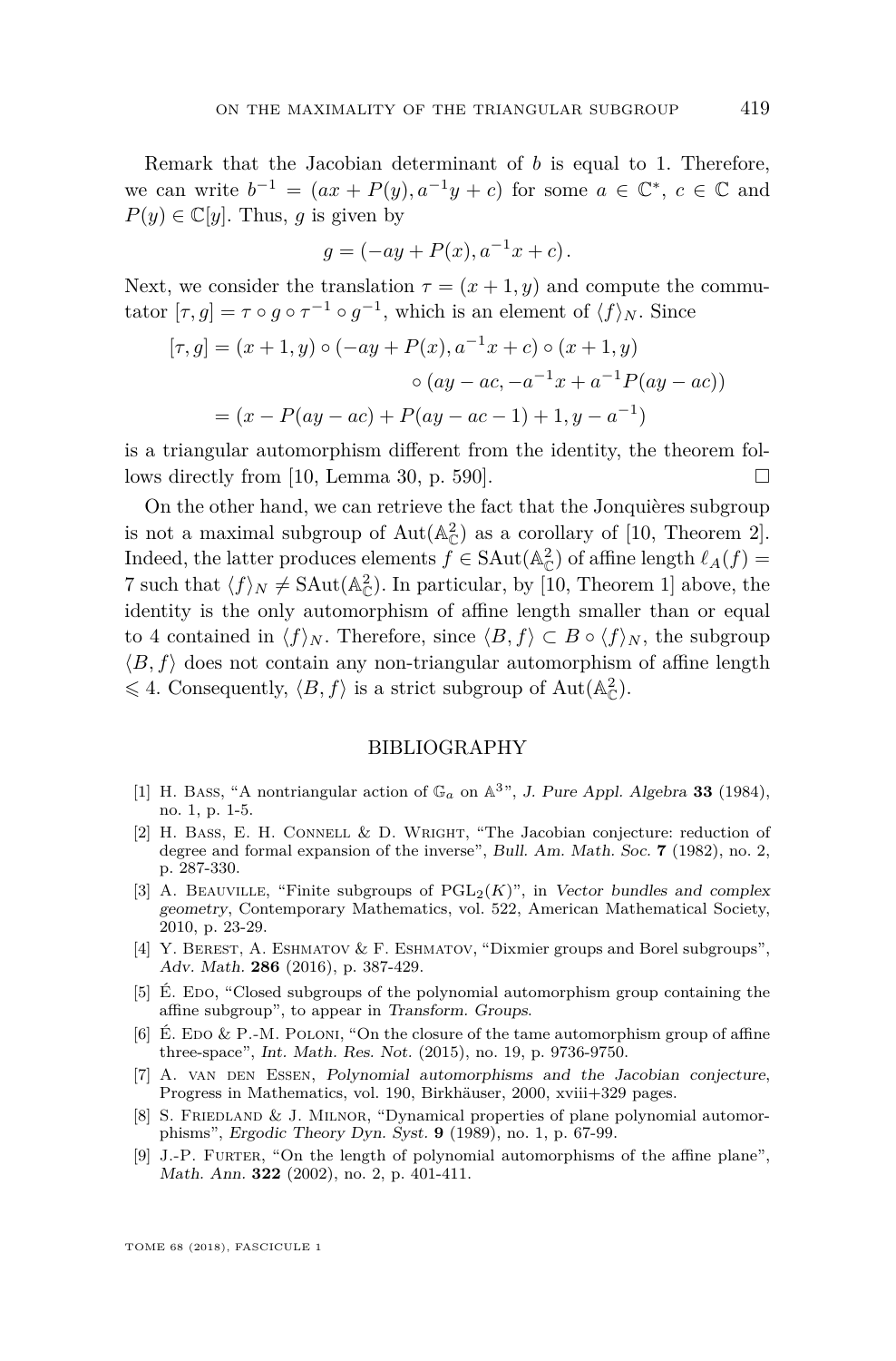Remark that the Jacobian determinant of *b* is equal to 1. Therefore, we can write  $b^{-1} = (ax + P(y), a^{-1}y + c)$  for some  $a \in \mathbb{C}^*, c \in \mathbb{C}$  and  $P(y) \in \mathbb{C}[y]$ . Thus, *q* is given by

$$
g = (-ay + P(x), a^{-1}x + c).
$$

Next, we consider the translation  $\tau = (x+1, y)$  and compute the commutator  $[\tau, g] = \tau \circ g \circ \tau^{-1} \circ g^{-1}$ , which is an element of  $\langle f \rangle_N$ . Since

$$
[\tau, g] = (x + 1, y) \circ (-ay + P(x), a^{-1}x + c) \circ (x + 1, y)
$$

$$
\circ (ay - ac, -a^{-1}x + a^{-1}P(ay - ac))
$$

$$
= (x - P(ay - ac) + P(ay - ac - 1) + 1, y - a^{-1})
$$

is a triangular automorphism different from the identity, the theorem fol-lows directly from [\[10,](#page-28-17) Lemma 30, p. 590].  $\Box$ 

On the other hand, we can retrieve the fact that the Jonquières subgroup is not a maximal subgroup of  $Aut(A<sup>2</sup><sub>C</sub>)$  as a corollary of [\[10,](#page-28-17) Theorem 2]. Indeed, the latter produces elements  $f \in SAut(\mathbb{A}_{\mathbb{C}}^2)$  of affine length  $\ell_A(f) =$ 7 such that  $\langle f \rangle_N \neq \text{SAut}(\mathbb{A}_{\mathbb{C}}^2)$ . In particular, by [\[10,](#page-28-17) Theorem 1] above, the identity is the only automorphism of affine length smaller than or equal to 4 contained in  $\langle f \rangle_N$ . Therefore, since  $\langle B, f \rangle \subset B \circ \langle f \rangle_N$ , the subgroup  $\langle B, f \rangle$  does not contain any non-triangular automorphism of affine length  $\leq 4$ . Consequently,  $\langle B, f \rangle$  is a strict subgroup of Aut $(\mathbb{A}_{\mathbb{C}}^2)$ .

#### BIBLIOGRAPHY

- <span id="page-27-1"></span>[1] H. Bass, "A nontriangular action of  $\mathbb{G}_a$  on  $\mathbb{A}^{3}$ ", J. Pure Appl. Algebra **33** (1984), no. 1, p. 1-5.
- <span id="page-27-3"></span>[2] H. Bass, E. H. Connell & D. Wright, "The Jacobian conjecture: reduction of degree and formal expansion of the inverse", Bull. Am. Math. Soc. **7** (1982), no. 2, p. 287-330.
- <span id="page-27-4"></span>[3] A. BEAUVILLE, "Finite subgroups of  $PGL_2(K)$ ", in Vector bundles and complex geometry, Contemporary Mathematics, vol. 522, American Mathematical Society, 2010, p. 23-29.
- <span id="page-27-0"></span>[4] Y. BEREST, A. ESHMATOV & F. ESHMATOV, "Dixmier groups and Borel subgroups", Adv. Math. **286** (2016), p. 387-429.
- <span id="page-27-5"></span>[5] E. EDO, "Closed subgroups of the polynomial automorphism group containing the affine subgroup", to appear in Transform. Groups.
- <span id="page-27-6"></span>[6]  $\hat{E}$ . Edo & P.-M. Poloni, "On the closure of the tame automorphism group of affine three-space", Int. Math. Res. Not. (2015), no. 19, p. 9736-9750.
- <span id="page-27-2"></span>[7] A. VAN DEN ESSEN, Polynomial automorphisms and the Jacobian conjecture, Progress in Mathematics, vol. 190, Birkhäuser, 2000, xviii+329 pages.
- <span id="page-27-7"></span>[8] S. FRIEDLAND & J. MILNOR, "Dynamical properties of plane polynomial automorphisms", Ergodic Theory Dyn. Syst. **9** (1989), no. 1, p. 67-99.
- <span id="page-27-8"></span>[9] J.-P. Furter, "On the length of polynomial automorphisms of the affine plane", Math. Ann. **322** (2002), no. 2, p. 401-411.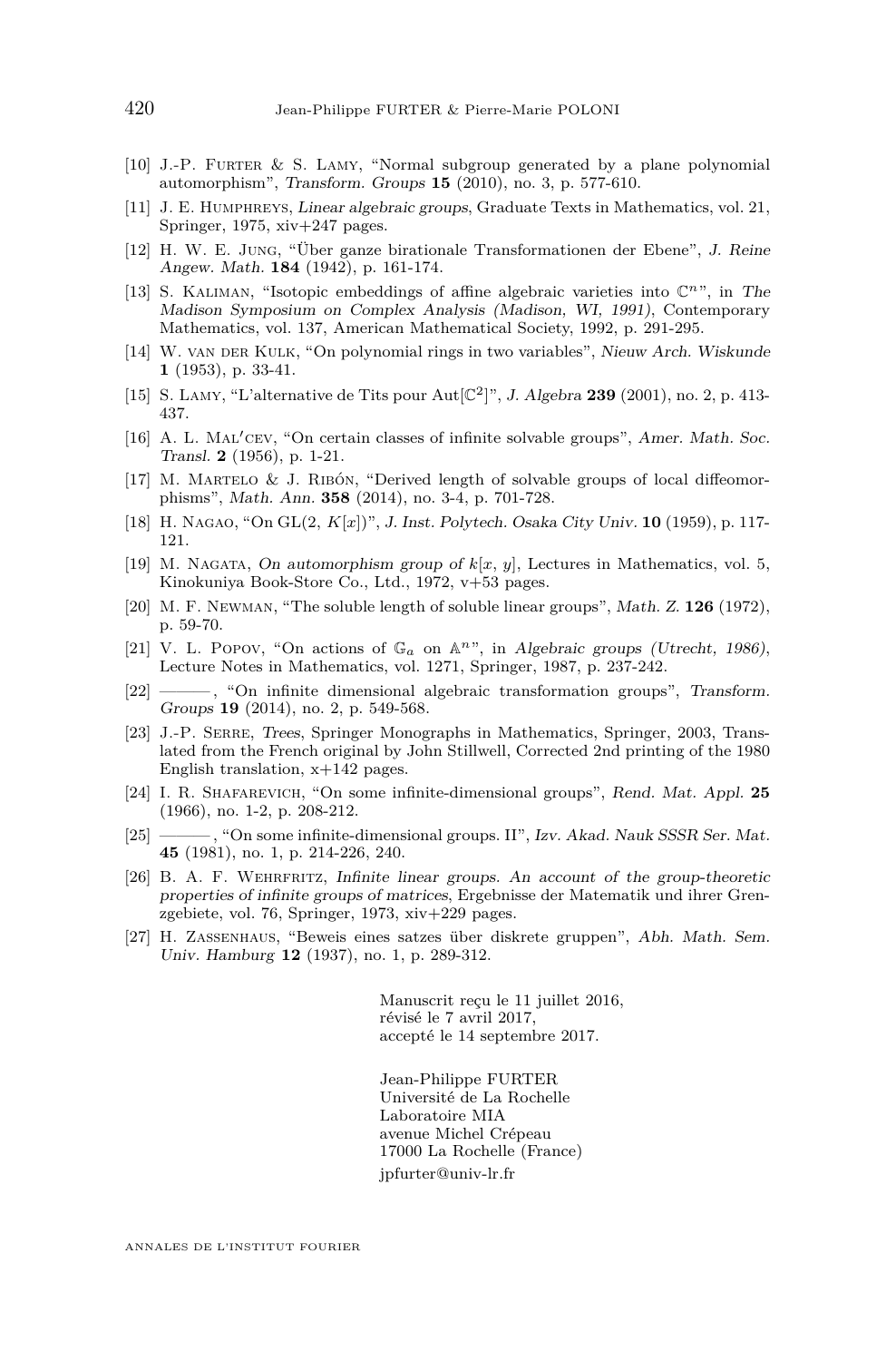- <span id="page-28-17"></span>[10] J.-P. FURTER & S. LAMY, "Normal subgroup generated by a plane polynomial automorphism", Transform. Groups **15** (2010), no. 3, p. 577-610.
- <span id="page-28-4"></span>[11] J. E. Humphreys, Linear algebraic groups, Graduate Texts in Mathematics, vol. 21, Springer, 1975, xiv+247 pages.
- <span id="page-28-14"></span>[12] H. W. E. Jung, "Über ganze birationale Transformationen der Ebene", J. Reine Angew. Math. **184** (1942), p. 161-174.
- <span id="page-28-5"></span>[13] S. Kaliman, "Isotopic embeddings of affine algebraic varieties into C*n*", in The Madison Symposium on Complex Analysis (Madison, WI, 1991), Contemporary Mathematics, vol. 137, American Mathematical Society, 1992, p. 291-295.
- <span id="page-28-15"></span>[14] W. van der Kulk, "On polynomial rings in two variables", Nieuw Arch. Wiskunde **1** (1953), p. 33-41.
- <span id="page-28-0"></span>[15] S. Lamy, "L'alternative de Tits pour Aut[C<sup>2</sup> ]", J. Algebra **239** (2001), no. 2, p. 413- 437.
- <span id="page-28-9"></span>[16] A. L. MAL'CEV, "On certain classes of infinite solvable groups", Amer. Math. Soc. Transl. **2** (1956), p. 1-21.
- <span id="page-28-10"></span>[17] M. Martelo & J. Ribón, "Derived length of solvable groups of local diffeomorphisms", Math. Ann. **358** (2014), no. 3-4, p. 701-728.
- <span id="page-28-13"></span>[18] H. Nagao, "On GL(2*, K*[*x*])", J. Inst. Polytech. Osaka City Univ. **10** (1959), p. 117- 121.
- <span id="page-28-16"></span>[19] M. Nagata, On automorphism group of *k*[*x, y*], Lectures in Mathematics, vol. 5, Kinokuniya Book-Store Co., Ltd., 1972, v+53 pages.
- <span id="page-28-12"></span>[20] M. F. Newman, "The soluble length of soluble linear groups", Math. Z. **126** (1972), p. 59-70.
- <span id="page-28-1"></span>[21] V. L. Popov, "On actions of G*<sup>a</sup>* on A*n*", in Algebraic groups (Utrecht, 1986), Lecture Notes in Mathematics, vol. 1271, Springer, 1987, p. 237-242.
- <span id="page-28-6"></span>[22] ——— , "On infinite dimensional algebraic transformation groups", Transform. Groups **19** (2014), no. 2, p. 549-568.
- <span id="page-28-11"></span>[23] J.-P. Serre, Trees, Springer Monographs in Mathematics, Springer, 2003, Translated from the French original by John Stillwell, Corrected 2nd printing of the 1980 English translation, x+142 pages.
- <span id="page-28-2"></span>[24] I. R. Shafarevich, "On some infinite-dimensional groups", Rend. Mat. Appl. **25** (1966), no. 1-2, p. 208-212.
- <span id="page-28-3"></span>[25] ——— , "On some infinite-dimensional groups. II", Izv. Akad. Nauk SSSR Ser. Mat. **45** (1981), no. 1, p. 214-226, 240.
- <span id="page-28-7"></span>[26] B. A. F. Wehrfritz, Infinite linear groups. An account of the group-theoretic properties of infinite groups of matrices, Ergebnisse der Matematik und ihrer Grenzgebiete, vol. 76, Springer, 1973, xiv+229 pages.
- <span id="page-28-8"></span>[27] H. Zassenhaus, "Beweis eines satzes über diskrete gruppen", Abh. Math. Sem. Univ. Hamburg **12** (1937), no. 1, p. 289-312.

Manuscrit reçu le 11 juillet 2016, révisé le 7 avril 2017, accepté le 14 septembre 2017.

Jean-Philippe FURTER Université de La Rochelle Laboratoire MIA avenue Michel Crépeau 17000 La Rochelle (France) [jpfurter@univ-lr.fr](mailto:jpfurter@univ-lr.fr)